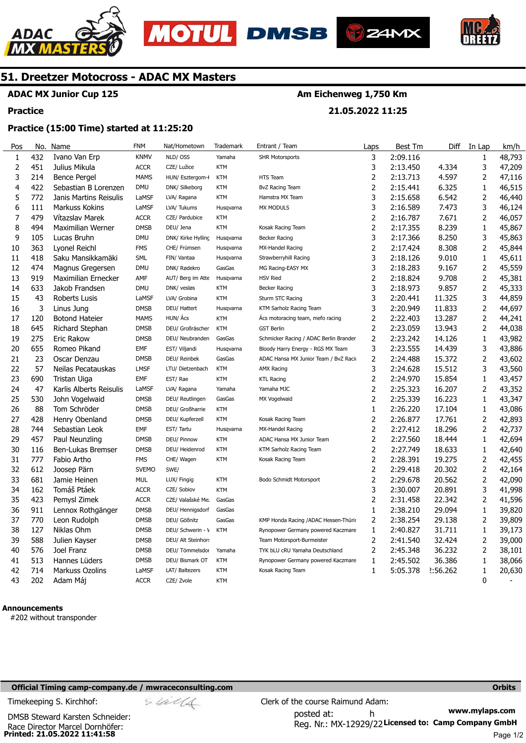





**21.05.2022 11:25** 



## **51. Dreetzer Motocross - ADAC MX Masters**

#### **ADAC MX Junior Cup 125**

#### **Practice**

#### **Practice (15:00 Time) started at 11:25:20**

| Pos            | No. | Name                    | <b>FNM</b>   | Nat/Hometown       | Trademark  | Entrant / Team                         | Laps           | Best Tm  | Diff     | In Lap         | km/h   |
|----------------|-----|-------------------------|--------------|--------------------|------------|----------------------------------------|----------------|----------|----------|----------------|--------|
| 1              | 432 | Ivano Van Erp           | <b>KNMV</b>  | NLD/ OSS           | Yamaha     | <b>SHR Motorsports</b>                 | 3              | 2:09.116 |          | 1              | 48,793 |
| $\overline{2}$ | 451 | Julius Mikula           | <b>ACCR</b>  | CZE/ Lužice        | <b>KTM</b> |                                        | 3              | 2:13.450 | 4.334    | 3              | 47,209 |
| 3              | 214 | <b>Bence Pergel</b>     | <b>MAMS</b>  | HUN/ Esztergom-ł   | <b>KTM</b> | HTS Team                               | $\overline{2}$ | 2:13.713 | 4.597    | 2              | 47,116 |
| 4              | 422 | Sebastian B Lorenzen    | <b>DMU</b>   | DNK/ Silkeborg     | <b>KTM</b> | <b>BvZ Racing Team</b>                 | $\overline{2}$ | 2:15.441 | 6.325    | 1              | 46,515 |
| 5              | 772 | Janis Martins Reisulis  | LaMSF        | LVA/ Ragana        | <b>KTM</b> | Hamstra MX Team                        | 3              | 2:15.658 | 6.542    | 2              | 46,440 |
| 6              | 111 | <b>Markuss Kokins</b>   | LaMSF        | LVA/ Tukums        | Husqvarna  | <b>MX MODULS</b>                       | 3              | 2:16.589 | 7.473    | 3              | 46,124 |
| 7              | 479 | Vítazslav Marek         | <b>ACCR</b>  | CZE/ Pardubice     | <b>KTM</b> |                                        | 2              | 2:16.787 | 7.671    | 2              | 46,057 |
| 8              | 494 | Maximilian Werner       | <b>DMSB</b>  | DEU/ Jena          | <b>KTM</b> | Kosak Racing Team                      | $\overline{2}$ | 2:17.355 | 8.239    | 1              | 45,867 |
| 9              | 105 | Lucas Bruhn             | <b>DMU</b>   | DNK/ Kirke Hylling | Husqvarna  | <b>Becker Racing</b>                   | 3              | 2:17.366 | 8.250    | 3              | 45,863 |
| 10             | 363 | Lyonel Reichl           | <b>FMS</b>   | CHE/ Frümsen       | Husqvarna  | MX-Handel Racing                       | $\overline{2}$ | 2:17.424 | 8.308    | 2              | 45,844 |
| 11             | 418 | Saku Mansikkamäki       | <b>SML</b>   | FIN/ Vantaa        | Husqvarna  | Strawberryhill Racing                  | 3              | 2:18.126 | 9.010    | 1              | 45,611 |
| 12             | 474 | Magnus Gregersen        | <b>DMU</b>   | DNK/ Rødekro       | GasGas     | MG Racing-EASY MX                      | 3              | 2:18.283 | 9.167    | 2              | 45,559 |
| 13             | 919 | Maximilian Ernecker     | AMF          | AUT/ Berg im Atte  | Husqvarna  | <b>HSV Ried</b>                        | $\overline{2}$ | 2:18.824 | 9.708    | 2              | 45,381 |
| 14             | 633 | Jakob Frandsen          | <b>DMU</b>   | DNK/ vesløs        | <b>KTM</b> | <b>Becker Racing</b>                   | 3              | 2:18.973 | 9.857    | 2              | 45,333 |
| 15             | 43  | <b>Roberts Lusis</b>    | LaMSF        | LVA/ Grobina       | <b>KTM</b> | Sturm STC Racing                       | 3              | 2:20.441 | 11.325   | 3              | 44,859 |
| 16             | 3   | Linus Jung              | <b>DMSB</b>  | DEU/ Hattert       | Husqvarna  | KTM Sarholz Racing Team                | 3              | 2:20.949 | 11.833   | $\overline{2}$ | 44,697 |
| 17             | 120 | <b>Botond Hateier</b>   | <b>MAMS</b>  | HUN/ Ács           | <b>KTM</b> | Ács motoracing team, mefo racing       | $\overline{2}$ | 2:22.403 | 13.287   | 2              | 44,241 |
| 18             | 645 | Richard Stephan         | <b>DMSB</b>  | DEU/ Großräscher   | <b>KTM</b> | <b>GST Berlin</b>                      | $\overline{2}$ | 2:23.059 | 13.943   | 2              | 44,038 |
| 19             | 275 | Eric Rakow              | <b>DMSB</b>  | DEU/ Neubranden    | GasGas     | Schmicker Racing / ADAC Berlin Brander | 2              | 2:23.242 | 14.126   | 1              | 43,982 |
| 20             | 655 | Romeo Pikand            | <b>EMF</b>   | EST/ Viljandi      | Husqvarna  | Bloody Harry Energy - RGS MX Team      | 3              | 2:23.555 | 14.439   | 3              | 43,886 |
| 21             | 23  | Oscar Denzau            | <b>DMSB</b>  | DEU/ Reinbek       | GasGas     | ADAC Hansa MX Junior Team / BvZ Raci   | $\overline{2}$ | 2:24.488 | 15.372   | 2              | 43,602 |
| 22             | 57  | Neilas Pecatauskas      | <b>LMSF</b>  | LTU/ Dietzenbach   | <b>KTM</b> | <b>AMX Racing</b>                      | 3              | 2:24.628 | 15.512   | 3              | 43,560 |
| 23             | 690 | Tristan Uiga            | EMF          | EST/Rae            | <b>KTM</b> | <b>KTL Racing</b>                      | $\overline{2}$ | 2:24.970 | 15.854   | 1              | 43,457 |
| 24             | 47  | Karlis Alberts Reisulis | LaMSF        | LVA/ Ragana        | Yamaha     | Yamaha MJC                             | $\overline{2}$ | 2:25.323 | 16.207   | 2              | 43,352 |
| 25             | 530 | John Vogelwaid          | <b>DMSB</b>  | DEU/ Reutlingen    | GasGas     | MX Vogelwaid                           | $\overline{2}$ | 2:25.339 | 16.223   | 1              | 43,347 |
| 26             | 88  | Tom Schröder            | <b>DMSB</b>  | DEU/ Großharrie    | <b>KTM</b> |                                        | 1              | 2:26.220 | 17.104   | 1              | 43,086 |
| 27             | 428 | Henry Obenland          | <b>DMSB</b>  | DEU/ Kupferzell    | <b>KTM</b> | Kosak Racing Team                      | $\overline{2}$ | 2:26.877 | 17.761   | $\overline{2}$ | 42,893 |
| 28             | 744 | Sebastian Leok          | <b>EMF</b>   | EST/ Tartu         | Husqvarna  | MX-Handel Racing                       | $\overline{2}$ | 2:27.412 | 18.296   | 2              | 42,737 |
| 29             | 457 | Paul Neunzling          | <b>DMSB</b>  | DEU/ Pinnow        | <b>KTM</b> | ADAC Hansa MX Junior Team              | 2              | 2:27.560 | 18.444   | 1              | 42,694 |
| 30             | 116 | Ben-Lukas Bremser       | <b>DMSB</b>  | DEU/ Heidenrod     | <b>KTM</b> | KTM Sarholz Racing Team                | $\overline{2}$ | 2:27.749 | 18.633   | $\mathbf{1}$   | 42,640 |
| 31             | 777 | Fabio Artho             | <b>FMS</b>   | CHE/ Wagen         | <b>KTM</b> | Kosak Racing Team                      | $\overline{2}$ | 2:28.391 | 19.275   | 2              | 42,455 |
| 32             | 612 | Joosep Pärn             | <b>SVEMO</b> | SWE/               |            |                                        | $\overline{2}$ | 2:29.418 | 20.302   | 2              | 42,164 |
| 33             | 681 | Jamie Heinen            | MUL          | LUX/ Fingig        | <b>KTM</b> | <b>Bodo Schmidt Motorsport</b>         | $\overline{2}$ | 2:29.678 | 20.562   | 2              | 42,090 |
| 34             | 162 | Tomáš Ptáek             | <b>ACCR</b>  | CZE/ Sobiov        | <b>KTM</b> |                                        | 3              | 2:30.007 | 20.891   | 3              | 41,998 |
| 35             | 423 | Pemysl Zimek            | <b>ACCR</b>  | CZE/ Valašské Me:  | GasGas     |                                        | 2              | 2:31.458 | 22.342   | 2              | 41,596 |
| 36             | 911 | Lennox Rothgänger       | <b>DMSB</b>  | DEU/ Hennigsdorf   | GasGas     |                                        | 1              | 2:38.210 | 29.094   | 1              | 39,820 |
| 37             | 770 | Leon Rudolph            | <b>DMSB</b>  | DEU/ Gößnitz       | GasGas     | KMP Honda Racing / ADAC Hessen-Thürir  | 2              | 2:38.254 | 29.138   | 2              | 39,809 |
| 38             | 127 | Niklas Ohm              | <b>DMSB</b>  | DEU/ Schwerin - \  | <b>KTM</b> | Rynopower Germany powered Kaczmare     | 1              | 2:40.827 | 31.711   | 1              | 39,173 |
| 39             | 588 | Julien Kayser           | <b>DMSB</b>  | DEU/ Alt Steinhor: |            | Team Motorsport-Burmeister             | 2              | 2:41.540 | 32.424   | 2              | 39,000 |
| 40             | 576 | Joel Franz              | <b>DMSB</b>  | DEU/ Tömmelsdor    | Yamaha     | TYK bLU cRU Yamaha Deutschland         | 2              | 2:45.348 | 36.232   | 2              | 38,101 |
| 41             | 513 | Hannes Lüders           | <b>DMSB</b>  | DEU/ Bismark OT    | <b>KTM</b> | Rynopower Germany powered Kaczmare     | $\mathbf{1}$   | 2:45.502 | 36.386   | $\mathbf{1}$   | 38,066 |
| 42             | 714 | Markuss Ozolins         | LaMSF        | LAT/ Baltezers     | <b>KTM</b> | Kosak Racing Team                      | 1              | 5:05.378 | 2:56.262 | $\mathbf{1}$   | 20,630 |
| 43             | 202 | Adam Máj                | <b>ACCR</b>  | CZE/ Zvole         | <b>KTM</b> |                                        |                |          |          | 0              |        |

#### **Announcements**

#202 without transponder

#### **Official Timing camp-company.de / mwraceconsulting.com <b>Orbits and Company.de Company** orbits **Orbits Orbits**

Timekeeping S. Kirchhof:  $\le \frac{1}{2}$  Clerk of the course Raimund Adam:

**www.mylaps.com** 

**Printed: 21.05.2022 11:41:58**  Race Director Marcel Dornhöfer: DMSB Steward Karsten Schneider:

Reg. Nr.: MX-12929/22 Licensed to: Camp Company GmbH posted at: h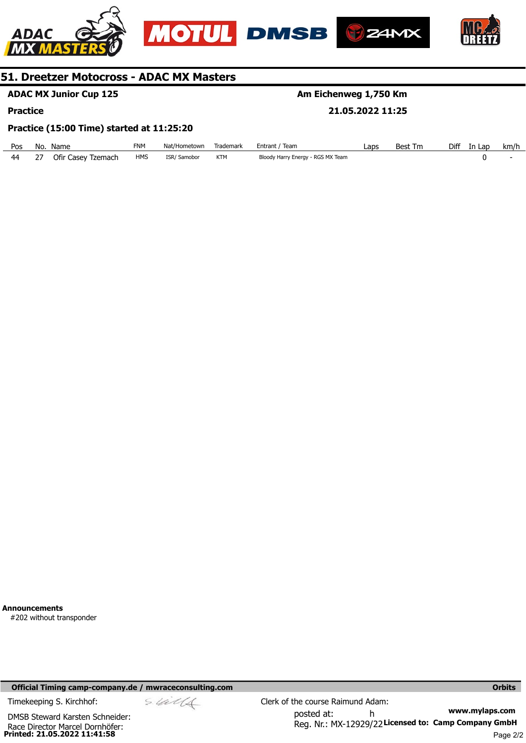







## **ADAC MX Junior Cup 125**

#### **Practice**

## **Am Eichenweg 1,750 Km**

#### **21.05.2022 11:25**

#### **Practice (15:00 Time) started at 11:25:20**

| Pos | No. | Name               | <b>FNM</b> | Nat/Hometown | Trademark | Entrant / Team                    | Laps | Best<br>Tm | Diff | In Lap | km/h |
|-----|-----|--------------------|------------|--------------|-----------|-----------------------------------|------|------------|------|--------|------|
| 44  |     | Ofir Casey Tzemach | <b>HMS</b> | ISR/Samobor  | KTM       | Bloody Harry Energy - RGS MX Team |      |            |      |        |      |

**Announcements** 

#202 without transponder

#### **Official Timing camp-company.de / mwraceconsulting.com <b>Orbits and Company.de Company** orbits **Orbits Orbits**

**Printed: 21.05.2022 11:41:58**  Race Director Marcel Dornhöfer: DMSB Steward Karsten Schneider: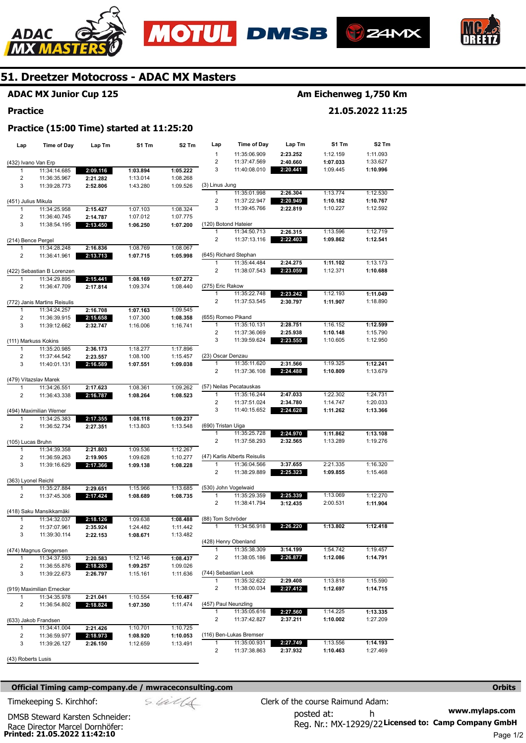





**21.05.2022 11:25** 



## **51. Dreetzer Motocross - ADAC MX Masters**

**Practice (15:00 Time) started at 11:25:20** 

## **ADAC MX Junior Cup 125**

#### **Practice**

| Lap                     | Time of Day                  | Lap Tm   | S1 Tm    | S <sub>2</sub> Tm | Lap                  | Time of Day                          | Lap Tm   | S1 Tm    | S2 Tm    |
|-------------------------|------------------------------|----------|----------|-------------------|----------------------|--------------------------------------|----------|----------|----------|
|                         |                              |          |          |                   | $\mathbf{1}$         | 11:35:06.909                         | 2:23.252 | 1:12.159 | 1:11.093 |
| (432) Ivano Van Erp     |                              |          |          |                   | $\overline{2}$       | 11:37:47.569                         | 2:40.660 | 1:07.033 | 1:33.627 |
| 1                       | 11:34:14.685                 | 2:09.116 | 1:03.894 | 1:05.222          | 3                    | 11:40:08.010                         | 2:20.441 | 1:09.445 | 1:10.996 |
| 2                       | 11:36:35.967                 | 2:21.282 | 1:13.014 | 1:08.268          |                      |                                      |          |          |          |
| 3                       | 11:39:28.773                 | 2:52.806 | 1:43.280 | 1:09.526          | (3) Linus Jung       |                                      |          |          |          |
|                         |                              |          |          |                   | $\mathbf{1}$         | 11:35:01.998                         | 2:26.304 | 1:13.774 | 1:12.530 |
| (451) Julius Mikula     |                              |          |          |                   | $\overline{2}$       | 11:37:22.947                         | 2:20.949 | 1:10.182 | 1:10.767 |
| 1                       | 11:34:25.958                 | 2:15.427 | 1:07.103 | 1:08.324          | 3                    | 11:39:45.766                         | 2:22.819 | 1:10.227 | 1:12.592 |
| 2                       | 11:36:40.745                 | 2:14.787 | 1:07.012 | 1:07.775          |                      |                                      |          |          |          |
| 3                       | 11:38:54.195                 | 2:13.450 | 1:06.250 | 1:07.200          | (120) Botond Hateier |                                      |          |          |          |
|                         |                              |          |          |                   | 1                    | 11:34:50.713                         | 2:26.315 | 1:13.596 | 1:12.719 |
| (214) Bence Pergel      |                              |          |          |                   | 2                    | 11:37:13.116                         | 2:22.403 | 1:09.862 | 1:12.541 |
| 1                       | 11:34:28.248                 | 2:16.836 | 1:08.769 | 1:08.067          |                      |                                      |          |          |          |
| 2                       | 11:36:41.961                 | 2:13.713 | 1:07.715 | 1:05.998          |                      | (645) Richard Stephan                |          |          |          |
|                         |                              |          |          |                   | 1                    | 11:35:44.484                         | 2:24.275 | 1:11.102 | 1:13.173 |
|                         | (422) Sebastian B Lorenzen   |          |          |                   | $\overline{2}$       | 11:38:07.543                         | 2:23.059 | 1:12.371 | 1:10.688 |
| 1                       | 11:34:29.895                 | 2:15.441 | 1:08.169 | 1:07.272          |                      |                                      |          |          |          |
| 2                       | 11:36:47.709                 | 2:17.814 | 1:09.374 | 1:08.440          | (275) Eric Rakow     |                                      |          |          |          |
|                         |                              |          |          |                   | 1                    | 11:35:22.748                         | 2:23.242 | 1:12.193 | 1:11.049 |
|                         | (772) Janis Martins Reisulis |          |          |                   | 2                    | 11:37:53.545                         | 2:30.797 | 1:11.907 | 1:18.890 |
| 1                       | 11:34:24.257                 | 2:16.708 | 1:07.163 | 1:09.545          |                      |                                      |          |          |          |
| $\overline{\mathbf{c}}$ | 11:36:39.915                 | 2:15.658 | 1:07.300 | 1:08.358          | (655) Romeo Pikand   |                                      |          |          |          |
| 3                       | 11:39:12.662                 | 2:32.747 | 1:16.006 | 1:16.741          | 1                    | 11:35:10.131                         | 2:28.751 | 1:16.152 | 1:12.599 |
|                         |                              |          |          |                   | $\overline{2}$       | 11:37:36.069                         | 2:25.938 | 1:10.148 | 1:15.790 |
|                         | (111) Markuss Kokins         |          |          |                   | 3                    | 11:39:59.624                         | 2:23.555 | 1:10.605 | 1:12.950 |
| 1                       | 11:35:20.985                 | 2:36.173 | 1:18.277 | 1:17.896          |                      |                                      |          |          |          |
| 2                       | 11:37:44.542                 | 2:23.557 | 1:08.100 | 1:15.457          | (23) Oscar Denzau    |                                      |          |          |          |
| 3                       | 11:40:01.131                 | 2:16.589 | 1:07.551 | 1:09.038          | $\mathbf{1}$         | 11:35:11.620                         | 2:31.566 | 1:19.325 | 1:12.241 |
|                         |                              |          |          |                   | $\overline{2}$       | 11:37:36.108                         | 2:24.488 | 1:10.809 | 1:13.679 |
|                         | (479) Vítazslav Marek        |          |          |                   |                      |                                      |          |          |          |
| 1                       | 11:34:26.551                 | 2:17.623 | 1:08.361 | 1:09.262          |                      | (57) Neilas Pecatauskas              |          |          |          |
| 2                       | 11:36:43.338                 | 2:16.787 | 1:08.264 | 1:08.523          | $\mathbf{1}$         | 11:35:16.244                         | 2:47.033 | 1:22.302 | 1:24.731 |
|                         |                              |          |          |                   | 2                    | 11:37:51.024                         | 2:34.780 | 1:14.747 | 1:20.033 |
|                         | (494) Maximilian Werner      |          |          |                   | 3                    | 11:40:15.652                         | 2:24.628 | 1:11.262 | 1:13.366 |
| 1                       | 11:34:25.383                 | 2:17.355 | 1:08.118 | 1:09.237          |                      |                                      |          |          |          |
| 2                       | 11:36:52.734                 | 2:27.351 | 1:13.803 | 1:13.548          | (690) Tristan Uiga   |                                      |          |          |          |
|                         |                              |          |          |                   | 1<br>$\overline{2}$  | 11:35:25.728                         | 2:24.970 | 1:11.862 | 1:13.108 |
| (105) Lucas Bruhn       |                              |          |          |                   |                      | 11:37:58.293                         | 2:32.565 | 1:13.289 | 1:19.276 |
| 1                       | 11:34:39.358                 | 2:21.803 | 1:09.536 | 1:12.267          |                      |                                      |          |          |          |
| 2                       | 11:36:59.263                 | 2:19.905 | 1:09.628 | 1:10.277          |                      | (47) Karlis Alberts Reisulis         |          |          |          |
| 3                       | 11:39:16.629                 | 2:17.366 | 1:09.138 | 1:08.228          | 1                    | 11:36:04.566                         | 3:37.655 | 2:21.335 | 1:16.320 |
|                         |                              |          |          |                   | 2                    | 11:38:29.889                         | 2:25.323 | 1:09.855 | 1:15.468 |
| (363) Lyonel Reichl     |                              |          |          |                   |                      |                                      |          |          |          |
| 1                       | 11:35:27.884                 | 2:29.651 | 1:15.966 | 1:13.685          |                      | (530) John Vogelwaid                 |          |          | 1:12.270 |
| $\overline{2}$          | 11:37:45.308                 | 2:17.424 | 1:08.689 | 1:08.735          | 1                    | 11:35:29.359                         | 2:25.339 | 1:13.069 |          |
|                         |                              |          |          |                   | $\overline{2}$       | 11:38:41.794                         | 3:12.435 | 2:00.531 | 1:11.904 |
|                         | (418) Saku Mansikkamäki      |          |          |                   | (88) Tom Schröder    |                                      |          |          |          |
| 1                       | 11:34:32.037                 | 2:18.126 | 1:09.638 | 1:08.488          | 1                    | 11:34:56.918                         |          | 1:13.802 | 1:12.418 |
| 2                       | 11:37:07.961                 | 2:35.924 | 1:24.482 | 1:11.442          |                      |                                      | 2:26.220 |          |          |
| 3                       | 11:39:30.114                 | 2:22.153 | 1:08.671 | 1:13.482          |                      |                                      |          |          |          |
|                         |                              |          |          |                   |                      | (428) Henry Obenland<br>11:35:38.309 |          | 1:54.742 | 1:19.457 |
|                         | (474) Magnus Gregersen       |          |          |                   | $\overline{2}$       |                                      | 3:14.199 |          | 1:14.791 |
| 1                       | 11:34:37.593                 | 2:20.583 | 1:12.146 | 1:08.437          |                      | 11:38:05.186                         | 2:26.877 | 1:12.086 |          |
| 2                       | 11:36:55.876                 | 2:18.283 | 1:09.257 | 1:09.026          |                      |                                      |          |          |          |
| 3                       | 11:39:22.673                 | 2:26.797 | 1:15.161 | 1:11.636          | 1                    | (744) Sebastian Leok<br>11:35:32.622 |          | 1:13.818 | 1:15.590 |
|                         |                              |          |          |                   | $\overline{2}$       |                                      | 2:29.408 |          |          |
|                         | (919) Maximilian Ernecker    |          |          |                   |                      | 11:38:00.034                         | 2:27.412 | 1:12.697 | 1:14.715 |
| 1                       | 11:34:35.978                 | 2:21.041 | 1:10.554 | 1:10.487          |                      |                                      |          |          |          |
| 2                       | 11:36:54.802                 | 2:18.824 | 1:07.350 | 1:11.474          | (457) Paul Neunzling |                                      |          |          |          |
|                         |                              |          |          |                   | 1                    | 11:35:05.616                         | 2:27.560 | 1:14.225 | 1:13.335 |
|                         | (633) Jakob Frandsen         |          |          |                   | $\overline{c}$       | 11:37:42.827                         | 2:37.211 | 1:10.002 | 1:27.209 |
| 1                       | 11:34:41.004                 | 2:21.426 | 1:10.701 | 1:10.725          |                      |                                      |          |          |          |
| 2                       | 11:36:59.977                 | 2:18.973 | 1:08.920 | 1:10.053          |                      | (116) Ben-Lukas Bremser              |          |          |          |
| 3                       | 11:39:26.127                 | 2:26.150 | 1:12.659 | 1:13.491          | $\mathbf{1}$         | 11:35:00.931                         | 2:27.749 | 1:13.556 | 1:14.193 |
|                         |                              |          |          |                   | $\overline{c}$       | 11:37:38.863                         | 2:37.932 | 1:10.463 | 1:27.469 |
| (43) Roberts Lusis      |                              |          |          |                   |                      |                                      |          |          |          |

#### **Official Timing camp-company.de / mwraceconsulting.com <b>Orbits and Company.defect in the Company** orbits **Orbits**

**www.mylaps.com**  Reg. Nr.: MX-12929/22 Licensed to: Camp Company GmbH posted at: h Timekeeping S. Kirchhof:  $\le \& \& \& \& \& \& \& \& \qquad \qquad$  Clerk of the course Raimund Adam:

Race Director Marcel Dornhöfer:<br>**Printed: 21.05.2022 11:42:10** DMSB Steward Karsten Schneider: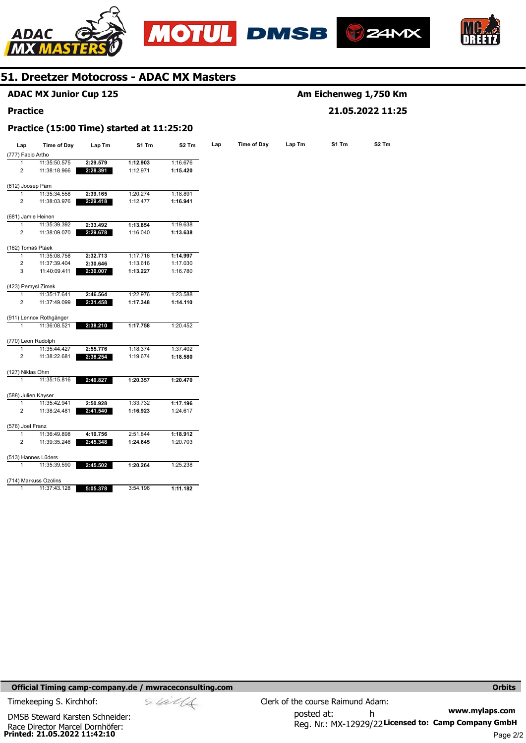







|                    | <b>ADAC MX Junior Cup 125</b>             |          |          |                   | Am Eichenweg 1,750 Km |                    |                  |       |                   |  |
|--------------------|-------------------------------------------|----------|----------|-------------------|-----------------------|--------------------|------------------|-------|-------------------|--|
| <b>Practice</b>    |                                           |          |          |                   |                       |                    | 21.05.2022 11:25 |       |                   |  |
|                    | Practice (15:00 Time) started at 11:25:20 |          |          |                   |                       |                    |                  |       |                   |  |
| Lap                | Time of Day                               | Lap Tm   | S1 Tm    | S <sub>2</sub> Tm | Lap                   | <b>Time of Day</b> | Lap Tm           | S1 Tm | S <sub>2</sub> Tm |  |
| (777) Fabio Artho  |                                           |          |          |                   |                       |                    |                  |       |                   |  |
| 1                  | 11:35:50.575                              | 2:29.579 | 1:12.903 | 1:16.676          |                       |                    |                  |       |                   |  |
| $\overline{2}$     | 11:38:18.966                              | 2:28.391 | 1:12.971 | 1:15.420          |                       |                    |                  |       |                   |  |
| (612) Joosep Pärn  |                                           |          |          |                   |                       |                    |                  |       |                   |  |
| $\mathbf{1}$       | 11:35:34.558                              | 2:39.165 | 1:20.274 | 1:18.891          |                       |                    |                  |       |                   |  |
| 2                  | 11:38:03.976                              | 2:29.418 | 1:12.477 | 1:16.941          |                       |                    |                  |       |                   |  |
| (681) Jamie Heinen |                                           |          |          |                   |                       |                    |                  |       |                   |  |
| 1                  | 11:35:39.392                              | 2:33.492 | 1:13.854 | 1:19.638          |                       |                    |                  |       |                   |  |
| $\overline{2}$     | 11:38:09.070                              | 2:29.678 | 1:16.040 | 1:13.638          |                       |                    |                  |       |                   |  |
| (162) Tomáš Ptáek  |                                           |          |          |                   |                       |                    |                  |       |                   |  |
| $\mathbf{1}$       | 11:35:08.758                              | 2:32.713 | 1:17.716 | 1:14.997          |                       |                    |                  |       |                   |  |
| $\boldsymbol{2}$   | 11:37:39.404                              | 2:30.646 | 1:13.616 | 1:17.030          |                       |                    |                  |       |                   |  |
| 3                  | 11:40:09.411                              | 2:30.007 | 1:13.227 | 1:16.780          |                       |                    |                  |       |                   |  |
|                    | (423) Pemysl Zimek                        |          |          |                   |                       |                    |                  |       |                   |  |
| 1                  | 11:35:17.641                              | 2:46.564 | 1:22.976 | 1:23.588          |                       |                    |                  |       |                   |  |
| $\overline{2}$     | 11:37:49.099                              | 2:31.458 | 1:17.348 | 1:14.110          |                       |                    |                  |       |                   |  |
|                    | (911) Lennox Rothgänger                   |          |          |                   |                       |                    |                  |       |                   |  |
| $\mathbf{1}$       | 11:36:08.521                              | 2:38.210 | 1:17.758 | 1:20.452          |                       |                    |                  |       |                   |  |
|                    | (770) Leon Rudolph                        |          |          |                   |                       |                    |                  |       |                   |  |
| 1                  | 11:35:44.427                              | 2:55.776 | 1:18.374 | 1:37.402          |                       |                    |                  |       |                   |  |
| $\overline{2}$     | 11:38:22.681                              | 2:38.254 | 1:19.674 | 1:18.580          |                       |                    |                  |       |                   |  |
| (127) Niklas Ohm   |                                           |          |          |                   |                       |                    |                  |       |                   |  |
| $\mathbf{1}$       | 11:35:15.816                              | 2:40.827 | 1:20.357 | 1:20.470          |                       |                    |                  |       |                   |  |
|                    | (588) Julien Kayser                       |          |          |                   |                       |                    |                  |       |                   |  |
| 1                  | 11:35:42.941                              | 2:50.928 | 1:33.732 | 1:17.196          |                       |                    |                  |       |                   |  |
| $\overline{2}$     | 11:38:24.481                              | 2:41.540 | 1:16.923 | 1:24.617          |                       |                    |                  |       |                   |  |
| (576) Joel Franz   |                                           |          |          |                   |                       |                    |                  |       |                   |  |
| 1                  | 11:36:49.898                              | 4:10.756 | 2:51.844 | 1:18.912          |                       |                    |                  |       |                   |  |
| $\boldsymbol{2}$   | 11:39:35.246                              | 2:45.348 | 1:24.645 | 1:20.703          |                       |                    |                  |       |                   |  |
|                    | (513) Hannes Lüders                       |          |          |                   |                       |                    |                  |       |                   |  |
| $\mathbf{1}$       | 11:35:39.590                              | 2:45.502 | 1:20.264 | 1:25.238          |                       |                    |                  |       |                   |  |
|                    | (714) Markuss Ozolins                     |          |          |                   |                       |                    |                  |       |                   |  |
| 1                  | 11:37:43.128                              | 5:05.378 | 3:54.196 | 1:11.182          |                       |                    |                  |       |                   |  |
|                    |                                           |          |          |                   |                       |                    |                  |       |                   |  |

**Official Timing camp-company.de / mwraceconsulting.com <b>Orbits Orbits Orbits Orbits** 

Race Director Marcel Dornhöfer:<br>**Printed: 21.05.2022 11:42:10** DMSB Steward Karsten Schneider: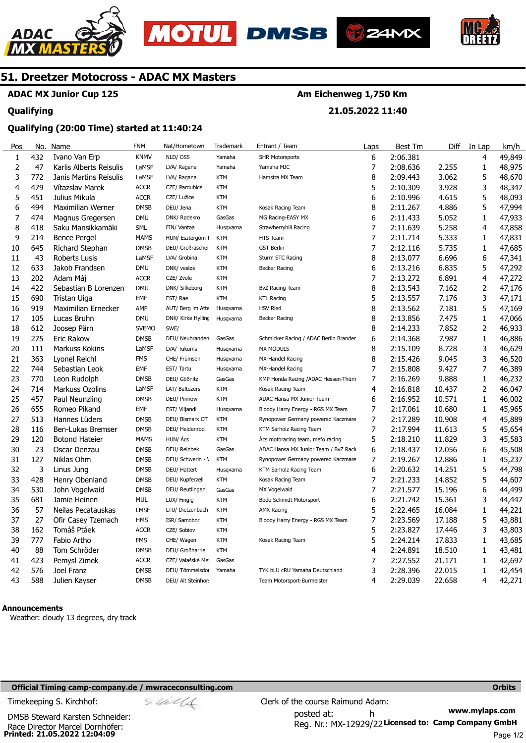





**21.05.2022 11:40** 



## **51. Dreetzer Motocross - ADAC MX Masters**

## **ADAC MX Junior Cup 125**

#### **Qualifying**

#### **Qualifying (20:00 Time) started at 11:40:24**

| Pos            | No. | Name                    | <b>FNM</b>   | Nat/Hometown       | Trademark  | Entrant / Team                         | Laps | Best Tm  | Diff   | In Lap       | km/h   |
|----------------|-----|-------------------------|--------------|--------------------|------------|----------------------------------------|------|----------|--------|--------------|--------|
| $\mathbf 1$    | 432 | Ivano Van Erp           | <b>KNMV</b>  | NLD/OSS            | Yamaha     | <b>SHR Motorsports</b>                 | 6    | 2:06.381 |        | 4            | 49,849 |
| $\overline{2}$ | 47  | Karlis Alberts Reisulis | LaMSF        | LVA/ Ragana        | Yamaha     | Yamaha MJC                             | 7    | 2:08.636 | 2.255  | 1            | 48,975 |
| 3              | 772 | Janis Martins Reisulis  | LaMSF        | LVA/ Ragana        | <b>KTM</b> | Hamstra MX Team                        | 8    | 2:09.443 | 3.062  | 5            | 48,670 |
| 4              | 479 | Vítazslav Marek         | <b>ACCR</b>  | CZE/ Pardubice     | <b>KTM</b> |                                        | 5    | 2:10.309 | 3.928  | 3            | 48,347 |
| 5              | 451 | Julius Mikula           | <b>ACCR</b>  | CZE/ Lužice        | <b>KTM</b> |                                        | 6    | 2:10.996 | 4.615  | 5            | 48,093 |
| 6              | 494 | Maximilian Werner       | <b>DMSB</b>  | DEU/ Jena          | <b>KTM</b> | Kosak Racing Team                      | 8    | 2:11.267 | 4.886  | 5            | 47,994 |
| $\overline{7}$ | 474 | Magnus Gregersen        | <b>DMU</b>   | DNK/ Rødekro       | GasGas     | MG Racing-EASY MX                      | 6    | 2:11.433 | 5.052  | 1            | 47,933 |
| 8              | 418 | Saku Mansikkamäki       | <b>SML</b>   | FIN/ Vantaa        | Husgvarna  | Strawberryhill Racing                  | 7    | 2:11.639 | 5.258  | 4            | 47,858 |
| 9              | 214 | <b>Bence Pergel</b>     | <b>MAMS</b>  | HUN/ Esztergom-I   | <b>KTM</b> | HTS Team                               | 7    | 2:11.714 | 5.333  | 1            | 47,831 |
| 10             | 645 | Richard Stephan         | <b>DMSB</b>  | DEU/ Großräscher   | <b>KTM</b> | <b>GST Berlin</b>                      | 7    | 2:12.116 | 5.735  | $\mathbf{1}$ | 47,685 |
| 11             | 43  | <b>Roberts Lusis</b>    | LaMSF        | LVA/ Grobina       | <b>KTM</b> | Sturm STC Racing                       | 8    | 2:13.077 | 6.696  | 6            | 47,341 |
| 12             | 633 | Jakob Frandsen          | <b>DMU</b>   | DNK/ vesløs        | <b>KTM</b> | <b>Becker Racing</b>                   | 6    | 2:13.216 | 6.835  | 5            | 47,292 |
| 13             | 202 | Adam Máj                | <b>ACCR</b>  | CZE/ Zvole         | <b>KTM</b> |                                        | 7    | 2:13.272 | 6.891  | 4            | 47,272 |
| 14             | 422 | Sebastian B Lorenzen    | <b>DMU</b>   | DNK/ Silkeborg     | <b>KTM</b> | <b>BvZ Racing Team</b>                 | 8    | 2:13.543 | 7.162  | 2            | 47,176 |
| 15             | 690 | Tristan Uiga            | EMF          | EST/Rae            | <b>KTM</b> | <b>KTL Racing</b>                      | 5    | 2:13.557 | 7.176  | 3            | 47,171 |
| 16             | 919 | Maximilian Ernecker     | AMF          | AUT/ Berg im Atte  | Husqvarna  | <b>HSV Ried</b>                        | 8    | 2:13.562 | 7.181  | 5            | 47,169 |
| 17             | 105 | Lucas Bruhn             | <b>DMU</b>   | DNK/ Kirke Hylling | Husqvarna  | Becker Racing                          | 8    | 2:13.856 | 7.475  | $\mathbf{1}$ | 47,066 |
| 18             | 612 | Joosep Pärn             | <b>SVEMO</b> | SWE/               |            |                                        | 8    | 2:14.233 | 7.852  | 2            | 46,933 |
| 19             | 275 | Eric Rakow              | <b>DMSB</b>  | DEU/ Neubranden    | GasGas     | Schmicker Racing / ADAC Berlin Brander | 6    | 2:14.368 | 7.987  | 1            | 46,886 |
| 20             | 111 | Markuss Kokins          | LaMSF        | LVA/ Tukums        | Husqvarna  | <b>MX MODULS</b>                       | 8    | 2:15.109 | 8.728  | 3            | 46,629 |
| 21             | 363 | Lyonel Reichl           | <b>FMS</b>   | CHE/ Frümsen       | Husqvarna  | MX-Handel Racing                       | 8    | 2:15.426 | 9.045  | 3            | 46,520 |
| 22             | 744 | Sebastian Leok          | <b>EMF</b>   | EST/ Tartu         | Husqvarna  | MX-Handel Racing                       | 7    | 2:15.808 | 9.427  | 7            | 46,389 |
| 23             | 770 | Leon Rudolph            | <b>DMSB</b>  | DEU/ Gößnitz       | GasGas     | KMP Honda Racing / ADAC Hessen-Thürir  | 7    | 2:16.269 | 9.888  | 1            | 46,232 |
| 24             | 714 | Markuss Ozolins         | LaMSF        | LAT/ Baltezers     | <b>KTM</b> | Kosak Racing Team                      | 4    | 2:16.818 | 10.437 | 2            | 46,047 |
| 25             | 457 | Paul Neunzling          | <b>DMSB</b>  | DEU/ Pinnow        | <b>KTM</b> | ADAC Hansa MX Junior Team              | 6    | 2:16.952 | 10.571 | $\mathbf{1}$ | 46,002 |
| 26             | 655 | Romeo Pikand            | EMF          | EST/ Viljandi      | Husgvarna  | Bloody Harry Energy - RGS MX Team      | 7    | 2:17.061 | 10.680 | 1            | 45,965 |
| 27             | 513 | Hannes Lüders           | <b>DMSB</b>  | DEU/ Bismark OT    | <b>KTM</b> | Rynopower Germany powered Kaczmare     | 7    | 2:17.289 | 10.908 | 4            | 45,889 |
| 28             | 116 | Ben-Lukas Bremser       | <b>DMSB</b>  | DEU/ Heidenrod     | <b>KTM</b> | KTM Sarholz Racing Team                | 7    | 2:17.994 | 11.613 | 5            | 45,654 |
| 29             | 120 | <b>Botond Hateier</b>   | <b>MAMS</b>  | HUN/ Ács           | <b>KTM</b> | Acs motoracing team, mefo racing       | 5    | 2:18.210 | 11.829 | 3            | 45,583 |
| 30             | 23  | Oscar Denzau            | <b>DMSB</b>  | DEU/ Reinbek       | GasGas     | ADAC Hansa MX Junior Team / BvZ Raci   | 6    | 2:18.437 | 12.056 | 6            | 45,508 |
| 31             | 127 | Niklas Ohm              | <b>DMSB</b>  | DEU/ Schwerin - \  | <b>KTM</b> | Rynopower Germany powered Kaczmare     | 7    | 2:19.267 | 12.886 | 1            | 45,237 |
| 32             | 3   | Linus Jung              | <b>DMSB</b>  | DEU/ Hattert       | Husqvarna  | KTM Sarholz Racing Team                | 6    | 2:20.632 | 14.251 | 5            | 44,798 |
| 33             | 428 | Henry Obenland          | <b>DMSB</b>  | DEU/ Kupferzell    | <b>KTM</b> | Kosak Racing Team                      | 7    | 2:21.233 | 14.852 | 5            | 44,607 |
| 34             | 530 | John Vogelwaid          | <b>DMSB</b>  | DEU/ Reutlingen    | GasGas     | MX Vogelwaid                           | 7    | 2:21.577 | 15.196 | 6            | 44,499 |
| 35             | 681 | Jamie Heinen            | <b>MUL</b>   | LUX/ Fingig        | <b>KTM</b> | Bodo Schmidt Motorsport                | 6    | 2:21.742 | 15.361 | 3            | 44,447 |
| 36             | 57  | Neilas Pecatauskas      | <b>LMSF</b>  | LTU/ Dietzenbach   | <b>KTM</b> | <b>AMX Racing</b>                      | 5    | 2:22.465 | 16.084 | 1            | 44,221 |
| 37             | 27  | Ofir Casey Tzemach      | <b>HMS</b>   | ISR/ Samobor       | <b>KTM</b> | Bloody Harry Energy - RGS MX Team      | 7    | 2:23.569 | 17.188 | 5            | 43,881 |
| 38             | 162 | Tomáš Ptáek             | <b>ACCR</b>  | CZE/ Sobiov        | <b>KTM</b> |                                        | 5    | 2:23.827 | 17.446 | 3            | 43,803 |
| 39             | 777 | Fabio Artho             | <b>FMS</b>   | CHE/ Wagen         | <b>KTM</b> | Kosak Racing Team                      | 5    | 2:24.214 | 17.833 | 1            | 43,685 |
| 40             | 88  | Tom Schröder            | <b>DMSB</b>  | DEU/ Großharrie    | <b>KTM</b> |                                        | 4    | 2:24.891 | 18.510 | 1            | 43,481 |
| 41             | 423 | Pemysl Zimek            | <b>ACCR</b>  | CZE/ Valašské Me:  | GasGas     |                                        | 7    | 2:27.552 | 21.171 | 1            | 42,697 |
| 42             | 576 | Joel Franz              | <b>DMSB</b>  | DEU/ Tömmelsdor    | Yamaha     | TYK bLU cRU Yamaha Deutschland         | 3    | 2:28.396 | 22.015 | 1            | 42,454 |
| 43             | 588 | Julien Kayser           | <b>DMSB</b>  | DEU/ Alt Steinhor: |            | Team Motorsport-Burmeister             | 4    | 2:29.039 | 22.658 | 4            | 42,271 |

#### **Announcements**

Weather: cloudy 13 degrees, dry track

#### **Official Timing camp-company.de / mwraceconsulting.com <b>Orbits and Company.de Company** orbits **Orbits Orbits**

**Printed: 21.05.2022 12:04:09**  Race Director Marcel Dornhöfer: DMSB Steward Karsten Schneider:

**www.mylaps.com**  Reg. Nr.: MX-12929/22 Licensed to: Camp Company GmbH posted at: h Timekeeping S. Kirchhof:  $\le \frac{1}{2}$  Clerk of the course Raimund Adam: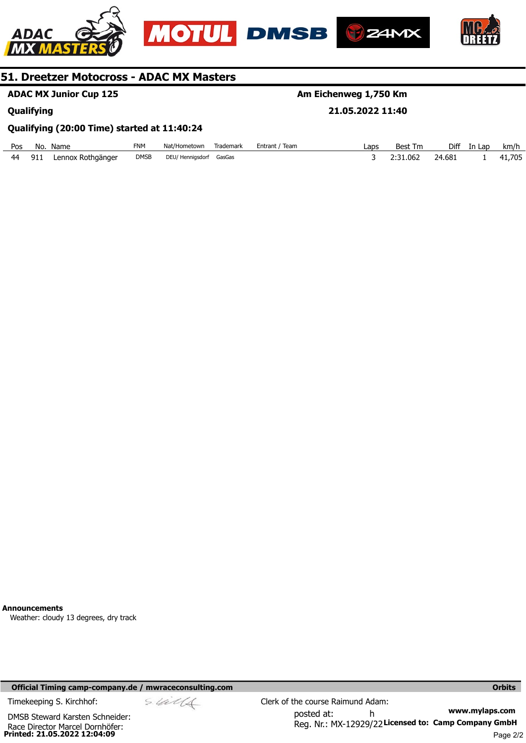





**ADAC MX Junior Cup 125** 

**Qualifying** 

## **Am Eichenweg 1,750 Km**

**21.05.2022 11:40** 

#### **Qualifying (20:00 Time) started at 11:40:24**

| Pos | No. | Name              | FNM         | Nat/Hometown     | Trademark | Team<br>Entrant / | Laps | <b>Best Tm</b> | Diff   | In Lap | km/h  |
|-----|-----|-------------------|-------------|------------------|-----------|-------------------|------|----------------|--------|--------|-------|
| 44  | 911 | Lennox Rothgänger | <b>DMSB</b> | DEU/ Hennigsdorf | GasGas    |                   |      | 2:31.062       | 24.681 |        | 1.705 |

**Announcements** 

Weather: cloudy 13 degrees, dry track

#### **Official Timing camp-company.de / mwraceconsulting.com <b>Orbits and Company.de Company** orbits **Orbits Orbits**

**Printed: 21.05.2022 12:04:09**  Race Director Marcel Dornhöfer: DMSB Steward Karsten Schneider: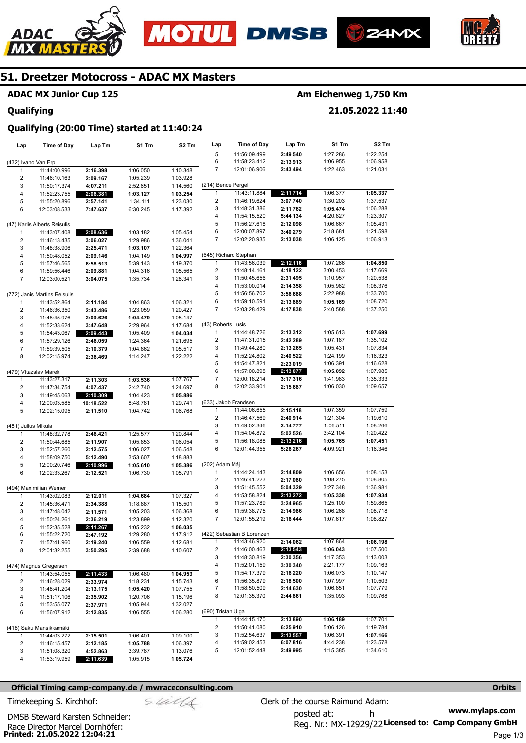







## **ADAC MX Junior Cup 125**

#### **Qualifying**

## **Am Eichenweg 1,750 Km**

**21.05.2022 11:40** 

#### **Qualifying (20:00 Time) started at 11:40:24**

| Lap                 | <b>Time of Day</b>           | Lap Tm               | S1 Tm                | S <sub>2</sub> Tm    | Lap                            | Time of Day                | Lap Tm               | S1 Tm    | S <sub>2</sub> Tm |
|---------------------|------------------------------|----------------------|----------------------|----------------------|--------------------------------|----------------------------|----------------------|----------|-------------------|
|                     |                              |                      |                      |                      | 5                              | 11:56:09.499               | 2:49.540             | 1:27.286 | 1:22.254          |
|                     | (432) Ivano Van Erp          |                      |                      |                      | 6                              | 11:58:23.412               | 2:13.913             | 1:06.955 | 1:06.958          |
| 1                   | 11:44:00.996                 | 2:16.398             | 1:06.050             | 1:10.348             | 7                              | 12:01:06.906               | 2:43.494             | 1:22.463 | 1:21.031          |
| 2                   | 11:46:10.163                 | 2:09.167             | 1:05.239             | 1:03.928             |                                |                            |                      |          |                   |
| 3                   | 11:50:17.374                 | 4:07.211             | 2:52.651             | 1:14.560             | (214) Bence Pergel             |                            |                      |          |                   |
| 4                   | 11:52:23.755                 | 2:06.381             | 1:03.127             | 1:03.254             | 1                              | 11:43:11.884               | 2:11.714             | 1:06.377 | 1:05.337          |
| 5                   | 11:55:20.896                 | 2:57.141             | 1:34.111             | 1:23.030             | 2                              | 11:46:19.624               | 3:07.740             | 1:30.203 | 1:37.537          |
| 6                   | 12:03:08.533                 | 7:47.637             | 6:30.245             | 1:17.392             | 3                              | 11:48:31.386               | 2:11.762             | 1:05.474 | 1:06.288          |
|                     |                              |                      |                      |                      | 4                              | 11:54:15.520               | 5:44.134             | 4:20.827 | 1:23.307          |
|                     | (47) Karlis Alberts Reisulis |                      |                      |                      | 5                              | 11:56:27.618               | 2:12.098             | 1:06.667 | 1:05.431          |
| 1                   | 11:43:07.408                 | 2:08.636             | 1:03.182             | 1:05.454             | 6                              | 12:00:07.897               | 3:40.279             | 2:18.681 | 1:21.598          |
| 2                   | 11:46:13.435                 | 3:06.027             | 1:29.986             | 1:36.041             | 7                              | 12:02:20.935               | 2:13.038             | 1:06.125 | 1:06.913          |
| 3                   | 11:48:38.906                 | 2:25.471             | 1:03.107             | 1:22.364             |                                |                            |                      |          |                   |
| 4                   | 11:50:48.052                 | 2:09.146             | 1:04.149             | 1:04.997             |                                | (645) Richard Stephan      |                      |          |                   |
| 5                   | 11:57:46.565                 | 6:58.513             | 5:39.143             | 1:19.370             | 1                              | 11:43:56.039               | 2:12.116             | 1:07.266 | 1:04.850          |
| 6                   | 11:59:56.446                 | 2:09.881             | 1:04.316             | 1:05.565             | 2                              | 11:48:14.161               | 4:18.122             | 3:00.453 | 1:17.669          |
| $\overline{7}$      | 12:03:00.521                 | 3:04.075             | 1:35.734             | 1:28.341             | 3                              | 11:50:45.656               | 2:31.495             | 1:10.957 | 1:20.538          |
|                     |                              |                      |                      |                      | 4                              | 11:53:00.014               | 2:14.358             | 1:05.982 | 1:08.376          |
|                     | (772) Janis Martins Reisulis |                      |                      |                      | 5                              | 11:56:56.702               | 3:56.688             | 2:22.988 | 1:33.700          |
| 1                   | 11:43:52.864                 | 2:11.184             | 1:04.863             | 1:06.321             | 6                              | 11:59:10.591               | 2:13.889             | 1:05.169 | 1:08.720          |
| 2                   | 11:46:36.350                 | 2:43.486             | 1:23.059             | 1:20.427             | 7                              | 12:03:28.429               | 4:17.838             | 2:40.588 | 1:37.250          |
| 3                   | 11:48:45.976                 | 2:09.626             | 1:04.479             | 1:05.147             |                                |                            |                      |          |                   |
| 4                   | 11:52:33.624                 | 3:47.648             | 2:29.964             | 1:17.684             | (43) Roberts Lusis             |                            |                      |          |                   |
| 5                   | 11:54:43.067                 | 2:09.443             | 1:05.409             | 1:04.034             | 1                              | 11:44:48.726               | 2:13.312             | 1:05.613 | 1:07.699          |
| 6                   | 11:57:29.126                 | 2:46.059             | 1:24.364             | 1:21.695             | 2                              | 11:47:31.015               | 2:42.289             | 1:07.187 | 1:35.102          |
| 7                   | 11:59:39.505                 | 2:10.379             | 1:04.862             | 1:05.517             | 3                              | 11:49:44.280               | 2:13.265             | 1:05.431 | 1:07.834          |
| 8                   | 12:02:15.974                 | 2:36.469             | 1:14.247             | 1:22.222             | 4                              | 11:52:24.802               | 2:40.522             | 1:24.199 | 1:16.323          |
|                     |                              |                      |                      |                      | 5                              | 11:54:47.821               | 2:23.019             | 1:06.391 | 1:16.628          |
|                     | (479) Vítazslav Marek        |                      |                      |                      | 6                              | 11:57:00.898               | 2:13.077             | 1:05.092 | 1:07.985          |
| 1                   | 11:43:27.317                 | 2:11.303             | 1:03.536             | 1:07.767             | 7                              | 12:00:18.214               | 3:17.316             | 1:41.983 | 1:35.333          |
| 2                   | 11:47:34.754                 | 4:07.437             | 2:42.740             | 1:24.697             | 8                              | 12:02:33.901               | 2:15.687             | 1:06.030 | 1:09.657          |
| 3                   | 11:49:45.063                 | 2:10.309             | 1:04.423             | 1:05.886             |                                |                            |                      |          |                   |
| 4                   | 12:00:03.585                 | 10:18.522            | 8:48.781             | 1:29.741             |                                | (633) Jakob Frandsen       |                      |          |                   |
| 5                   | 12:02:15.095                 | 2:11.510             | 1:04.742             | 1:06.768             | 1                              | 11:44:06.655               | 2:15.118             | 1:07.359 | 1:07.759          |
|                     |                              |                      |                      |                      | 2                              | 11:46:47.569               | 2:40.914             | 1:21.304 | 1:19.610          |
| (451) Julius Mikula |                              |                      |                      |                      | 3                              | 11:49:02.346               | 2:14.777             | 1:06.511 | 1:08.266          |
| 1                   | 11:48:32.778                 | 2:46.421             | 1:25.577             | 1:20.844             | 4                              | 11:54:04.872               | 5:02.526             | 3:42.104 | 1:20.422          |
| 2                   | 11:50:44.685                 | 2:11.907             | 1:05.853             | 1:06.054             | 5                              | 11:56:18.088               | 2:13.216             | 1:05.765 | 1:07.451          |
| 3                   | 11:52:57.260                 | 2:12.575             | 1:06.027             | 1:06.548             | 6                              | 12:01:44.355               | 5:26.267             | 4:09.921 | 1:16.346          |
| 4                   | 11:58:09.750                 | 5:12.490             | 3:53.607             | 1:18.883             |                                |                            |                      |          |                   |
| 5                   | 12:00:20.746                 | 2:10.996             | 1:05.610             | 1:05.386             | (202) Adam Máj<br>$\mathbf{1}$ | 11:44:24.143               |                      | 1:06.656 | 1:08.153          |
| 6                   | 12:02:33.267                 | 2:12.521             | 1:06.730             | 1:05.791             | 2                              | 11:46:41.223               | 2:14.809<br>2:17.080 | 1:08.275 | 1:08.805          |
|                     |                              |                      |                      |                      | 3                              | 11:51:45.552               | 5:04.329             | 3:27.348 | 1:36.981          |
|                     | (494) Maximilian Werner      |                      |                      |                      | 4                              | 11:53:58.824               | 2:13.272             | 1:05.338 | 1:07.934          |
| 1                   | 11:43:02.083                 | 2:12.011             | 1:04.684             | 1:07.327             | 5                              | 11:57:23.789               | 3:24.965             | 1:25.100 | 1:59.865          |
| 2                   | 11:45:36.471<br>11:47:48.042 | 2:34.388             | 1:18.887             | 1:15.501             | 6                              | 11:59:38.775               | 2:14.986             | 1:06.268 | 1:08.718          |
| 3<br>4              |                              | 2:11.571<br>2:36.219 | 1:05.203<br>1:23.899 | 1:06.368<br>1:12.320 | 7                              | 12:01:55.219               | 2:16.444             | 1:07.617 | 1:08.827          |
| 5                   | 11:50:24.261                 |                      |                      | 1:06.035             |                                |                            |                      |          |                   |
|                     | 11:52:35.528<br>11:55:22.720 | 2:11.267             | 1:05.232<br>1:29.280 |                      |                                | (422) Sebastian B Lorenzen |                      |          |                   |
| 6<br>7              | 11:57:41.960                 | 2:47.192             | 1:06.559             | 1:17.912             | 1                              | 11:43:46.920               | 2:14.062             | 1:07.864 | 1:06.198          |
| 8                   |                              | 2:19.240             |                      | 1:12.681             | 2                              | 11:46:00.463               | 2:13.543             | 1:06.043 | 1:07.500          |
|                     | 12:01:32.255                 | 3:50.295             | 2:39.688             | 1:10.607             | 3                              | 11:48:30.819               | 2:30.356             | 1:17.353 | 1:13.003          |
|                     | (474) Magnus Gregersen       |                      |                      |                      | 4                              | 11:52:01.159               | 3:30.340             | 2:21.177 | 1:09.163          |
| 1                   | 11:43:54.055                 | 2:11.433             | 1:06.480             | 1:04.953             | 5                              | 11:54:17.379               | 2:16.220             | 1:06.073 | 1:10.147          |
| 2                   | 11:46:28.029                 | 2:33.974             | 1:18.231             | 1:15.743             | 6                              | 11:56:35.879               | 2:18.500             | 1:07.997 | 1:10.503          |
| 3                   | 11:48:41.204                 | 2:13.175             | 1:05.420             | 1:07.755             | 7                              | 11:58:50.509               | 2:14.630             | 1:06.851 | 1:07.779          |
| 4                   |                              |                      | 1:20.706             | 1:15.196             | 8                              | 12:01:35.370               | 2:44.861             | 1:35.093 | 1:09.768          |
| 5                   | 11:51:17.106                 | 2:35.902<br>2:37.971 | 1:05.944             | 1:32.027             |                                |                            |                      |          |                   |
| 6                   | 11:53:55.077<br>11:56:07.912 | 2:12.835             | 1:06.555             | 1:06.280             | (690) Tristan Uiga             |                            |                      |          |                   |
|                     |                              |                      |                      |                      | 1                              | 11:44:15.170               | 2:13.890             | 1:06.189 | 1:07.701          |
|                     | (418) Saku Mansikkamäki      |                      |                      |                      | 2                              | 11:50:41.080               | 6:25.910             | 5:06.126 | 1:19.784          |
| 1                   | 11:44:03.272                 | 2:15.501             | 1:06.401             | 1:09.100             | 3                              | 11:52:54.637               | 2:13.557             | 1:06.391 | 1:07.166          |
| 2                   |                              |                      |                      | 1:06.397             | 4                              | 11:59:02.453               | 6:07.816             | 4:44.238 | 1:23.578          |
| 3                   | 11:46:15.457                 | 2:12.185<br>4:52.863 | 1:05.788             |                      | 5                              | 12:01:52.448               | 2:49.995             | 1:15.385 | 1:34.610          |
| 4                   | 11:51:08.320<br>11:53:19.959 | 2:11.639             | 3:39.787<br>1:05.915 | 1:13.076<br>1:05.724 |                                |                            |                      |          |                   |
|                     |                              |                      |                      |                      |                                |                            |                      |          |                   |

#### **Official Timing camp-company.de / mwraceconsulting.com <b>Orbits and Company.de Company** orbits **Orbits Orbits**

$$
= 4i\ell\ell\ell
$$

**www.mylaps.com**  Reg. Nr.: MX-12929/22 Licensed to: Camp Company GmbH posted at: h Timekeeping S. Kirchhof:  $\le \neq \neq \text{C}$  Clerk of the course Raimund Adam:

Race Director Marcel Dornhöfer:<br>**Printed: 21.05.2022 12:04:21** DMSB Steward Karsten Schneider: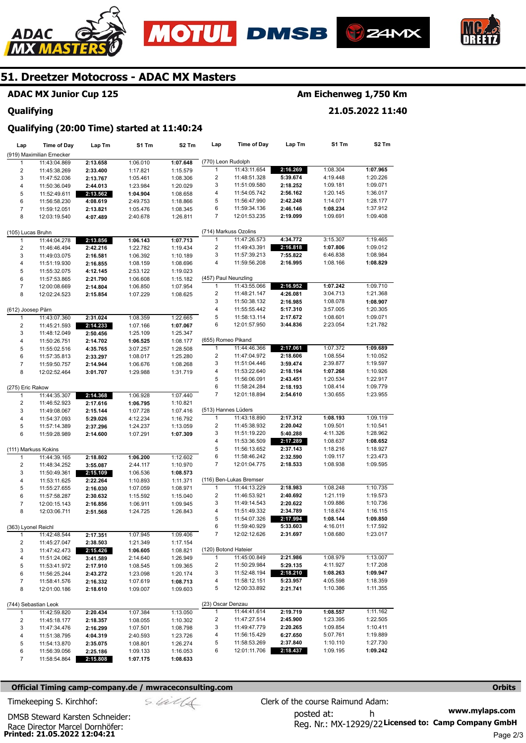







## **ADAC MX Junior Cup 125**

#### **Qualifying**

## **Am Eichenweg 1,750 Km**

**21.05.2022 11:40** 

## **Qualifying (20:00 Time) started at 11:40:24**

| Lap                     | <b>Time of Day</b>           | Lap Tm               | S1 Tm                | S2 Tm                | Lap                                     | <b>Time of Day</b>           | Lap Tm               | S1 Tm                | S2 Tm                |
|-------------------------|------------------------------|----------------------|----------------------|----------------------|-----------------------------------------|------------------------------|----------------------|----------------------|----------------------|
|                         | (919) Maximilian Ernecker    |                      |                      |                      |                                         |                              |                      |                      |                      |
| 1                       | 11:43:04.869                 | 2:13.658             | 1:06.010             | 1:07.648             | (770) Leon Rudolph                      |                              |                      |                      |                      |
| 2                       | 11:45:38.269                 | 2:33.400             | 1:17.821             | 1:15.579             | 1                                       | 11:43:11.654                 | 2:16.269             | 1:08.304             | 1:07.965             |
| 3                       | 11:47:52.036                 | 2:13.767             | 1:05.461             | 1:08.306             | $\overline{2}$                          | 11:48:51.328                 | 5:39.674             | 4:19.448             | 1:20.226             |
| $\overline{\mathbf{4}}$ | 11:50:36.049                 | 2:44.013             | 1:23.984             | 1:20.029             | 3                                       | 11:51:09.580                 | 2:18.252             | 1:09.181             | 1:09.071             |
| 5                       | 11:52:49.611                 | 2:13.562             | 1:04.904             | 1:08.658             | 4                                       | 11:54:05.742                 | 2:56.162             | 1:20.145             | 1:36.017             |
| 6                       | 11:56:58.230                 | 4:08.619             | 2:49.753             | 1:18.866             | 5                                       | 11:56:47.990                 | 2:42.248             | 1:14.071             | 1:28.177             |
| $\boldsymbol{7}$        | 11:59:12.051                 | 2:13.821             | 1:05.476             | 1:08.345             | 6                                       | 11:59:34.136                 | 2:46.146             | 1:08.234             | 1:37.912             |
| 8                       | 12:03:19.540                 | 4:07.489             | 2:40.678             | 1:26.811             | 7                                       | 12:01:53.235                 | 2:19.099             | 1:09.691             | 1:09.408             |
|                         |                              |                      |                      |                      |                                         |                              |                      |                      |                      |
| (105) Lucas Bruhn       |                              |                      |                      |                      |                                         | (714) Markuss Ozolins        |                      |                      |                      |
| 1                       | 11:44:04.278                 | 2:13.856             | 1:06.143             | 1:07.713             | $\mathbf{1}$                            | 11:47:26.573                 | 4:34.772             | 3:15.307             | 1:19.465             |
| 2                       | 11:46:46.494                 | 2:42.216             | 1:22.782             | 1:19.434             | $\overline{\mathbf{c}}$                 | 11:49:43.391                 | 2:16.818             | 1:07.806             | 1:09.012             |
| 3                       | 11:49:03.075                 | 2:16.581             | 1:06.392             | 1:10.189             | 3                                       | 11:57:39.213                 | 7:55.822             | 6:46.838             | 1:08.984             |
| 4                       | 11:51:19.930                 | 2:16.855             | 1:08.159             | 1:08.696             | 4                                       | 11:59:56.208                 | 2:16.995             | 1:08.166             | 1:08.829             |
| 5                       | 11:55:32.075                 | 4:12.145             | 2:53.122             | 1:19.023             |                                         |                              |                      |                      |                      |
| 6                       | 11:57:53.865                 | 2:21.790             | 1:06.608             | 1:15.182             |                                         | (457) Paul Neunzling         |                      |                      |                      |
| $\overline{7}$          | 12:00:08.669                 | 2:14.804             | 1:06.850             | 1:07.954             | 1<br>$\overline{2}$                     | 11:43:55.066<br>11:48:21.147 | 2:16.952<br>4:26.081 | 1:07.242<br>3:04.713 | 1:09.710             |
| 8                       | 12:02:24.523                 | 2:15.854             | 1:07.229             | 1:08.625             | 3                                       | 11:50:38.132                 | 2:16.985             | 1:08.078             | 1:21.368             |
|                         |                              |                      |                      |                      | 4                                       | 11:55:55.442                 | 5:17.310             | 3:57.005             | 1:08.907<br>1:20.305 |
| (612) Joosep Pärn<br>1  | 11:43:07.360                 | 2:31.024             | 1:08.359             | 1:22.665             | 5                                       | 11:58:13.114                 | 2:17.672             | 1:08.601             | 1:09.071             |
| $\overline{2}$          |                              | 2:14.233             | 1:07.166             |                      | 6                                       | 12:01:57.950                 | 3:44.836             | 2:23.054             | 1:21.782             |
| 3                       | 11:45:21.593<br>11:48:12.049 |                      | 1:25.109             | 1:07.067<br>1:25.347 |                                         |                              |                      |                      |                      |
| $\overline{\mathbf{4}}$ | 11:50:26.751                 | 2:50.456<br>2:14.702 | 1:06.525             | 1:08.177             | (655) Romeo Pikand                      |                              |                      |                      |                      |
| 5                       | 11:55:02.516                 | 4:35.765             | 3:07.257             | 1:28.508             | 1                                       | 11:44:46.366                 | 2:17.061             | 1:07.372             | 1:09.689             |
| 6                       | 11:57:35.813                 | 2:33.297             | 1:08.017             | 1:25.280             | $\overline{\mathbf{c}}$                 | 11:47:04.972                 | 2:18.606             | 1:08.554             | 1:10.052             |
| 7                       | 11:59:50.757                 | 2:14.944             | 1:06.676             | 1:08.268             | 3                                       | 11:51:04.446                 | 3:59.474             | 2:39.877             | 1:19.597             |
| 8                       | 12:02:52.464                 | 3:01.707             | 1:29.988             | 1:31.719             | 4                                       | 11:53:22.640                 | 2:18.194             | 1:07.268             | 1:10.926             |
|                         |                              |                      |                      |                      | 5                                       | 11:56:06.091                 | 2:43.451             | 1:20.534             | 1:22.917             |
| (275) Eric Rakow        |                              |                      |                      |                      | 6                                       | 11:58:24.284                 | 2:18.193             | 1:08.414             | 1:09.779             |
| 1                       | 11:44:35.307                 | 2:14.368             | 1:06.928             | 1:07.440             | $\overline{7}$                          | 12:01:18.894                 | 2:54.610             | 1:30.655             | 1:23.955             |
| 2                       | 11:46:52.923                 | 2:17.616             | 1:06.795             | 1:10.821             |                                         |                              |                      |                      |                      |
| 3                       | 11:49:08.067                 | 2:15.144             | 1:07.728             | 1:07.416             |                                         | (513) Hannes Lüders          |                      |                      |                      |
| 4                       | 11:54:37.093                 | 5:29.026             | 4:12.234             | 1:16.792             | 1                                       | 11:43:18.890                 | 2:17.312             | 1:08.193             | 1:09.119             |
| 5                       | 11:57:14.389                 | 2:37.296             | 1:24.237             | 1:13.059             | $\overline{2}$                          | 11:45:38.932                 | 2:20.042             | 1:09.501             | 1:10.541             |
| 6                       | 11:59:28.989                 | 2:14.600             | 1:07.291             | 1:07.309             | 3                                       | 11:51:19.220                 | 5:40.288             | 4:11.326             | 1:28.962             |
|                         |                              |                      |                      |                      | 4                                       | 11:53:36.509                 | 2:17.289             | 1:08.637             | 1:08.652             |
|                         | (111) Markuss Kokins         |                      |                      |                      | 5                                       | 11:56:13.652                 | 2:37.143             | 1:18.216             | 1:18.927             |
| 1                       | 11:44:39.165                 | 2:18.802             | 1:06.200             | 1:12.602             | 6                                       | 11:58:46.242                 | 2:32.590             | 1:09.117             | 1:23.473             |
| 2                       | 11:48:34.252                 | 3:55.087             | 2:44.117             | 1:10.970             | 7                                       | 12:01:04.775                 | 2:18.533             | 1:08.938             | 1:09.595             |
| 3                       | 11:50:49.361                 | 2:15.109             | 1:06.536             | 1:08.573             |                                         |                              |                      |                      |                      |
| 4                       | 11:53:11.625                 | 2:22.264             | 1:10.893             | 1:11.371             |                                         | (116) Ben-Lukas Bremser      |                      |                      |                      |
| 5                       | 11:55:27.655                 | 2:16.030             | 1:07.059             | 1:08.971             | 1                                       | 11:44:13.229                 | 2:18.983             | 1:08.248             | 1:10.735             |
| 6                       | 11:57:58.287                 | 2:30.632             | 1:15.592             | 1:15.040             | $\overline{2}$                          | 11:46:53.921                 | 2:40.692             | 1:21.119             | 1:19.573             |
| $\overline{7}$          | 12:00:15.143                 | 2:16.856             | 1:06.911             | 1:09.945             | 3                                       | 11:49:14.543                 | 2:20.622             | 1:09.886             | 1:10.736             |
| 8                       | 12:03:06.711                 | 2:51.568             | 1:24.725             | 1:26.843             | 4                                       | 11:51:49.332                 | 2:34.789             | 1:18.674             | 1:16.115             |
|                         |                              |                      |                      |                      | 5                                       | 11:54:07.326                 | 2:17.994             | 1:08.144             | 1:09.850             |
| (363) Lyonel Reichl     |                              |                      |                      |                      | 6                                       | 11:59:40.929                 | 5:33.603             | 4:16.011             | 1:17.592             |
|                         | 11:42:48.544                 | 2:17.351             | 1:07.945             | 1:09.406             | 7                                       | 12:02:12.626                 | 2:31.697             | 1:08.680             | 1:23.017             |
| $\overline{\mathbf{c}}$ | 11:45:27.047                 | 2:38.503             | 1:21.349             | 1:17.154             |                                         |                              |                      |                      |                      |
| 3                       | 11:47:42.473                 | 2:15.426             | 1:06.605             | 1:08.821             |                                         | (120) Botond Hateier         |                      |                      |                      |
| 4                       | 11:51:24.062                 | 3:41.589             | 2:14.640             | 1:26.949             | $\mathbf{1}$                            | 11:45:00.849                 | 2:21.986             | 1:08.979             | 1:13.007             |
| 5                       | 11:53:41.972                 | 2:17.910             | 1:08.545             | 1:09.365             | $\overline{\mathbf{c}}$                 | 11:50:29.984                 | 5:29.135             | 4:11.927             | 1:17.208             |
| 6                       | 11:56:25.244                 | 2:43.272             | 1:23.098             | 1:20.174             | 3                                       | 11:52:48.194                 | 2:18.210             | 1:08.263             | 1:09.947             |
| 7                       | 11:58:41.576                 | 2:16.332             | 1:07.619             | 1:08.713             | 4                                       | 11:58:12.151                 | 5:23.957             | 4:05.598             | 1:18.359             |
| 8                       | 12:01:00.186                 | 2:18.610             | 1:09.007             | 1:09.603             | 5                                       | 12:00:33.892                 | 2:21.741             | 1:10.386             | 1:11.355             |
|                         |                              |                      |                      |                      |                                         |                              |                      |                      |                      |
|                         | (744) Sebastian Leok         |                      |                      |                      | (23) Oscar Denzau                       |                              |                      |                      |                      |
| 1                       | 11:42:59.820                 | 2:20.434             | 1:07.384             | 1:13.050             | $\mathbf{1}$<br>$\overline{\mathbf{c}}$ | 11:44:41.614<br>11:47:27.514 | 2:19.719             | 1:08.557<br>1:23.395 | 1:11.162<br>1:22.505 |
| 2                       | 11:45:18.177                 | 2:18.357             | 1:08.055             | 1:10.302             | 3                                       | 11:49:47.779                 | 2:45.900<br>2:20.265 | 1:09.854             | 1:10.411             |
| 3                       | 11:47:34.476                 | 2:16.299             | 1:07.501             | 1:08.798<br>1:23.726 | 4                                       | 11:56:15.429                 | 6:27.650             | 5:07.761             | 1:19.889             |
| 4<br>5                  | 11:51:38.795<br>11:54:13.870 | 4:04.319             | 2:40.593             | 1:26.274             | 5                                       | 11:58:53.269                 | 2:37.840             | 1:10.110             | 1:27.730             |
| 6                       | 11:56:39.056                 | 2:35.075<br>2:25.186 | 1:08.801<br>1:09.133 | 1:16.053             | 6                                       | 12:01:11.706                 | 2:18.437             | 1:09.195             | 1:09.242             |
| $\overline{7}$          | 11:58:54.864                 | 2:15.808             | 1:07.175             | 1:08.633             |                                         |                              |                      |                      |                      |
|                         |                              |                      |                      |                      |                                         |                              |                      |                      |                      |

#### **Official Timing camp-company.de / mwraceconsulting.com <b>Orbits Orbits Orbits Orbits**

Race Director Marcel Dornhöfer:<br>**Printed: 21.05.2022 12:04:21** 

DMSB Steward Karsten Schneider:

**www.mylaps.com**  Reg. Nr.: MX-12929/22 Licensed to: Camp Company GmbH posted at: h Timekeeping S. Kirchhof:  $\le \neq \neq \text{C}$  Clerk of the course Raimund Adam: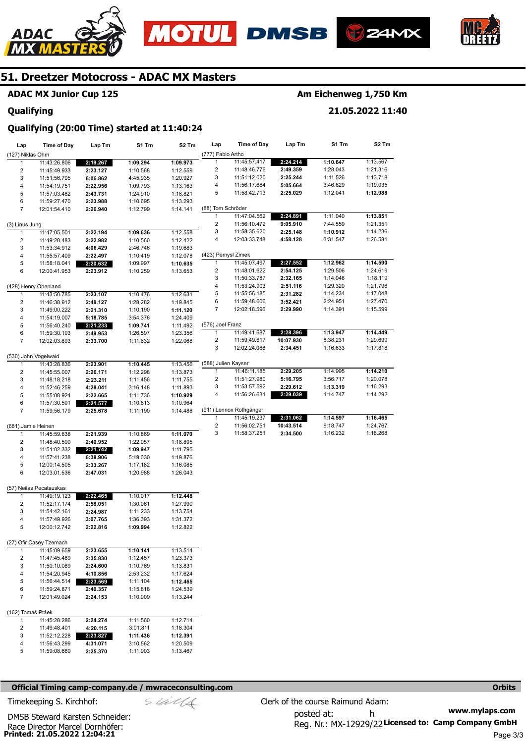





**21.05.2022 11:40** 



## **51. Dreetzer Motocross - ADAC MX Masters**

## **ADAC MX Junior Cup 125**

#### **Qualifying**

### **Qualifying (20:00 Time) started at 11:40:24**

| Lap                     | <b>Time of Day</b>                      | Lap Tm                | S1 Tm                | S2 Tm                | Lap                     | <b>Time of Day</b>      | Lap Tm    | S1 Tm    | S2 Tm    |
|-------------------------|-----------------------------------------|-----------------------|----------------------|----------------------|-------------------------|-------------------------|-----------|----------|----------|
| (127) Niklas Ohm        |                                         |                       |                      |                      | (777) Fabio Artho       |                         |           |          |          |
| 1                       | 11:43:26.806                            | 2:19.267              | 1:09.294             | 1:09.973             | 1                       | 11:45:57.417            | 2:24.214  | 1:10.647 | 1:13.567 |
| $\overline{\mathbf{c}}$ | 11:45:49.933                            | 2:23.127              | 1:10.568             | 1:12.559             | 2                       | 11:48:46.776            | 2:49.359  | 1:28.043 | 1:21.316 |
| 3                       | 11:51:56.795                            | 6:06.862              | 4:45.935             | 1:20.927             | 3                       | 11:51:12.020            | 2:25.244  | 1:11.526 | 1:13.718 |
| 4                       | 11:54:19.751                            | 2:22.956              | 1:09.793             | 1:13.163             | 4                       | 11:56:17.684            | 5:05.664  | 3:46.629 | 1:19.035 |
| 5                       | 11:57:03.482                            | 2:43.731              | 1:24.910             | 1:18.821             | 5                       | 11:58:42.713            | 2:25.029  | 1:12.041 | 1:12.988 |
| 6                       | 11:59:27.470                            | 2:23.988              | 1:10.695             | 1:13.293             |                         |                         |           |          |          |
| $\overline{7}$          | 12:01:54.410                            | 2:26.940              | 1:12.799             | 1:14.141             | (88) Tom Schröder       |                         |           |          |          |
|                         |                                         |                       |                      |                      | 1                       | 11:47:04.562            | 2:24.891  | 1:11.040 | 1:13.851 |
| (3) Linus Jung          |                                         |                       |                      |                      | $\overline{c}$          | 11:56:10.472            | 9:05.910  | 7:44.559 | 1:21.351 |
| $\mathbf{1}$            | 11:47:05.501                            | 2:22.194              | 1:09.636             | 1:12.558             | 3                       | 11:58:35.620            | 2:25.148  | 1:10.912 | 1:14.236 |
| 2                       | 11:49:28.483                            | 2:22.982              | 1:10.560             | 1:12.422             | 4                       | 12:03:33.748            | 4:58.128  | 3:31.547 | 1:26.581 |
| 3                       | 11:53:34.912                            | 4:06.429              | 2:46.746             | 1:19.683             |                         |                         |           |          |          |
| 4                       | 11:55:57.409                            | 2:22.497              | 1:10.419             | 1:12.078             | (423) Pemysl Zimek      |                         |           |          |          |
| 5                       | 11:58:18.041                            | 2:20.632              | 1:09.997             | 1:10.635             | 1                       | 11:45:07.497            | 2:27.552  | 1:12.962 | 1:14.590 |
| 6                       | 12:00:41.953                            | 2:23.912              | 1:10.259             | 1:13.653             | 2                       | 11:48:01.622            | 2:54.125  | 1:29.506 | 1:24.619 |
|                         |                                         |                       |                      |                      | 3                       | 11:50:33.787            | 2:32.165  | 1:14.046 | 1:18.119 |
|                         | (428) Henry Obenland                    |                       |                      |                      | 4                       | 11:53:24.903            | 2:51.116  | 1:29.320 | 1:21.796 |
| 1                       | 11:43:50.785                            | 2:23.107              | 1:10.476             | 1:12.631             | 5                       | 11:55:56.185            | 2:31.282  | 1:14.234 | 1:17.048 |
| 2                       | 11:46:38.912                            | 2:48.127              | 1:28.282             | 1:19.845             | 6                       | 11:59:48.606            | 3:52.421  | 2:24.951 | 1:27.470 |
| 3                       | 11:49:00.222                            | 2:21.310              | 1:10.190             | 1:11.120             | 7                       | 12:02:18.596            | 2:29.990  | 1:14.391 | 1:15.599 |
| 4                       | 11:54:19.007                            | 5:18.785              | 3:54.376             | 1:24.409             |                         |                         |           |          |          |
| 5                       | 11:56:40.240                            | 2:21.233              | 1:09.741             | 1:11.492             | (576) Joel Franz        |                         |           |          |          |
| 6                       | 11:59:30.193                            | 2:49.953              | 1:26.597             | 1:23.356             | 1                       | 11:49:41.687            | 2:28.396  | 1:13.947 | 1:14.449 |
| $\overline{7}$          | 12:02:03.893                            | 2:33.700              | 1:11.632             | 1:22.068             | $\overline{\mathbf{c}}$ | 11:59:49.617            | 10:07.930 | 8:38.231 | 1:29.699 |
|                         |                                         |                       |                      |                      | 3                       | 12:02:24.068            | 2:34.451  | 1:16.633 | 1:17.818 |
|                         | (530) John Vogelwaid                    |                       |                      |                      |                         |                         |           |          |          |
| 1                       | 11:43:28.836                            | 2:23.901              | 1:10.445             | 1:13.456             | (588) Julien Kayser     |                         |           |          |          |
| $\boldsymbol{2}$        | 11:45:55.007                            | 2:26.171              | 1:12.298             | 1:13.873             | 1                       | 11:46:11.185            | 2:29.205  | 1:14.995 | 1:14.210 |
| 3                       | 11:48:18.218                            | 2:23.211              | 1:11.456             | 1:11.755             | 2                       | 11:51:27.980            | 5:16.795  | 3:56.717 | 1:20.078 |
| 4                       | 11:52:46.259                            | 4:28.041              | 3:16.148             | 1:11.893             | 3                       | 11:53:57.592            | 2:29.612  | 1:13.319 | 1:16.293 |
| 5                       | 11:55:08.924                            | 2:22.665              | 1:11.736             | 1:10.929             | 4                       | 11:56:26.631            | 2:29.039  | 1:14.747 | 1:14.292 |
| 6                       | 11:57:30.501                            | $2:21.\overline{577}$ | 1:10.613             | 1:10.964             |                         |                         |           |          |          |
| $\overline{7}$          | 11:59:56.179                            | 2:25.678              | 1:11.190             | 1:14.488             |                         | (911) Lennox Rothgänger |           |          |          |
|                         |                                         |                       |                      |                      | 1                       | 11:45:19.237            | 2:31.062  | 1:14.597 | 1:16.465 |
| (681) Jamie Heinen      |                                         |                       |                      |                      | $\overline{\mathbf{c}}$ | 11:56:02.751            | 10:43.514 | 9:18.747 | 1:24.767 |
| 1                       | 11:45:59.638                            | 2:21.939              | 1:10.869             | 1:11.070             | 3                       | 11:58:37.251            | 2:34.500  | 1:16.232 | 1:18.268 |
| $\overline{c}$          | 11:48:40.590                            | 2:40.952              | 1:22.057             | 1:18.895             |                         |                         |           |          |          |
| 3                       | 11:51:02.332                            | 2:21.742              | 1:09.947             | 1:11.795             |                         |                         |           |          |          |
| 4                       | 11:57:41.238                            | 6:38.906              | 5:19.030             | 1:19.876             |                         |                         |           |          |          |
| 5                       | 12:00:14.505                            | 2:33.267              | 1:17.182             | 1:16.085             |                         |                         |           |          |          |
| 6                       | 12:03:01.536                            | 2:47.031              | 1:20.988             | 1:26.043             |                         |                         |           |          |          |
|                         |                                         |                       |                      |                      |                         |                         |           |          |          |
|                         | (57) Neilas Pecatauskas                 |                       |                      |                      |                         |                         |           |          |          |
| 1                       | 11:49:19.123                            | 2:22.465              | 1:10.017             | 1:12.448             |                         |                         |           |          |          |
| $\overline{\mathbf{c}}$ | 11:52:17.174                            | 2:58.051              | 1:30.061             | 1:27.990             |                         |                         |           |          |          |
| 3                       | 11:54:42.161                            | 2:24.987              | 1:11.233             | 1:13.754             |                         |                         |           |          |          |
| 4                       | 11:57:49.926                            | 3:07.765              | 1:36.393             | 1:31.372             |                         |                         |           |          |          |
| 5                       | 12:00:12.742                            | 2:22.816              | 1:09.994             | 1:12.822             |                         |                         |           |          |          |
|                         |                                         |                       |                      |                      |                         |                         |           |          |          |
|                         | (27) Ofir Casey Tzemach<br>11:45:09.659 |                       |                      | 1:13.514             |                         |                         |           |          |          |
| 1                       |                                         | 2:23.655              | 1:10.141             |                      |                         |                         |           |          |          |
| 2<br>3                  | 11:47:45.489                            | 2:35.830              | 1:12.457             | 1:23.373             |                         |                         |           |          |          |
|                         | 11:50:10.089                            | 2:24.600              | 1:10.769             | 1:13.831             |                         |                         |           |          |          |
| 4<br>5                  | 11:54:20.945<br>11:56:44.514            | 4:10.856              | 2:53.232             | 1:17.624             |                         |                         |           |          |          |
| 6                       |                                         | 2:23.569              | 1:11.104             | 1:12.465             |                         |                         |           |          |          |
| 7                       | 11:59:24.871<br>12:01:49.024            | 2:40.357              | 1:15.818<br>1:10.909 | 1:24.539<br>1:13.244 |                         |                         |           |          |          |
|                         |                                         | 2:24.153              |                      |                      |                         |                         |           |          |          |
| (162) Tomáš Ptáek       |                                         |                       |                      |                      |                         |                         |           |          |          |
| 1                       | 11:45:28.286                            | 2:24.274              | 1:11.560             | 1:12.714             |                         |                         |           |          |          |
| 2                       | 11:49:48.401                            | 4:20.115              | 3:01.811             | 1:18.304             |                         |                         |           |          |          |
| 3                       | 11:52:12.228                            | 2:23.827              | 1:11.436             | 1:12.391             |                         |                         |           |          |          |
| 4                       | 11:56:43.299                            | 4:31.071              | 3:10.562             | 1:20.509             |                         |                         |           |          |          |
| 5                       | 11:59:08.669                            | 2:25.370              | 1:11.903             | 1:13.467             |                         |                         |           |          |          |
|                         |                                         |                       |                      |                      |                         |                         |           |          |          |

#### **Official Timing camp-company.de / mwraceconsulting.com <b>Orbits and Company.de Company** orbits **Orbits Orbits**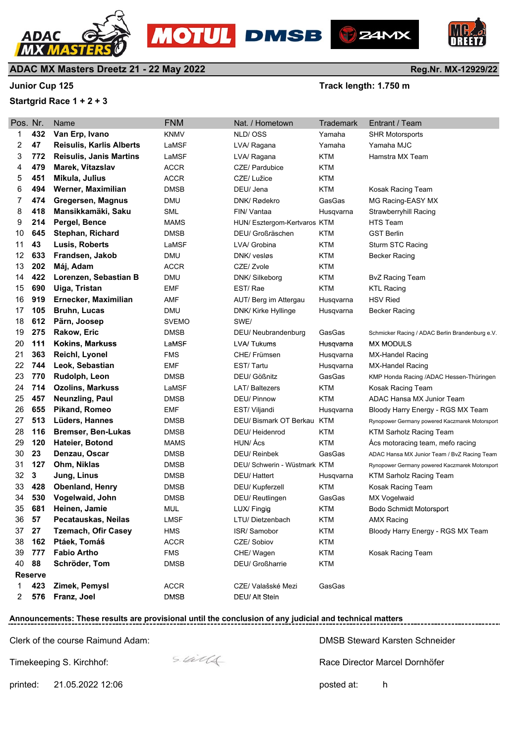



#### **Startgrid Race 1 + 2 + 3**

**Junior Cup 125 Junior Cup 125** 

**B**Z4MX

| Pos. Nr. |                | Name                            | <b>FNM</b>   | Nat. / Hometown              | Trademark  | Entrant / Team                                  |
|----------|----------------|---------------------------------|--------------|------------------------------|------------|-------------------------------------------------|
| 1        | 432            | Van Erp, Ivano                  | <b>KNMV</b>  | NLD/OSS                      | Yamaha     | <b>SHR Motorsports</b>                          |
| 2        | 47             | <b>Reisulis, Karlis Alberts</b> | LaMSF        | LVA/ Ragana                  | Yamaha     | Yamaha MJC                                      |
| 3        | 772            | <b>Reisulis, Janis Martins</b>  | LaMSF        | LVA/ Ragana                  | <b>KTM</b> | Hamstra MX Team                                 |
| 4        | 479            | Marek, Vítazslav                | <b>ACCR</b>  | CZE/ Pardubice               | <b>KTM</b> |                                                 |
| 5        | 451            | Mikula, Julius                  | <b>ACCR</b>  | CZE/ Lužice                  | KTM        |                                                 |
| 6        | 494            | Werner, Maximilian              | DMSB         | DEU/ Jena                    | <b>KTM</b> | Kosak Racing Team                               |
| 7        | 474            | Gregersen, Magnus               | <b>DMU</b>   | DNK/ Rødekro                 | GasGas     | MG Racing-EASY MX                               |
| 8        | 418            | Mansikkamäki, Saku              | <b>SML</b>   | FIN/ Vantaa                  | Husqvarna  | <b>Strawberryhill Racing</b>                    |
| 9        | 214            | Pergel, Bence                   | <b>MAMS</b>  | HUN/ Esztergom-Kertvaros KTM |            | <b>HTS Team</b>                                 |
| 10       | 645            | <b>Stephan, Richard</b>         | <b>DMSB</b>  | DEU/ Großräschen             | <b>KTM</b> | <b>GST Berlin</b>                               |
| 11       | 43             | Lusis, Roberts                  | LaMSF        | LVA/ Grobina                 | <b>KTM</b> | Sturm STC Racing                                |
| 12       | 633            | Frandsen, Jakob                 | DMU          | DNK/ vesløs                  | <b>KTM</b> | Becker Racing                                   |
| 13       | 202            | Máj, Adam                       | <b>ACCR</b>  | CZE/ Zvole                   | <b>KTM</b> |                                                 |
| 14       | 422            | Lorenzen, Sebastian B           | <b>DMU</b>   | DNK/ Silkeborg               | <b>KTM</b> | <b>BvZ Racing Team</b>                          |
| 15       | 690            | Uiga, Tristan                   | EMF          | EST/Rae                      | <b>KTM</b> | <b>KTL Racing</b>                               |
| 16       | 919            | Ernecker, Maximilian            | AMF          | AUT/ Berg im Attergau        | Husqvarna  | <b>HSV Ried</b>                                 |
| 17       | 105            | <b>Bruhn, Lucas</b>             | DMU          | DNK/ Kirke Hyllinge          | Husqvarna  | <b>Becker Racing</b>                            |
| 18       | 612            | Pärn, Joosep                    | <b>SVEMO</b> | SWE/                         |            |                                                 |
| 19       | 275            | Rakow, Eric                     | DMSB         | DEU/ Neubrandenburg          | GasGas     | Schmicker Racing / ADAC Berlin Brandenburg e.V. |
| 20       | 111            | Kokins, Markuss                 | LaMSF        | LVA/Tukums                   | Husqvarna  | <b>MX MODULS</b>                                |
| 21       | 363            | Reichl, Lyonel                  | FMS          | CHE/ Frümsen                 | Husqvarna  | <b>MX-Handel Racing</b>                         |
| 22       | 744            | Leok, Sebastian                 | EMF          | EST/Tartu                    | Husqvarna  | MX-Handel Racing                                |
| 23       | 770            | Rudolph, Leon                   | DMSB         | DEU/ Gößnitz                 | GasGas     | KMP Honda Racing /ADAC Hessen-Thüringen         |
| 24       | 714            | <b>Ozolins, Markuss</b>         | LaMSF        | <b>LAT/ Baltezers</b>        | <b>KTM</b> | Kosak Racing Team                               |
| 25       | 457            | <b>Neunzling, Paul</b>          | DMSB         | <b>DEU/ Pinnow</b>           | <b>KTM</b> | ADAC Hansa MX Junior Team                       |
| 26       | 655            | Pikand, Romeo                   | <b>EMF</b>   | EST/ Viljandi                | Husqvarna  | Bloody Harry Energy - RGS MX Team               |
| 27       | 513            | Lüders, Hannes                  | DMSB         | DEU/ Bismark OT Berkau       | KTM        | Rynopower Germany powered Kaczmarek Motorsport  |
| 28       | 116            | <b>Bremser, Ben-Lukas</b>       | <b>DMSB</b>  | DEU/ Heidenrod               | <b>KTM</b> | <b>KTM Sarholz Racing Team</b>                  |
| 29       | 120            | <b>Hateier, Botond</b>          | MAMS         | HUN/ Ács                     | <b>KTM</b> | Acs motoracing team, mefo racing                |
| 30       | 23             | Denzau, Oscar                   | <b>DMSB</b>  | DEU/ Reinbek                 | GasGas     | ADAC Hansa MX Junior Team / BvZ Racing Team     |
| 31       | 127            | Ohm, Niklas                     | <b>DMSB</b>  | DEU/ Schwerin - Wüstmark KTM |            | Rynopower Germany powered Kaczmarek Motorsport  |
| 32       | 3              | Jung, Linus                     | DMSB         | DEU/ Hattert                 | Husqvarna  | <b>KTM Sarholz Racing Team</b>                  |
| 33       | 428            | <b>Obenland, Henry</b>          | <b>DMSB</b>  | DEU/ Kupferzell              | <b>KTM</b> | Kosak Racing Team                               |
| 34       | 530            | Vogelwaid, John                 | DMSB         | <b>DEU/ Reutlingen</b>       | GasGas     | <b>MX Vogelwaid</b>                             |
| 35       | 681            | Heinen, Jamie                   | <b>MUL</b>   | LUX/ Fingig                  | <b>KTM</b> | Bodo Schmidt Motorsport                         |
| 36       | 57             | Pecatauskas, Neilas             | <b>LMSF</b>  | LTU/Dietzenbach              | <b>KTM</b> | <b>AMX Racing</b>                               |
| 37       | 27             | <b>Tzemach, Ofir Casey</b>      | <b>HMS</b>   | ISR/Samobor                  | <b>KTM</b> | Bloody Harry Energy - RGS MX Team               |
| 38       | 162            | Ptáek, Tomáš                    | <b>ACCR</b>  | CZE/ Sobiov                  | <b>KTM</b> |                                                 |
| 39       | 777            | <b>Fabio Artho</b>              | <b>FMS</b>   | CHE/ Wagen                   | <b>KTM</b> | Kosak Racing Team                               |
| 40       | 88             | Schröder, Tom                   | <b>DMSB</b>  | DEU/ Großharrie              | <b>KTM</b> |                                                 |
|          | <b>Reserve</b> |                                 |              |                              |            |                                                 |
| 1        | 423            | Zimek, Pemysl                   | <b>ACCR</b>  | CZE/ Valašské Mezi           | GasGas     |                                                 |
| 2        | 576            | Franz, Joel                     | <b>DMSB</b>  | DEU/ Alt Stein               |            |                                                 |

**OTUL** DMSB

## **Announcements: These results are provisional until the conclusion of any judicial and technical matters**

Clerk of the course Raimund Adam:

Timekeeping S. Kirchhof:



DMSB Steward Karsten Schneider

Race Director Marcel Dornhöfer

suite



printed: 21.05.2022 12:06 posted at: h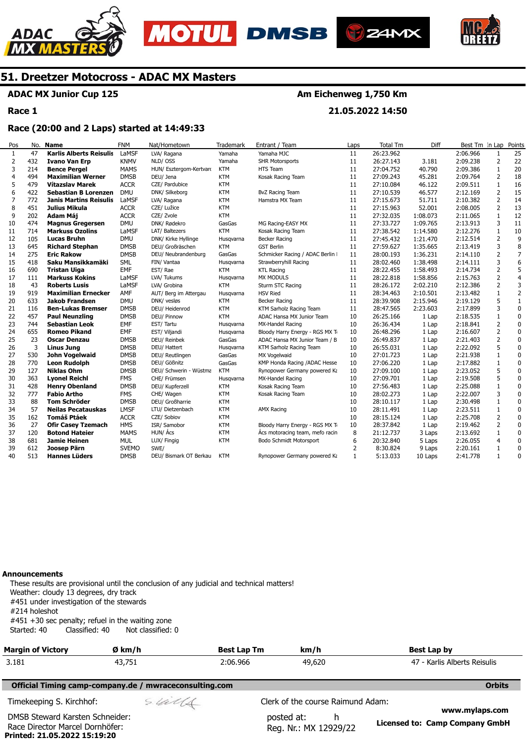







#### **ADAC MX Junior Cup 125**

**Race 1** 

#### **Am Eichenweg 1,750 Km**

**21.05.2022 14:50** 

#### **Race (20:00 and 2 Laps) started at 14:49:33**

| Pos            | No. | <b>Name</b>                    | <b>FNM</b>   | Nat/Hometown            | <b>Trademark</b> | Entrant / Team                   | Laps | <b>Total Tm</b> | Diff     | Best Tm In Lap |                | Points         |
|----------------|-----|--------------------------------|--------------|-------------------------|------------------|----------------------------------|------|-----------------|----------|----------------|----------------|----------------|
| $\mathbf{1}$   | 47  | <b>Karlis Alberts Reisulis</b> | LaMSF        | LVA/ Ragana             | Yamaha           | Yamaha MJC                       | 11   | 26:23.962       |          | 2:06.966       | $\mathbf{1}$   | 25             |
| 2              | 432 | <b>Ivano Van Erp</b>           | <b>KNMV</b>  | NLD/OSS                 | Yamaha           | <b>SHR Motorsports</b>           | 11   | 26:27.143       | 3.181    | 2:09.238       | 2              | 22             |
| 3              | 214 | <b>Bence Pergel</b>            | <b>MAMS</b>  | HUN/ Esztergom-Kertvard | <b>KTM</b>       | <b>HTS Team</b>                  | 11   | 27:04.752       | 40.790   | 2:09.386       | 1              | 20             |
| $\overline{4}$ | 494 | <b>Maximilian Werner</b>       | <b>DMSB</b>  | DEU/ Jena               | <b>KTM</b>       | Kosak Racing Team                | 11   | 27:09.243       | 45.281   | 2:09.764       | 2              | 18             |
| 5              | 479 | Vítazslav Marek                | <b>ACCR</b>  | CZE/ Pardubice          | <b>KTM</b>       |                                  | 11   | 27:10.084       | 46.122   | 2:09.511       | 1              | 16             |
| 6              | 422 | Sebastian B Lorenzen           | <b>DMU</b>   | DNK/ Silkeborg          | <b>KTM</b>       | BvZ Racing Team                  | 11   | 27:10.539       | 46.577   | 2:12.169       | $\overline{2}$ | 15             |
| 7              | 772 | <b>Janis Martins Reisulis</b>  | LaMSF        | LVA/ Ragana             | <b>KTM</b>       | Hamstra MX Team                  | 11   | 27:15.673       | 51.711   | 2:10.382       | 2              | 14             |
| 8              | 451 | Julius Mikula                  | <b>ACCR</b>  | CZE/ Lužice             | <b>KTM</b>       |                                  | 11   | 27:15.963       | 52.001   | 2:08.005       | 2              | 13             |
| 9              | 202 | Adam Máj                       | <b>ACCR</b>  | CZE/ Zvole              | KTM              |                                  | 11   | 27:32.035       | 1:08.073 | 2:11.065       | 1              | 12             |
| 10             | 474 | <b>Magnus Gregersen</b>        | <b>DMU</b>   | DNK/ Rødekro            | GasGas           | MG Racing-EASY MX                | 11   | 27:33.727       | 1:09.765 | 2:13.913       | 3              | 11             |
| 11             | 714 | <b>Markuss Ozolins</b>         | LaMSF        | LAT/ Baltezers          | <b>KTM</b>       | Kosak Racing Team                | 11   | 27:38.542       | 1:14.580 | 2:12.276       | $\mathbf{1}$   | 10             |
| 12             | 105 | <b>Lucas Bruhn</b>             | <b>DMU</b>   | DNK/ Kirke Hyllinge     | Husgvarna        | Becker Racing                    | 11   | 27:45.432       | 1:21.470 | 2:12.514       | $\overline{2}$ | 9              |
| 13             | 645 | <b>Richard Stephan</b>         | <b>DMSB</b>  | DEU/ Großräschen        | <b>KTM</b>       | <b>GST Berlin</b>                | 11   | 27:59.627       | 1:35.665 | 2:13.419       | 3              | 8              |
| 14             | 275 | <b>Eric Rakow</b>              | <b>DMSB</b>  | DEU/ Neubrandenburg     | GasGas           | Schmicker Racing / ADAC Berlin I | 11   | 28:00.193       | 1:36.231 | 2:14.110       | $\overline{2}$ | $\overline{7}$ |
| 15             | 418 | Saku Mansikkamäki              | <b>SML</b>   | FIN/ Vantaa             | Husqvarna        | Strawberryhill Racing            | 11   | 28:02.460       | 1:38.498 | 2:14.111       | 3              | 6              |
| 16             | 690 | Tristan Uiga                   | <b>EMF</b>   | EST/Rae                 | KTM              | <b>KTL Racing</b>                | 11   | 28:22.455       | 1:58.493 | 2:14.734       | 2              | 5              |
| 17             | 111 | <b>Markuss Kokins</b>          | LaMSF        | LVA/ Tukums             | Husgvarna        | <b>MX MODULS</b>                 | 11   | 28:22.818       | 1:58.856 | 2:15.763       | 2              | $\overline{4}$ |
| 18             | 43  | <b>Roberts Lusis</b>           | LaMSF        | LVA/ Grobina            | KTM              | Sturm STC Racing                 | 11   | 28:26.172       | 2:02.210 | 2:12.386       | $\overline{2}$ | 3              |
| 19             | 919 | <b>Maximilian Ernecker</b>     | AMF          | AUT/ Berg im Attergau   | Husgvarna        | <b>HSV Ried</b>                  | 11   | 28:34.463       | 2:10.501 | 2:13.482       | $\mathbf{1}$   | $\overline{2}$ |
| 20             | 633 | Jakob Frandsen                 | <b>DMU</b>   | DNK/ vesløs             | <b>KTM</b>       | Becker Racing                    | 11   | 28:39.908       | 2:15.946 | 2:19.129       | 5              | $\mathbf{1}$   |
| 21             | 116 | <b>Ben-Lukas Bremser</b>       | <b>DMSB</b>  | DEU/ Heidenrod          | KTM              | KTM Sarholz Racing Team          | 11   | 28:47.565       | 2:23.603 | 2:17.899       | 3              | $\mathbf 0$    |
| 22             | 457 | <b>Paul Neunzling</b>          | <b>DMSB</b>  | DEU/ Pinnow             | <b>KTM</b>       | ADAC Hansa MX Junior Team        | 10   | 26:25.166       | 1 Lap    | 2:18.535       | $\mathbf{1}$   | 0              |
| 23             | 744 | <b>Sebastian Leok</b>          | <b>EMF</b>   | EST/Tartu               | Husgvarna        | MX-Handel Racing                 | 10   | 26:36.434       | 1 Lap    | 2:18.841       | $\overline{2}$ | $\pmb{0}$      |
| 24             | 655 | <b>Romeo Pikand</b>            | EMF          | EST/ Viljandi           | Husqvarna        | Bloody Harry Energy - RGS MX Ti  | 10   | 26:48.296       | 1 Lap    | 2:16.607       | $\overline{2}$ | $\pmb{0}$      |
| 25             | 23  | <b>Oscar Denzau</b>            | <b>DMSB</b>  | DEU/ Reinbek            | GasGas           | ADAC Hansa MX Junior Team / B    | 10   | 26:49.837       | 1 Lap    | 2:21.403       | 2              | $\pmb{0}$      |
| 26             | 3   | <b>Linus Jung</b>              | <b>DMSB</b>  | DEU/ Hattert            | Husgvarna        | KTM Sarholz Racing Team          | 10   | 26:55.031       | 1 Lap    | 2:22.092       | 5              | $\mathbf 0$    |
| 27             | 530 | John Vogelwaid                 | <b>DMSB</b>  | DEU/ Reutlingen         | GasGas           | MX Vogelwaid                     | 10   | 27:01.723       | 1 Lap    | 2:21.938       | $\mathbf{1}$   | $\mathbf 0$    |
| 28             | 770 | <b>Leon Rudolph</b>            | <b>DMSB</b>  | DEU/ Gößnitz            | GasGas           | KMP Honda Racing /ADAC Hesse     | 10   | 27:06.220       | 1 Lap    | 2:17.882       | 1              | $\pmb{0}$      |
| 29             | 127 | <b>Niklas Ohm</b>              | <b>DMSB</b>  | DEU/ Schwerin - Wüstma  | <b>KTM</b>       | Rynopower Germany powered Ka     | 10   | 27:09.100       | 1 Lap    | 2:23.052       | 5              | 0              |
| 30             | 363 | <b>Lyonel Reichl</b>           | <b>FMS</b>   | CHE/ Frümsen            | Husqvarna        | MX-Handel Racing                 | 10   | 27:09.701       | 1 Lap    | 2:19.508       | 5              | $\mathbf 0$    |
| 31             | 428 | <b>Henry Obenland</b>          | <b>DMSB</b>  | DEU/ Kupferzell         | <b>KTM</b>       | Kosak Racing Team                | 10   | 27:56.483       | 1 Lap    | 2:25.088       | 1              | 0              |
| 32             | 777 | Fabio Artho                    | <b>FMS</b>   | CHE/ Wagen              | <b>KTM</b>       | Kosak Racing Team                | 10   | 28:02.273       | 1 Lap    | 2:22.007       | 3              | 0              |
| 33             | 88  | Tom Schröder                   | <b>DMSB</b>  | DEU/ Großharrie         | KTM              |                                  | 10   | 28:10.117       | 1 Lap    | 2:30.498       | $\mathbf{1}$   | $\mathbf 0$    |
| 34             | 57  | <b>Neilas Pecatauskas</b>      | <b>LMSF</b>  | LTU/ Dietzenbach        | <b>KTM</b>       | <b>AMX Racing</b>                | 10   | 28:11.491       | 1 Lap    | 2:23.511       | 1              | $\mathbf 0$    |
| 35             | 162 | Tomáš Ptáek                    | <b>ACCR</b>  | CZE/ Sobiov             | <b>KTM</b>       |                                  | 10   | 28:15.124       | 1 Lap    | 2:25.708       | $\overline{2}$ | $\pmb{0}$      |
| 36             | 27  | <b>Ofir Casey Tzemach</b>      | <b>HMS</b>   | ISR/ Samobor            | <b>KTM</b>       | Bloody Harry Energy - RGS MX Ti  | 10   | 28:37.842       | 1 Lap    | 2:19.462       | 2              | 0              |
| 37             | 120 | <b>Botond Hateier</b>          | <b>MAMS</b>  | HUN/ Ács                | <b>KTM</b>       | Acs motoracing team, mefo racin  | 8    | 21:12.737       | 3 Laps   | 2:13.692       | 1              | 0              |
| 38             | 681 | Jamie Heinen                   | <b>MUL</b>   | LUX/ Fingig             | <b>KTM</b>       | Bodo Schmidt Motorsport          | 6    | 20:32.840       | 5 Laps   | 2:26.055       | 4              | 0              |
| 39             | 612 | Joosep Pärn                    | <b>SVEMO</b> | SWE/                    |                  |                                  | 2    | 8:30.824        | 9 Laps   | 2:20.161       | $\mathbf{1}$   | $\mathbf 0$    |
| 40             | 513 | <b>Hannes Lüders</b>           | <b>DMSB</b>  | DEU/ Bismark OT Berkau  | <b>KTM</b>       | Rynopower Germany powered Ka     | 1    | 5:13.033        | 10 Laps  | 2:41.778       | $\mathbf{1}$   | $\Omega$       |

#### **Announcements**

**Printed: 21.05.2022 15:19:20** 

These results are provisional until the conclusion of any judicial and technical matters! Weather: cloudy 13 degrees, dry track #451 under investigation of the stewards #214 holeshot #451 +30 sec penalty; refuel in the waiting zone Classified: 40 Not classified: 0

| <b>Margin of Victory</b>                                           | Ø km/h                                                 | <b>Best Lap Tm</b> | km/h                                     | Best Lap by                                             |
|--------------------------------------------------------------------|--------------------------------------------------------|--------------------|------------------------------------------|---------------------------------------------------------|
| 3.181                                                              | 43,751                                                 | 2:06.966           | 49,620                                   | 47 - Karlis Alberts Reisulis                            |
|                                                                    | Official Timing camp-company.de / mwraceconsulting.com |                    |                                          | <b>Orbits</b>                                           |
| Timekeeping S. Kirchhof:                                           | sulls                                                  |                    | Clerk of the course Raimund Adam:        |                                                         |
| DMSB Steward Karsten Schneider:<br>Race Director Marcel Dornhöfer: |                                                        |                    | posted at:<br>h<br>Reg. Nr.: MX 12929/22 | www.mylaps.com<br><b>Licensed to: Camp Company GmbH</b> |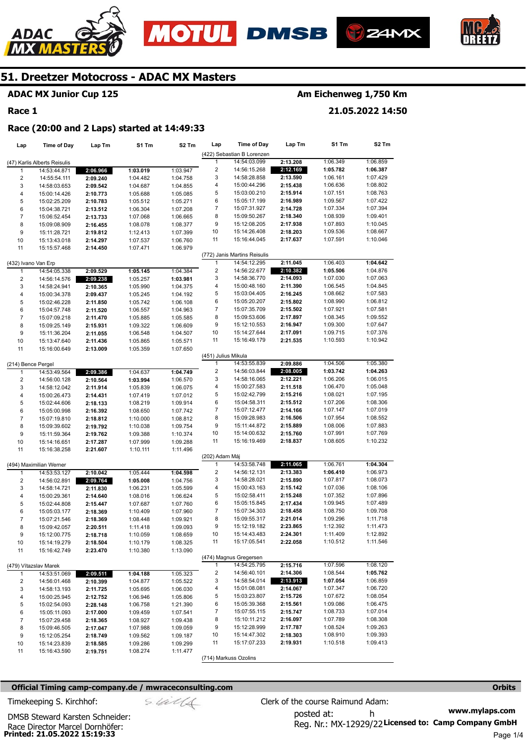







## **ADAC MX Junior Cup 125**

#### **Race 1**

## **Am Eichenweg 1,750 Km**

**21.05.2022 14:50** 

#### **Race (20:00 and 2 Laps) started at 14:49:33**

| Lap                                | <b>Time of Day</b>           | Lap Tm               | S1 Tm                | S <sub>2</sub> Tm | Lap                            | <b>Time of Day</b>           | Lap Tm   | S1 Tm    | S2 Tm    |
|------------------------------------|------------------------------|----------------------|----------------------|-------------------|--------------------------------|------------------------------|----------|----------|----------|
|                                    |                              |                      |                      |                   |                                | (422) Sebastian B Lorenzen   |          |          |          |
|                                    | (47) Karlis Alberts Reisulis |                      |                      |                   | $\mathbf{1}$                   | 14:54:03.099                 | 2:13.208 | 1:06.349 | 1:06.859 |
| 1                                  | 14:53:44.871                 | 2:06.966             | 1:03.019             | 1:03.947          | $\overline{\mathbf{c}}$        | 14:56:15.268                 | 2:12.169 | 1:05.782 | 1:06.387 |
| $\overline{c}$                     | 14:55:54.111                 | 2:09.240             | 1:04.482             | 1:04.758          | 3                              | 14:58:28.858                 | 2:13.590 | 1:06.161 | 1:07.429 |
| 3                                  | 14:58:03.653                 | 2:09.542             | 1:04.687             | 1:04.855          | 4                              | 15:00:44.296                 | 2:15.438 | 1:06.636 | 1:08.802 |
| $\overline{\mathbf{4}}$            | 15:00:14.426                 | 2:10.773             | 1:05.688             | 1:05.085          | 5                              | 15:03:00.210                 | 2:15.914 | 1:07.151 | 1:08.763 |
| 5                                  | 15:02:25.209                 | 2:10.783             | 1:05.512             | 1:05.271          | 6                              | 15:05:17.199                 | 2:16.989 | 1:09.567 | 1:07.422 |
| 6                                  | 15:04:38.721                 | 2:13.512             | 1:06.304             | 1:07.208          | 7                              | 15:07:31.927                 | 2:14.728 | 1:07.334 | 1:07.394 |
| $\overline{7}$                     | 15:06:52.454                 | 2:13.733             | 1:07.068             | 1:06.665          | 8                              | 15:09:50.267                 | 2:18.340 | 1:08.939 | 1:09.401 |
| 8                                  | 15:09:08.909                 | 2:16.455             | 1:08.078             | 1:08.377          | 9                              | 15:12:08.205                 | 2:17.938 | 1:07.893 | 1:10.045 |
| 9                                  | 15:11:28.721                 | 2:19.812             | 1:12.413             | 1:07.399          | 10                             | 15:14:26.408                 | 2:18.203 | 1:09.536 | 1:08.667 |
| 10                                 | 15:13:43.018                 | 2:14.297             | 1:07.537             | 1:06.760          | 11                             | 15:16:44.045                 | 2:17.637 | 1:07.591 | 1:10.046 |
| 11                                 | 15:15:57.468                 | 2:14.450             | 1:07.471             | 1:06.979          |                                |                              |          |          |          |
|                                    |                              |                      |                      |                   |                                | (772) Janis Martins Reisulis |          |          |          |
|                                    | (432) Ivano Van Erp          |                      |                      |                   | $\mathbf{1}$                   | 14:54:12.295                 | 2:11.045 | 1:06.403 | 1:04.642 |
| 1                                  | 14:54:05.338                 | 2:09.529             | 1:05.145             | 1:04.384          | $\overline{\mathbf{c}}$        | 14:56:22.677                 | 2:10.382 | 1:05.506 | 1:04.876 |
| $\overline{c}$                     | 14:56:14.576                 | 2:09.238             | 1:05.257             | 1:03.981          | 3                              | 14:58:36.770                 | 2:14.093 | 1:07.030 | 1:07.063 |
| 3                                  | 14:58:24.941                 | 2:10.365             | 1:05.990             | 1:04.375          | 4                              | 15:00:48.160                 | 2:11.390 | 1:06.545 | 1:04.845 |
| 4                                  | 15:00:34.378                 | 2:09.437             | 1:05.245             | 1:04.192          | 5                              | 15:03:04.405                 | 2:16.245 | 1:08.662 | 1:07.583 |
| 5                                  | 15:02:46.228                 | 2:11.850             | 1:05.742             | 1:06.108          | 6                              | 15:05:20.207                 | 2:15.802 | 1:08.990 | 1:06.812 |
| 6                                  | 15:04:57.748                 | 2:11.520             | 1:06.557             | 1:04.963          | 7                              | 15:07:35.709                 | 2:15.502 | 1:07.921 | 1:07.581 |
| $\overline{7}$                     | 15:07:09.218                 | 2:11.470             | 1:05.885             | 1:05.585          | 8                              | 15:09:53.606                 | 2:17.897 | 1:08.345 | 1:09.552 |
| 8                                  | 15:09:25.149                 | 2:15.931             | 1:09.322             | 1:06.609          | 9                              | 15:12:10.553                 | 2:16.947 | 1:09.300 | 1:07.647 |
| 9                                  | 15:11:36.204                 | 2:11.055             | 1:06.548             | 1:04.507          | 10                             | 15:14:27.644                 | 2:17.091 | 1:09.715 | 1:07.376 |
| 10                                 | 15:13:47.640                 | 2:11.436             |                      | 1:05.571          | 11                             | 15:16:49.179                 | 2:21.535 | 1:10.593 | 1:10.942 |
| 11                                 | 15:16:00.649                 |                      | 1:05.865<br>1:05.359 | 1:07.650          |                                |                              |          |          |          |
|                                    |                              | 2:13.009             |                      |                   | (451) Julius Mikula            |                              |          |          |          |
|                                    |                              |                      |                      |                   | $\mathbf{1}$                   | 14:53:55.839                 | 2:09.886 | 1:04.506 | 1:05.380 |
| (214) Bence Pergel<br>$\mathbf{1}$ | 14:53:49.564                 | 2:09.386             | 1:04.637             | 1:04.749          | $\overline{\mathbf{c}}$        | 14:56:03.844                 | 2:08.005 | 1:03.742 | 1:04.263 |
| $\overline{\mathbf{c}}$            | 14:56:00.128                 |                      |                      | 1:06.570          | 3                              | 14:58:16.065                 | 2:12.221 | 1:06.206 | 1:06.015 |
| 3                                  | 14:58:12.042                 | 2:10.564<br>2:11.914 | 1:03.994<br>1:05.839 | 1:06.075          | 4                              | 15:00:27.583                 | 2:11.518 | 1:06.470 | 1:05.048 |
| $\overline{\mathbf{4}}$            | 15:00:26.473                 |                      | 1:07.419             | 1:07.012          | 5                              | 15:02:42.799                 | 2:15.216 | 1:08.021 | 1:07.195 |
| 5                                  | 15:02:44.606                 | 2:14.431             |                      |                   | 6                              | 15:04:58.311                 | 2:15.512 | 1:07.206 | 1:08.306 |
|                                    |                              | 2:18.133             | 1:08.219             | 1:09.914          | 7                              | 15:07:12.477                 | 2:14.166 | 1:07.147 | 1:07.019 |
| 6                                  | 15:05:00.998                 | 2:16.392             | 1:08.650             | 1:07.742          | 8                              | 15:09:28.983                 | 2:16.506 | 1:07.954 | 1:08.552 |
| $\overline{7}$                     | 15:07:19.810                 | 2:18.812             | 1:10.000             | 1:08.812          | 9                              | 15:11:44.872                 | 2:15.889 | 1:08.006 | 1:07.883 |
| 8                                  | 15:09:39.602                 | 2:19.792             | 1:10.038             | 1:09.754          |                                |                              |          |          |          |
| 9                                  | 15:11:59.364                 | 2:19.762             | 1:09.388             | 1:10.374          | 10<br>11                       | 15:14:00.632                 | 2:15.760 | 1:07.991 | 1:07.769 |
| 10                                 | 15:14:16.651                 | 2:17.287             | 1:07.999             | 1:09.288          |                                | 15:16:19.469                 | 2:18.837 | 1:08.605 | 1:10.232 |
| 11                                 | 15:16:38.258                 | 2:21.607             | 1:10.111             | 1:11.496          |                                |                              |          |          |          |
|                                    |                              |                      |                      |                   | (202) Adam Máj<br>$\mathbf{1}$ | 14:53:58.748                 |          |          | 1:04.304 |
|                                    | (494) Maximilian Werner      |                      |                      |                   | $\overline{\mathbf{c}}$        | 14:56:12.131                 | 2:11.065 | 1:06.761 | 1:06.973 |
| 1                                  | 14:53:53.127                 | 2:10.042             | 1:05.444             | 1:04.598          |                                | 14:58:28.021                 | 2:13.383 | 1:06.410 |          |
| $\overline{\mathbf{c}}$            | 14:56:02.891                 | 2:09.764             | 1:05.008             | 1:04.756          | 3                              |                              | 2:15.890 | 1:07.817 | 1:08.073 |
| 3                                  | 14:58:14.721                 | 2:11.830             | 1:06.231             | 1:05.599          | 4                              | 15:00:43.163                 | 2:15.142 | 1:07.036 | 1:08.106 |
| 4                                  | 15:00:29.361                 | 2:14.640             | 1:08.016             | 1:06.624          | 5                              | 15:02:58.411                 | 2:15.248 | 1:07.352 | 1:07.896 |
| 5                                  | 15:02:44.808                 | 2:15.447             | 1:07.687             | 1:07.760          | 6                              | 15:05:15.845                 | 2:17.434 | 1:09.945 | 1:07.489 |
| 6                                  | 15:05:03.177                 | 2:18.369             | 1:10.409             | 1:07.960          | 7                              | 15:07:34.303                 | 2:18.458 | 1:08.750 | 1:09.708 |
| $\overline{7}$                     | 15:07:21.546                 | 2:18.369             | 1:08.448             | 1:09.921          | 8                              | 15:09:55.317                 | 2:21.014 | 1:09.296 | 1:11.718 |
| 8                                  | 15:09:42.057                 | 2:20.511             | 1:11.418             | 1:09.093          | 9                              | 15:12:19.182                 | 2:23.865 | 1:12.392 | 1:11.473 |
| 9                                  | 15:12:00.775                 | 2:18.718             | 1:10.059             | 1:08.659          | 10                             | 15:14:43.483                 | 2:24.301 | 1:11.409 | 1:12.892 |
| 10                                 | 15:14:19.279                 | 2:18.504             | 1:10.179             | 1:08.325          | 11                             | 15:17:05.541                 | 2:22.058 | 1:10.512 | 1:11.546 |
| 11                                 | 15:16:42.749                 | 2:23.470             | 1:10.380             | 1:13.090          |                                |                              |          |          |          |
|                                    |                              |                      |                      |                   |                                | (474) Magnus Gregersen       |          |          |          |
|                                    | (479) Vítazslav Marek        |                      |                      |                   | 1                              | 14:54:25.795                 | 2:15.716 | 1:07.596 | 1:08.120 |
| 1                                  | 14:53:51.069                 | 2:09.511             | 1:04.188             | 1:05.323          | $\overline{a}$                 | 14:56:40.101                 | 2:14.306 | 1:08.544 | 1:05.762 |
| 2                                  | 14:56:01.468                 | 2:10.399             | 1:04.877             | 1:05.522          | 3                              | 14:58:54.014                 | 2:13.913 | 1:07.054 | 1:06.859 |
| 3                                  | 14:58:13.193                 | 2:11.725             | 1:05.695             | 1:06.030          | 4                              | 15:01:08.081                 | 2:14.067 | 1:07.347 | 1:06.720 |
| 4                                  | 15:00:25.945                 | 2:12.752             | 1:06.946             | 1:05.806          | 5                              | 15:03:23.807                 | 2:15.726 | 1:07.672 | 1:08.054 |
| 5                                  | 15:02:54.093                 | 2:28.148             | 1:06.758             | 1:21.390          | 6                              | 15:05:39.368                 | 2:15.561 | 1:09.086 | 1:06.475 |
| 6                                  | 15:05:11.093                 | 2:17.000             | 1:09.459             | 1:07.541          | 7                              | 15:07:55.115                 | 2:15.747 | 1:08.733 | 1:07.014 |
| 7                                  | 15:07:29.458                 | 2:18.365             | 1:08.927             | 1:09.438          | 8                              | 15:10:11.212                 | 2:16.097 | 1:07.789 | 1:08.308 |
| 8                                  | 15:09:46.505                 | 2:17.047             | 1:07.988             | 1:09.059          | 9                              | 15:12:28.999                 | 2:17.787 | 1:08.524 | 1:09.263 |
| 9                                  | 15:12:05.254                 | 2:18.749             | 1:09.562             | 1:09.187          | 10                             | 15:14:47.302                 | 2:18.303 | 1:08.910 | 1:09.393 |
| 10                                 | 15:14:23.839                 | 2:18.585             | 1:09.286             | 1:09.299          | 11                             | 15:17:07.233                 | 2:19.931 | 1:10.518 | 1:09.413 |
| 11                                 | 15:16:43.590                 | 2:19.751             | 1:08.274             | 1:11.477          |                                |                              |          |          |          |
|                                    |                              |                      |                      |                   |                                | (714) Markuss Ozolins        |          |          |          |

#### **Official Timing camp-company.de / mwraceconsulting.com <b>Orbits and Company.de Company** orbits **Orbits Orbits**

**Printed: 21.05.2022 15:19:33**  Race Director Marcel Dornhöfer:

DMSB Steward Karsten Schneider:

**www.mylaps.com**  Reg. Nr.: MX-12929/22 Licensed to: Camp Company GmbH posted at: h Timekeeping S. Kirchhof:  $\frac{1}{2}$  Clerk of the course Raimund Adam: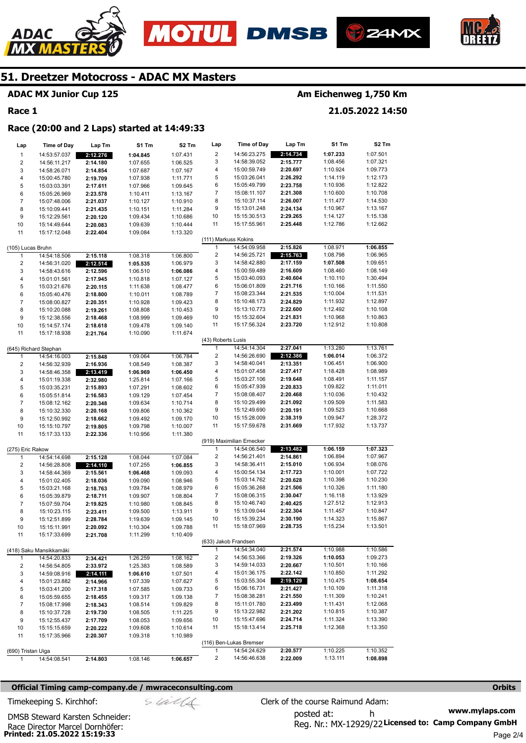





#### **ADAC MX Junior Cup 125**

#### **Race 1**

ADAC

#### **Am Eichenweg 1,750 Km**

**21.05.2022 14:50** 

#### **Race (20:00 and 2 Laps) started at 14:49:33**

| Lap                     | <b>Time of Day</b>      | Lap Tm               | S1 Tm    | S2 Tm    | Lap                | Time of Day               | Lap Tm   | S1 Tm    | S2 Tm    |
|-------------------------|-------------------------|----------------------|----------|----------|--------------------|---------------------------|----------|----------|----------|
| $\mathbf{1}$            | 14:53:57.037            | 2:12.276             | 1:04.845 | 1:07.431 | 2                  | 14:56:23.275              | 2:14.734 | 1:07.233 | 1:07.501 |
| 2                       | 14:56:11.217            | 2:14.180             | 1:07.655 | 1:06.525 | 3                  | 14:58:39.052              | 2:15.777 | 1:08.456 | 1:07.321 |
| 3                       | 14:58:26.071            | 2:14.854             | 1:07.687 | 1:07.167 | 4                  | 15:00:59.749              | 2:20.697 | 1:10.924 | 1:09.773 |
| 4                       | 15:00:45.780            | 2:19.709             | 1:07.938 | 1:11.771 | 5                  | 15:03:26.041              | 2:26.292 | 1:14.119 | 1:12.173 |
| 5                       | 15:03:03.391            | 2:17.611             | 1:07.966 | 1:09.645 | 6                  | 15:05:49.799              | 2:23.758 | 1:10.936 | 1:12.822 |
| 6                       | 15:05:26.969            | 2:23.578             | 1:10.411 | 1:13.167 | 7                  | 15:08:11.107              | 2:21.308 | 1:10.600 | 1:10.708 |
| $\overline{7}$          | 15:07:48.006            | 2:21.037             | 1:10.127 | 1:10.910 | 8                  | 15:10:37.114              | 2:26.007 | 1:11.477 | 1:14.530 |
| 8                       | 15:10:09.441            | 2:21.435             | 1:10.151 | 1:11.284 | 9                  | 15:13:01.248              | 2:24.134 | 1:10.967 | 1:13.167 |
| 9                       | 15:12:29.561            | 2:20.120             | 1:09.434 | 1:10.686 | 10                 | 15:15:30.513              | 2:29.265 | 1:14.127 | 1:15.138 |
| 10                      | 15:14:49.644            | 2:20.083             | 1:09.639 | 1:10.444 | 11                 | 15:17:55.961              | 2:25.448 | 1:12.786 | 1:12.662 |
| 11                      | 15:17:12.048            | 2:22.404             | 1:09.084 | 1:13.320 |                    |                           |          |          |          |
|                         |                         |                      |          |          |                    | (111) Markuss Kokins      |          |          |          |
| (105) Lucas Bruhn       |                         |                      |          |          | $\mathbf{1}$       | 14:54:09.958              | 2:15.826 | 1:08.971 | 1:06.855 |
| 1                       | 14:54:18.506            | 2:15.118             | 1:08.318 | 1:06.800 | 2                  | 14:56:25.721              | 2:15.763 | 1:08.798 | 1:06.965 |
| 2                       | 14:56:31.020            | 2:12.514             | 1:05.535 | 1:06.979 | 3                  | 14:58:42.880              | 2:17.159 | 1:07.508 | 1:09.651 |
| 3                       | 14:58:43.616            | 2:12.596             | 1:06.510 | 1:06.086 | 4                  | 15:00:59.489              | 2:16.609 | 1:08.460 | 1:08.149 |
| 4                       | 15:01:01.561            | 2:17.945             | 1:10.818 | 1:07.127 | 5                  | 15:03:40.093              | 2:40.604 | 1:10.110 | 1:30.494 |
| 5                       | 15:03:21.676            | 2:20.115             | 1:11.638 | 1:08.477 | 6                  | 15:06:01.809              | 2:21.716 | 1:10.166 | 1:11.550 |
| 6                       | 15:05:40.476            | 2:18.800             | 1:10.011 | 1:08.789 | 7                  | 15:08:23.344              | 2:21.535 | 1:10.004 | 1:11.531 |
| $\overline{\mathbf{7}}$ | 15:08:00.827            | 2:20.351             | 1:10.928 | 1:09.423 | 8                  | 15:10:48.173              | 2:24.829 | 1:11.932 | 1:12.897 |
| 8                       | 15:10:20.088            | 2:19.261             | 1:08.808 | 1:10.453 | 9                  | 15:13:10.773              | 2:22.600 | 1:12.492 | 1:10.108 |
| 9                       | 15:12:38.556            | 2:18.468             | 1:08.999 | 1:09.469 | 10                 | 15:15:32.604              | 2:21.831 | 1:10.968 | 1:10.863 |
| $10$                    | 15:14:57.174            |                      | 1:09.478 | 1:09.140 | 11                 | 15:17:56.324              | 2:23.720 | 1:12.912 | 1:10.808 |
| 11                      | 15:17:18.938            | 2:18.618<br>2:21.764 | 1:10.090 | 1:11.674 |                    |                           |          |          |          |
|                         |                         |                      |          |          | (43) Roberts Lusis |                           |          |          |          |
|                         |                         |                      |          |          | 1                  | 14:54:14.304              | 2:27.041 | 1:13.280 | 1:13.761 |
|                         | (645) Richard Stephan   |                      | 1:09.064 |          | 2                  | 14:56:26.690              | 2:12.386 | 1:06.014 | 1:06.372 |
| $\mathbf{1}$            | 14:54:16.003            | 2:15.848             |          | 1:06.784 | 3                  | 14:58:40.041              | 2:13.351 | 1:06.451 | 1:06.900 |
| 2                       | 14:56:32.939            | 2:16.936             | 1:08.549 | 1:08.387 | 4                  |                           |          | 1:18.428 |          |
| 3                       | 14:58:46.358            | 2:13.419             | 1:06.969 | 1:06.450 |                    | 15:01:07.458              | 2:27.417 |          | 1:08.989 |
| 4                       | 15:01:19.338            | 2:32.980             | 1:25.814 | 1:07.166 | 5                  | 15:03:27.106              | 2:19.648 | 1:08.491 | 1:11.157 |
| 5                       | 15:03:35.231            | 2:15.893             | 1:07.291 | 1:08.602 | 6                  | 15:05:47.939              | 2:20.833 | 1:09.822 | 1:11.011 |
| 6                       | 15:05:51.814            | 2:16.583             | 1:09.129 | 1:07.454 | 7                  | 15:08:08.407              | 2:20.468 | 1:10.036 | 1:10.432 |
| $\overline{\mathbf{7}}$ | 15:08:12.162            | 2:20.348             | 1:09.634 | 1:10.714 | 8                  | 15:10:29.499              | 2:21.092 | 1:09.509 | 1:11.583 |
| 8                       | 15:10:32.330            | 2:20.168             | 1:09.806 | 1:10.362 | 9                  | 15:12:49.690              | 2:20.191 | 1:09.523 | 1:10.668 |
| 9                       | 15:12:50.992            | 2:18.662             | 1:09.492 | 1:09.170 | 10                 | 15:15:28.009              | 2:38.319 | 1:09.947 | 1:28.372 |
| 10                      | 15:15:10.797            | 2:19.805             | 1:09.798 | 1:10.007 | 11                 | 15:17:59.678              | 2:31.669 | 1:17.932 | 1:13.737 |
| 11                      | 15:17:33.133            | 2:22.336             | 1:10.956 | 1:11.380 |                    |                           |          |          |          |
|                         |                         |                      |          |          |                    | (919) Maximilian Ernecker |          |          |          |
| (275) Eric Rakow        |                         |                      |          |          | 1                  | 14:54:06.540              | 2:13.482 | 1:06.159 | 1:07.323 |
| 1                       | 14:54:14.698            | 2:15.128             | 1:08.044 | 1:07.084 | 2                  | 14:56:21.401              | 2:14.861 | 1:06.894 | 1:07.967 |
| 2                       | 14:56:28.808            | 2:14.110             | 1:07.255 | 1:06.855 | 3                  | 14:58:36.411              | 2:15.010 | 1:06.934 | 1:08.076 |
| 3                       | 14:58:44.369            | 2:15.561             | 1:06.468 | 1:09.093 | 4                  | 15:00:54.134              | 2:17.723 | 1:10.001 | 1:07.722 |
| 4                       | 15:01:02.405            | 2:18.036             | 1:09.090 | 1:08.946 | 5                  | 15:03:14.762              | 2:20.628 | 1:10.398 | 1:10.230 |
| 5                       | 15:03:21.168            | 2:18.763             | 1:09.784 | 1:08.979 | 6                  | 15:05:36.268              | 2:21.506 | 1:10.326 | 1:11.180 |
| 6                       | 15:05:39.879            | 2:18.711             | 1:09.907 | 1:08.804 | 7                  | 15:08:06.315              | 2:30.047 | 1:16.118 | 1:13.929 |
| 7                       | 15:07:59.704            | 2:19.825             | 1:10.980 | 1:08.845 | 8                  | 15:10:46.740              | 2:40.425 | 1:27.512 | 1:12.913 |
| 8                       | 15:10:23.115            | 2:23.411             | 1:09.500 | 1:13.911 | 9                  | 15:13:09.044              | 2:22.304 | 1:11.457 | 1:10.847 |
| 9                       | 15:12:51.899            | 2:28.784             | 1:19.639 | 1:09.145 | 10                 | 15:15:39.234              | 2:30.190 | 1:14.323 | 1:15.867 |
| 10                      | 15:15:11.991            | 2:20.092             | 1:10.304 | 1:09.788 | 11                 | 15:18:07.969              | 2:28.735 | 1:15.234 | 1:13.501 |
| 11                      | 15:17:33.699            | 2:21.708             | 1:11.299 | 1:10.409 |                    |                           |          |          |          |
|                         |                         |                      |          |          |                    | (633) Jakob Frandsen      |          |          |          |
|                         | (418) Saku Mansikkamäki |                      |          |          | 1                  | 14:54:34.040              | 2:21.574 | 1:10.988 | 1:10.586 |
| 1                       | 14:54:20.833            | 2:34.421             | 1:26.259 | 1:08.162 | 2                  | 14:56:53.366              | 2:19.326 | 1:10.053 | 1:09.273 |
| 2                       | 14:56:54.805            | 2:33.972             | 1:25.383 | 1:08.589 | 3                  | 14:59:14.033              | 2:20.667 | 1:10.501 | 1:10.166 |
| 3                       | 14:59:08.916            | 2:14.111             | 1:06.610 | 1:07.501 | 4                  | 15:01:36.175              | 2:22.142 | 1:10.850 | 1:11.292 |
| 4                       | 15:01:23.882            | 2:14.966             | 1:07.339 | 1:07.627 | 5                  | 15:03:55.304              | 2:19.129 | 1:10.475 | 1:08.654 |
| 5                       | 15:03:41.200            | 2:17.318             | 1:07.585 | 1:09.733 | 6                  | 15:06:16.731              | 2:21.427 | 1:10.109 | 1:11.318 |
| 6                       | 15:05:59.655            | 2:18.455             | 1:09.317 | 1:09.138 | 7                  | 15:08:38.281              | 2:21.550 | 1:11.309 | 1:10.241 |
| 7                       | 15:08:17.998            |                      |          |          | 8                  | 15:11:01.780              | 2:23.499 | 1:11.431 | 1:12.068 |
| 8                       | 15:10:37.728            | 2:18.343             | 1:08.514 | 1:09.829 | 9                  | 15:13:22.982              | 2:21.202 | 1:10.815 | 1:10.387 |
|                         |                         | 2:19.730             | 1:08.505 | 1:11.225 | 10                 | 15:15:47.696              |          | 1:11.324 | 1:13.390 |
| 9                       | 15:12:55.437            | 2:17.709             | 1:08.053 | 1:09.656 |                    |                           | 2:24.714 |          |          |
| 10                      | 15:15:15.659            | 2:20.222             | 1:09.608 | 1:10.614 | 11                 | 15:18:13.414              | 2:25.718 | 1:12.368 | 1:13.350 |
| 11                      | 15:17:35.966            | 2:20.307             | 1:09.318 | 1:10.989 |                    |                           |          |          |          |
|                         |                         |                      |          |          |                    | (116) Ben-Lukas Bremser   |          |          |          |
| (690) Tristan Uiga      |                         |                      |          |          | 1                  | 14:54:24.629              | 2:20.577 | 1:10.225 | 1:10.352 |
| $\mathbf{1}$            | 14:54:08.541            | 2:14.803             | 1:08.146 | 1:06.657 | 2                  | 14:56:46.638              | 2:22.009 | 1:13.111 | 1:08.898 |

#### **Official Timing camp-company.de / mwraceconsulting.com <b>Orbits and Company.de Company** orbits **Orbits Orbits**

**www.mylaps.com**  Reg. Nr.: MX-12929/22 Licensed to: Camp Company GmbH posted at: h Timekeeping S. Kirchhof:  $\le \frac{1}{2}$  Clerk of the course Raimund Adam:

**Printed: 21.05.2022 15:19:33**  Race Director Marcel Dornhöfer: DMSB Steward Karsten Schneider: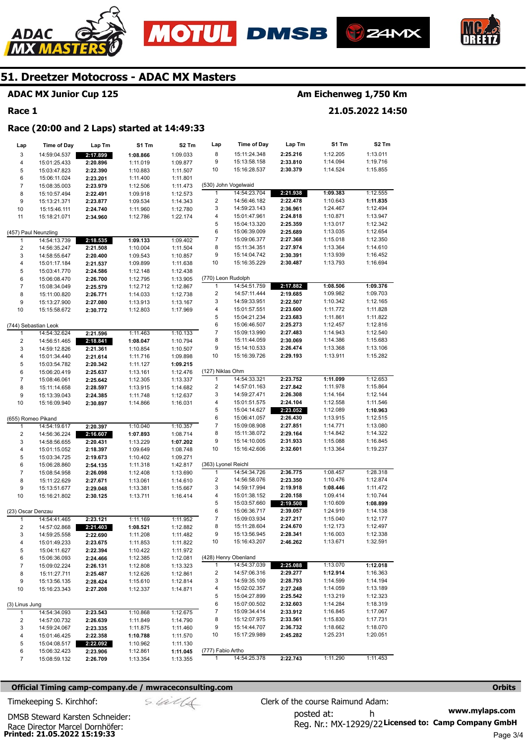





## **ADAC MX Junior Cup 125**

#### **Race 1**

ADAC

## **Am Eichenweg 1,750 Km**

**21.05.2022 14:50** 

#### **Race (20:00 and 2 Laps) started at 14:49:33**

| Lap                     | <b>Time of Day</b>   | Lap Tm   | S1 Tm    | S2 Tm    | Lap                     | <b>Time of Day</b>           | Lap Tm               | S1 Tm                | S <sub>2</sub> Tm |
|-------------------------|----------------------|----------|----------|----------|-------------------------|------------------------------|----------------------|----------------------|-------------------|
| 3                       | 14:59:04.537         | 2:17.899 | 1:08.866 | 1:09.033 | 8                       | 15:11:24.348                 | 2:25.216             | 1:12.205             | 1:13.011          |
| 4                       | 15:01:25.433         | 2:20.896 | 1:11.019 | 1:09.877 | 9                       | 15:13:58.158                 | 2:33.810             | 1:14.094             | 1:19.716          |
| 5                       | 15:03:47.823         | 2:22.390 | 1:10.883 | 1:11.507 | 10                      | 15:16:28.537                 | 2:30.379             | 1:14.524             | 1:15.855          |
| 6                       | 15:06:11.024         | 2:23.201 | 1:11.400 | 1:11.801 |                         |                              |                      |                      |                   |
| $\overline{7}$          | 15:08:35.003         | 2:23.979 | 1:12.506 | 1:11.473 |                         | (530) John Vogelwaid         |                      |                      |                   |
| 8                       | 15:10:57.494         | 2:22.491 | 1:09.918 | 1:12.573 | 1                       | 14:54:23.704                 | 2:21.938             | 1:09.383             | 1:12.555          |
| 9                       | 15:13:21.371         | 2:23.877 | 1:09.534 | 1:14.343 | $\overline{c}$          | 14:56:46.182                 | 2:22.478             | 1:10.643             | 1:11.835          |
| 10                      | 15:15:46.111         | 2:24.740 | 1:11.960 | 1:12.780 | 3                       | 14:59:23.143                 | 2:36.961             | 1:24.467             | 1:12.494          |
| 11                      | 15:18:21.071         | 2:34.960 | 1:12.786 | 1:22.174 | 4                       | 15:01:47.961                 | 2:24.818             | 1:10.871             | 1:13.947          |
|                         |                      |          |          |          | 5                       | 15:04:13.320                 | 2:25.359             | 1:13.017             | 1:12.342          |
|                         | (457) Paul Neunzling |          |          |          | 6                       | 15:06:39.009                 | 2:25.689             | 1:13.035             | 1:12.654          |
| 1                       | 14:54:13.739         | 2:18.535 | 1:09.133 | 1:09.402 | $\overline{7}$          | 15:09:06.377                 | 2:27.368             | 1:15.018             | 1:12.350          |
| $\overline{\mathbf{c}}$ | 14:56:35.247         | 2:21.508 | 1:10.004 | 1:11.504 | 8                       | 15:11:34.351                 | 2:27.974             | 1:13.364             | 1:14.610          |
| 3                       | 14:58:55.647         | 2:20.400 | 1:09.543 | 1:10.857 | 9                       | 15:14:04.742                 | 2:30.391             | 1:13.939             | 1:16.452          |
| 4                       | 15:01:17.184         | 2:21.537 | 1:09.899 | 1:11.638 | 10                      | 15:16:35.229                 | 2:30.487             | 1:13.793             | 1:16.694          |
| 5                       | 15:03:41.770         | 2:24.586 | 1:12.148 | 1:12.438 |                         |                              |                      |                      |                   |
| 6                       | 15:06:08.470         | 2:26.700 | 1:12.795 | 1:13.905 | (770) Leon Rudolph      |                              |                      |                      |                   |
| $\overline{7}$          | 15:08:34.049         | 2:25.579 | 1:12.712 | 1:12.867 | $\mathbf{1}$            | 14:54:51.759                 | 2:17.882             | 1:08.506             | 1:09.376          |
| 8                       | 15:11:00.820         | 2:26.771 | 1:14.033 | 1:12.738 | $\overline{\mathbf{c}}$ | 14:57:11.444                 | 2:19.685             | 1:09.982             | 1:09.703          |
| 9                       | 15:13:27.900         | 2:27.080 | 1:13.913 | 1:13.167 | 3                       | 14:59:33.951                 | 2:22.507             | 1:10.342             | 1:12.165          |
| 10                      | 15:15:58.672         | 2:30.772 | 1:12.803 | 1:17.969 | 4                       | 15:01:57.551                 | 2:23.600             | 1:11.772             | 1:11.828          |
|                         |                      |          |          |          | 5                       | 15:04:21.234                 | 2:23.683             | 1:11.861             | 1:11.822          |
|                         | (744) Sebastian Leok |          |          |          | 6                       | 15:06:46.507                 | 2:25.273             | 1:12.457             | 1:12.816          |
| 1                       | 14:54:32.624         | 2:21.596 | 1:11.463 | 1:10.133 | 7                       | 15:09:13.990                 | 2:27.483             | 1:14.943             | 1:12.540          |
| 2                       | 14:56:51.465         | 2:18.841 | 1:08.047 | 1:10.794 | 8                       | 15:11:44.059                 | 2:30.069             | 1:14.386             | 1:15.683          |
| 3                       | 14:59:12.826         | 2:21.361 | 1:10.854 | 1:10.507 | 9                       | 15:14:10.533                 | 2:26.474             | 1:13.368             | 1:13.106          |
| 4                       | 15:01:34.440         | 2:21.614 | 1:11.716 | 1:09.898 | 10                      | 15:16:39.726                 | 2:29.193             | 1:13.911             | 1:15.282          |
| 5                       | 15:03:54.782         | 2:20.342 | 1:11.127 | 1:09.215 |                         |                              |                      |                      |                   |
| 6                       | 15:06:20.419         | 2:25.637 | 1:13.161 | 1:12.476 | (127) Niklas Ohm        |                              |                      |                      |                   |
| $\overline{7}$          | 15:08:46.061         | 2:25.642 | 1:12.305 | 1:13.337 | $\mathbf{1}$            | 14:54:33.321                 | 2:23.752             | 1:11.099             | 1:12.653          |
| 8                       | 15:11:14.658         | 2:28.597 | 1:13.915 | 1:14.682 | $\overline{c}$          | 14:57:01.163                 | 2:27.842             | 1:11.978             | 1:15.864          |
| 9                       | 15:13:39.043         | 2:24.385 | 1:11.748 | 1:12.637 | 3                       | 14:59:27.471                 | 2:26.308             | 1:14.164             | 1:12.144          |
| 10                      | 15:16:09.940         | 2:30.897 | 1:14.866 | 1:16.031 | 4                       | 15:01:51.575                 | 2:24.104             | 1:12.558             | 1:11.546          |
|                         |                      |          |          |          | 5                       | 15:04:14.627                 | 2:23.052             | 1:12.089             | 1:10.963          |
|                         | (655) Romeo Pikand   |          |          |          | 6                       | 15:06:41.057                 | 2:26.430             | 1:13.915             | 1:12.515          |
| 1                       | 14:54:19.617         | 2:20.397 | 1:10.040 | 1:10.357 | 7                       | 15:09:08.908                 | 2:27.851             | 1:14.771             | 1:13.080          |
| $\overline{\mathbf{c}}$ | 14:56:36.224         | 2:16.607 | 1:07.893 | 1:08.714 | 8                       | 15:11:38.072                 | 2:29.164             | 1:14.842             | 1:14.322          |
| 3                       | 14:58:56.655         | 2:20.431 | 1:13.229 | 1:07.202 | 9                       | 15:14:10.005                 | 2:31.933             | 1:15.088             | 1:16.845          |
| 4                       | 15:01:15.052         | 2:18.397 | 1:09.649 | 1:08.748 | 10                      | 15:16:42.606                 | 2:32.601             | 1:13.364             | 1:19.237          |
| 5                       | 15:03:34.725         | 2:19.673 | 1:10.402 | 1:09.271 |                         |                              |                      |                      |                   |
| 6                       | 15:06:28.860         | 2:54.135 | 1:11.318 | 1:42.817 | (363) Lyonel Reichl     |                              |                      |                      |                   |
| 7                       | 15:08:54.958         | 2:26.098 | 1:12.408 | 1:13.690 | $\mathbf{1}$            | 14:54:34.726                 | 2:36.775             | 1:08.457             | 1:28.318          |
| 8                       | 15:11:22.629         | 2:27.671 | 1:13.061 | 1:14.610 | $\overline{\mathbf{c}}$ | 14:56:58.076                 | 2:23.350             | 1:10.476             | 1:12.874          |
| 9                       | 15:13:51.677         | 2:29.048 | 1:13.381 | 1:15.667 | 3                       | 14:59:17.994                 | 2:19.918             | 1:08.446             | 1:11.472          |
| 10                      | 15:16:21.802         | 2:30.125 | 1:13.711 | 1:16.414 | 4                       | 15:01:38.152                 | 2:20.158             | 1:09.414             | 1:10.744          |
|                         |                      |          |          |          | 5                       | 15:03:57.660                 | 2:19.508             | 1:10.609             | 1:08.899          |
| (23) Oscar Denzau       |                      |          |          |          | 6                       | 15:06:36.717                 | 2:39.057             | 1:24.919             | 1:14.138          |
| $\mathbf{1}$            | 14:54:41.465         | 2:23.121 | 1:11.169 | 1:11.952 | $\overline{7}$          | 15:09:03.934                 | 2:27.217             | 1:15.040             | 1:12.177          |
| 2                       | 14:57:02.868         | 2:21.403 | 1:08.521 | 1:12.882 | 8<br>9                  | 15:11:28.604                 | 2:24.670             | 1:12.173             | 1:12.497          |
| 3                       | 14:59:25.558         | 2:22.690 | 1:11.208 | 1:11.482 |                         | 15:13:56.945                 | 2:28.341             | 1:16.003             | 1:12.338          |
| 4                       | 15:01:49.233         | 2:23.675 | 1:11.853 | 1:11.822 | 10                      | 15:16:43.207                 | 2:46.262             | 1:13.671             | 1:32.591          |
| 5                       | 15:04:11.627         | 2:22.394 | 1:10.422 | 1:11.972 |                         |                              |                      |                      |                   |
| 6                       | 15:06:36.093         | 2:24.466 | 1:12.385 | 1:12.081 |                         | (428) Henry Obenland         |                      |                      |                   |
| $\overline{7}$          | 15:09:02.224         | 2:26.131 | 1:12.808 | 1:13.323 | $\mathbf{1}$            | 14:54:37.039                 | 2:25.088             | 1:13.070             | 1:12.018          |
| 8                       | 15:11:27.711         | 2:25.487 | 1:12.626 | 1:12.861 | 2                       | 14:57:06.316<br>14:59:35.109 | 2:29.277<br>2:28.793 | 1:12.914<br>1:14.599 | 1:16.363          |
| 9                       | 15:13:56.135         | 2:28.424 | 1:15.610 | 1:12.814 | 3                       |                              |                      | 1:14.059             | 1:14.194          |
| 10                      | 15:16:23.343         | 2:27.208 | 1:12.337 | 1:14.871 | 4                       | 15:02:02.357                 | 2:27.248             |                      | 1:13.189          |
|                         |                      |          |          |          | 5                       | 15:04:27.899                 | 2:25.542             | 1:13.219             | 1:12.323          |
| (3) Linus Jung          |                      |          |          |          | 6                       | 15:07:00.502                 | 2:32.603             | 1:14.284             | 1:18.319          |
| 1                       | 14:54:34.093         | 2:23.543 | 1:10.868 | 1:12.675 | 7                       | 15:09:34.414<br>15:12:07.975 | 2:33.912             | 1:16.845             | 1:17.067          |
| 2                       | 14:57:00.732         | 2:26.639 | 1:11.849 | 1:14.790 | 8                       |                              | 2:33.561             | 1:15.830             | 1:17.731          |
| 3                       | 14:59:24.067         | 2:23.335 | 1:11.875 | 1:11.460 | 9                       | 15:14:44.707                 | 2:36.732             | 1:18.662             | 1:18.070          |
| 4                       | 15:01:46.425         | 2:22.358 | 1:10.788 | 1:11.570 | 10                      | 15:17:29.989                 | 2:45.282             | 1:25.231             | 1:20.051          |
| 5                       | 15:04:08.517         | 2:22.092 | 1:10.962 | 1:11.130 |                         |                              |                      |                      |                   |
| 6                       | 15:06:32.423         | 2:23.906 | 1:12.861 | 1:11.045 | (777) Fabio Artho<br>1  | 14:54:25.378                 | 2:22.743             | 1:11.290             | 1:11.453          |
| $\overline{7}$          | 15:08:59.132         | 2:26.709 | 1:13.354 | 1:13.355 |                         |                              |                      |                      |                   |

#### **Official Timing camp-company.de / mwraceconsulting.com <b>Orbits and Company.de Company** orbits **Orbits Orbits**

**Printed: 21.05.2022 15:19:33**  Race Director Marcel Dornhöfer:

DMSB Steward Karsten Schneider:

**www.mylaps.com**  Reg. Nr.: MX-12929/22 Licensed to: Camp Company GmbH posted at: h Timekeeping S. Kirchhof:  $\le \frac{1}{2}$  Clerk of the course Raimund Adam: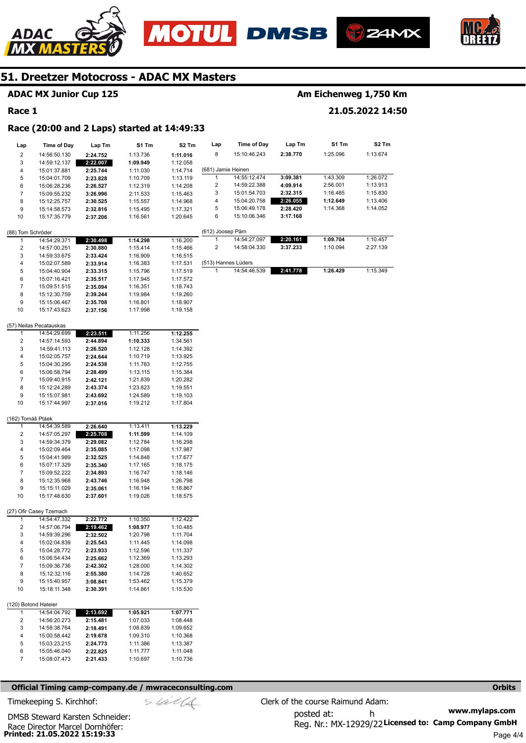







#### **ADAC MX Junior Cup 125**

#### **Race 1**

### **Am Eichenweg 1,750 Km**

#### **21.05.2022 14:50**

#### **Race (20:00 and 2 Laps) started at 14:49:33**

| Lap                  | Time of Day                  | Lap Tm               | S1 Tm                | S2 Tm                | Lap                 | <b>Time of Day</b>           | Lap Tm               | S1 Tm    | S2 Tm    |
|----------------------|------------------------------|----------------------|----------------------|----------------------|---------------------|------------------------------|----------------------|----------|----------|
| 2                    | 14:56:50.130                 | 2:24.752             | 1:13.736             | 1:11.016             | 8                   | 15:10:46.243                 | 2:38.770             | 1:25.096 | 1:13.674 |
| 3                    | 14:59:12.137                 | 2:22.007             | 1:09.949             | 1:12.058             |                     |                              |                      |          |          |
| 4                    | 15:01:37.881                 | 2:25.744             | 1:11.030             | 1:14.714             | (681) Jamie Heinen  |                              |                      |          |          |
| 5                    | 15:04:01.709                 | 2:23.828             | 1:10.709             | 1:13.119             | 1                   | 14:55:12.474                 | 3:09.381             | 1:43.309 | 1:26.072 |
| 6                    | 15:06:28.236                 | 2:26.527             | 1:12.319             | 1:14.208             | 2                   | 14:59:22.388                 | 4:09.914             | 2:56.001 | 1:13.913 |
| $\overline{7}$       | 15:09:55.232                 | 3:26.996             | 2:11.533             | 1:15.463             | 3                   | 15:01:54.703                 | 2:32.315             | 1:16.485 | 1:15.830 |
| 8                    | 15:12:25.757                 | 2:30.525             | 1:15.557             | 1:14.968             | 4                   | 15:04:20.758                 | 2:26.055             | 1:12.649 | 1:13.406 |
| 9                    | 15:14:58.573                 | 2:32.816             | 1:15.495             | 1:17.321             | 5<br>6              | 15:06:49.178<br>15:10:06.346 | 2:28.420<br>3:17.168 | 1:14.368 | 1:14.052 |
| 10                   | 15:17:35.779                 | 2:37.206             | 1:16.561             | 1:20.645             |                     |                              |                      |          |          |
| (88) Tom Schröder    |                              |                      |                      |                      | (612) Joosep Pärn   |                              |                      |          |          |
| $\mathbf{1}$         | 14:54:29.371                 | 2:30.498             | 1:14.298             | 1:16.200             | 1                   | 14:54:27.097                 | 2:20.161             | 1:09.704 | 1:10.457 |
| $\boldsymbol{2}$     | 14:57:00.251                 | 2:30.880             | 1:15.414             | 1:15.466             | 2                   | 14:58:04.330                 | 3:37.233             | 1:10.094 | 2:27.139 |
| 3                    | 14:59:33.675                 | 2:33.424             | 1:16.909             | 1:16.515             |                     |                              |                      |          |          |
| 4                    | 15:02:07.589                 | 2:33.914             | 1:16.383             | 1:17.531             | (513) Hannes Lüders |                              |                      |          |          |
| 5                    | 15:04:40.904                 | 2:33.315             | 1:15.796             | 1:17.519             | 1                   | 14:54:46.539                 | 2:41.778             | 1:26.429 | 1:15.349 |
| 6<br>$\overline{7}$  | 15:07:16.421                 | 2:35.517             | 1:17.945             | 1:17.572             |                     |                              |                      |          |          |
| 8                    | 15:09:51.515<br>15:12:30.759 | 2:35.094<br>2:39.244 | 1:16.351<br>1:19.984 | 1:18.743<br>1:19.260 |                     |                              |                      |          |          |
| 9                    | 15:15:06.467                 | 2:35.708             | 1:16.801             | 1:18.907             |                     |                              |                      |          |          |
| 10                   | 15:17:43.623                 | 2:37.156             | 1:17.998             | 1:19.158             |                     |                              |                      |          |          |
|                      |                              |                      |                      |                      |                     |                              |                      |          |          |
|                      | (57) Neilas Pecatauskas      |                      |                      |                      |                     |                              |                      |          |          |
| 1                    | 14:54:29.699                 | 2:23.511             | 1:11.256             | 1:12.255             |                     |                              |                      |          |          |
| $\boldsymbol{2}$     | 14:57:14.593                 | 2:44.894             | 1:10.333             | 1:34.561             |                     |                              |                      |          |          |
| 3<br>4               | 14:59:41.113                 | 2:26.520<br>2:24.644 | 1:12.128             | 1:14.392             |                     |                              |                      |          |          |
| 5                    | 15:02:05.757<br>15:04:30.295 | 2:24.538             | 1:10.719<br>1:11.783 | 1:13.925<br>1:12.755 |                     |                              |                      |          |          |
| 6                    | 15:06:58.794                 | 2:28.499             | 1:13.115             | 1:15.384             |                     |                              |                      |          |          |
| $\overline{7}$       | 15:09:40.915                 | 2:42.121             | 1:21.839             | 1:20.282             |                     |                              |                      |          |          |
| 8                    | 15:12:24.289                 | 2:43.374             | 1:23.823             | 1:19.551             |                     |                              |                      |          |          |
| 9                    | 15:15:07.981                 | 2:43.692             | 1:24.589             | 1:19.103             |                     |                              |                      |          |          |
| 10                   | 15:17:44.997                 | 2:37.016             | 1:19.212             | 1:17.804             |                     |                              |                      |          |          |
| (162) Tomáš Ptáek    |                              |                      |                      |                      |                     |                              |                      |          |          |
| 1                    | 14:54:39.589                 | 2:26.640             | 1:13.411             | 1:13.229             |                     |                              |                      |          |          |
| 2                    | 14:57:05.297                 | 2:25.708             | 1:11.599             | 1:14.109             |                     |                              |                      |          |          |
| 3                    | 14:59:34.379                 | 2:29.082             | 1:12.784             | 1:16.298             |                     |                              |                      |          |          |
| 4                    | 15:02:09.464                 | 2:35.085             | 1:17.098             | 1:17.987             |                     |                              |                      |          |          |
| 5                    | 15:04:41.989                 | 2:32.525             | 1:14.848             | 1:17.677             |                     |                              |                      |          |          |
| 6                    | 15:07:17.329                 | 2:35.340             | 1:17.165             | 1:18.175             |                     |                              |                      |          |          |
| 7                    | 15:09:52.222                 | 2:34.893             | 1:16.747             | 1:18.146             |                     |                              |                      |          |          |
| 8                    | 15:12:35.968                 | 2:43.746             | 1:16.948             | 1:26.798             |                     |                              |                      |          |          |
| 9                    | 15:15:11.029                 | 2:35.061             | 1:16.194             | 1:18.867             |                     |                              |                      |          |          |
| 10                   | 15:17:48.630                 | 2:37.601             | 1:19.026             | 1:18.575             |                     |                              |                      |          |          |
|                      | (27) Ofir Casey Tzemach      |                      |                      |                      |                     |                              |                      |          |          |
| 1                    | 14:54:47.332                 | 2:22.772             | 1:10.350             | 1:12.422             |                     |                              |                      |          |          |
| $\overline{c}$       | 14:57:06.794                 | 2:19.462             | 1:08.977             | 1:10.485             |                     |                              |                      |          |          |
| 3                    | 14:59:39.296                 | 2:32.502             | 1:20.798             | 1:11.704             |                     |                              |                      |          |          |
| 4                    | 15:02:04.839                 | 2:25.543             | 1:11.445             | 1:14.098             |                     |                              |                      |          |          |
| 5                    | 15:04:28.772                 | 2:23.933             | 1:12.596             | 1:11.337             |                     |                              |                      |          |          |
| 6                    | 15:06:54.434                 | 2:25.662             | 1:12.369             | 1:13.293             |                     |                              |                      |          |          |
| 7<br>8               | 15:09:36.736<br>15:12:32.116 | 2:42.302             | 1:28.000<br>1:14.728 | 1:14.302<br>1:40.652 |                     |                              |                      |          |          |
| 9                    | 15:15:40.957                 | 2:55.380<br>3:08.841 | 1:53.462             | 1:15.379             |                     |                              |                      |          |          |
| 10                   | 15:18:11.348                 | 2:30.391             | 1:14.861             | 1:15.530             |                     |                              |                      |          |          |
|                      |                              |                      |                      |                      |                     |                              |                      |          |          |
| (120) Botond Hateier |                              |                      |                      |                      |                     |                              |                      |          |          |
| 1                    | 14:54:04.792                 | 2:13.692             | 1:05.921             | 1:07.771             |                     |                              |                      |          |          |
| 2<br>3               | 14:56:20.273<br>14:58:38.764 | 2:15.481             | 1:07.033<br>1:08.839 | 1:08.448<br>1:09.652 |                     |                              |                      |          |          |
| 4                    | 15:00:58.442                 | 2:18.491<br>2:19.678 | 1:09.310             | 1:10.368             |                     |                              |                      |          |          |
| 5                    | 15:03:23.215                 | 2:24.773             | 1:11.386             | 1:13.387             |                     |                              |                      |          |          |
| 6                    | 15:05:46.040                 | 2:22.825             | 1:11.777             | 1:11.048             |                     |                              |                      |          |          |
| 7                    | 15:08:07.473                 | 2:21.433             | 1:10.697             | 1:10.736             |                     |                              |                      |          |          |
|                      |                              |                      |                      |                      |                     |                              |                      |          |          |

#### **Official Timing camp-company.de / mwraceconsulting.com <b>Orbits and Company.de Company** orbits **Orbits Orbits**

Timekeeping S. Kirchhof:  $\le \frac{1}{2}$  Clerk of the course Raimund Adam:

**Printed: 21.05.2022 15:19:33**  Race Director Marcel Dornhöfer: DMSB Steward Karsten Schneider: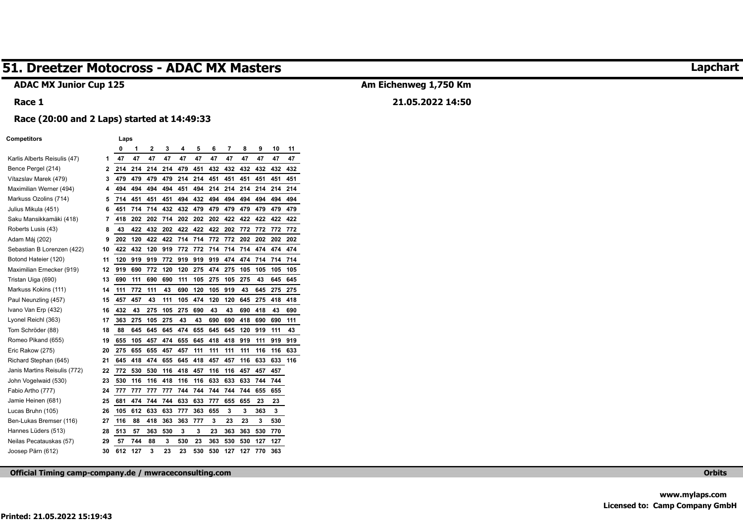#### **ADAC MX Junior Cup 125**

#### **Race 1**

## **Am Eichenweg 1,750 Km 21.05.2022 14:50**

#### **Race (20:00 and 2 Laps) started at 14:49:33**

| <b>Competitors</b>           |    | Laps |     |     |     |     |     |     |     |     |     |     |     |
|------------------------------|----|------|-----|-----|-----|-----|-----|-----|-----|-----|-----|-----|-----|
|                              |    | 0    | 1   | 2   | 3   | 4   | 5   | 6   | 7   | 8   | 9   | 10  | 11  |
| Karlis Alberts Reisulis (47) | 1  | 47   | 47  | 47  | 47  | 47  | 47  | 47  | 47  | 47  | 47  | 47  | 47  |
| Bence Pergel (214)           | 2  | 214  | 214 | 214 | 214 | 479 | 451 | 432 | 432 | 432 | 432 | 432 | 432 |
| Vítazslav Marek (479)        | 3  | 479  | 479 | 479 | 479 | 214 | 214 | 451 | 451 | 451 | 451 | 451 | 451 |
| Maximilian Werner (494)      | 4  | 494  | 494 | 494 | 494 | 451 | 494 | 214 | 214 | 214 | 214 | 214 | 214 |
| Markuss Ozolins (714)        | 5  | 714  | 451 | 451 | 451 | 494 | 432 | 494 | 494 | 494 | 494 | 494 | 494 |
| Julius Mikula (451)          | 6  | 451  | 714 | 714 | 432 | 432 | 479 | 479 | 479 | 479 | 479 | 479 | 479 |
| Saku Mansikkamäki (418)      | 7  | 418  | 202 | 202 | 714 | 202 | 202 | 202 | 422 | 422 | 422 | 422 | 422 |
| Roberts Lusis (43)           | 8  | 43   | 422 | 432 | 202 | 422 | 422 | 422 | 202 | 772 | 772 | 772 | 772 |
| Adam Máj (202)               | 9  | 202  | 120 | 422 | 422 | 714 | 714 | 772 | 772 | 202 | 202 | 202 | 202 |
| Sebastian B Lorenzen (422)   | 10 | 422  | 432 | 120 | 919 | 772 | 772 | 714 | 714 | 714 | 474 | 474 | 474 |
| Botond Hateier (120)         | 11 | 120  | 919 | 919 | 772 | 919 | 919 | 919 | 474 | 474 | 714 | 714 | 714 |
| Maximilian Ernecker (919)    | 12 | 919  | 690 | 772 | 120 | 120 | 275 | 474 | 275 | 105 | 105 | 105 | 105 |
| Tristan Uiga (690)           | 13 | 690  | 111 | 690 | 690 | 111 | 105 | 275 | 105 | 275 | 43  | 645 | 645 |
| Markuss Kokins (111)         | 14 | 111  | 772 | 111 | 43  | 690 | 120 | 105 | 919 | 43  | 645 | 275 | 275 |
| Paul Neunzling (457)         | 15 | 457  | 457 | 43  | 111 | 105 | 474 | 120 | 120 | 645 | 275 | 418 | 418 |
| Ivano Van Erp (432)          | 16 | 432  | 43  | 275 | 105 | 275 | 690 | 43  | 43  | 690 | 418 | 43  | 690 |
| Lyonel Reichl (363)          | 17 | 363  | 275 | 105 | 275 | 43  | 43  | 690 | 690 | 418 | 690 | 690 | 111 |
| Tom Schröder (88)            | 18 | 88   | 645 | 645 | 645 | 474 | 655 | 645 | 645 | 120 | 919 | 111 | 43  |
| Romeo Pikand (655)           | 19 | 655  | 105 | 457 | 474 | 655 | 645 | 418 | 418 | 919 | 111 | 919 | 919 |
| Eric Rakow (275)             | 20 | 275  | 655 | 655 | 457 | 457 | 111 | 111 | 111 | 111 | 116 | 116 | 633 |
| Richard Stephan (645)        | 21 | 645  | 418 | 474 | 655 | 645 | 418 | 457 | 457 | 116 | 633 | 633 | 116 |
| Janis Martins Reisulis (772) | 22 | 772  | 530 | 530 | 116 | 418 | 457 | 116 | 116 | 457 | 457 | 457 |     |
| John Vogelwaid (530)         | 23 | 530  | 116 | 116 | 418 | 116 | 116 | 633 | 633 | 633 | 744 | 744 |     |
| Fabio Artho (777)            | 24 | 777  | 777 | 777 | 777 | 744 | 744 | 744 | 744 | 744 | 655 | 655 |     |
| Jamie Heinen (681)           | 25 | 681  | 474 | 744 | 744 | 633 | 633 | 777 | 655 | 655 | 23  | 23  |     |
| Lucas Bruhn (105)            | 26 | 105  | 612 | 633 | 633 | 777 | 363 | 655 | 3   | 3   | 363 | 3   |     |
| Ben-Lukas Bremser (116)      | 27 | 116  | 88  | 418 | 363 | 363 | 777 | 3   | 23  | 23  | 3   | 530 |     |
| Hannes Lüders (513)          | 28 | 513  | 57  | 363 | 530 | 3   | 3   | 23  | 363 | 363 | 530 | 770 |     |
| Neilas Pecatauskas (57)      | 29 | 57   | 744 | 88  | 3   | 530 | 23  | 363 | 530 | 530 | 127 | 127 |     |
| Joosep Pärn (612)            | 30 | 612  | 127 | 3   | 23  | 23  | 530 | 530 | 127 | 127 | 770 | 363 |     |

**Official Timing camp-company.de / mwraceconsulting.com Orbits** 

## **Lapchart**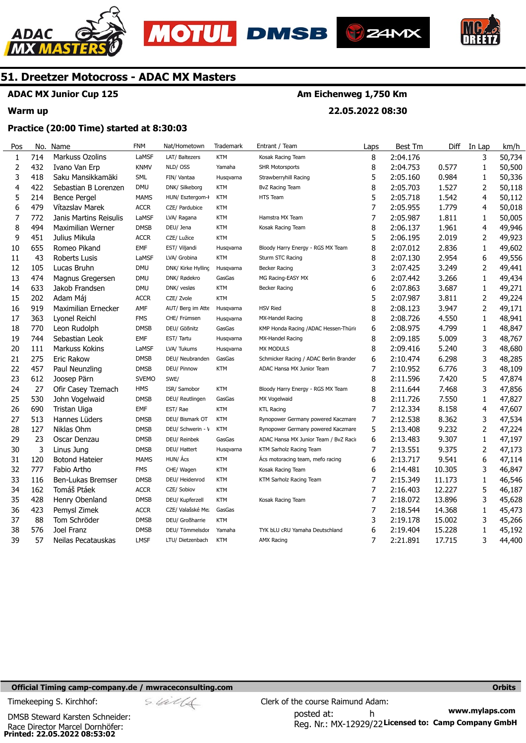





**22.05.2022 08:30** 



## **51. Dreetzer Motocross - ADAC MX Masters**

## **ADAC MX Junior Cup 125**

#### **Warm up**

No.

#### **Practice (20:00 Time) started at 8:30:03**

| Pos | No. | Name                   | <b>FNM</b>   | Nat/Hometown       | Trademark  | Entrant / Team                         | Laps | Best Tm  | Diff   | In Lap         | km/h   |
|-----|-----|------------------------|--------------|--------------------|------------|----------------------------------------|------|----------|--------|----------------|--------|
| 1   | 714 | Markuss Ozolins        | LaMSF        | LAT/ Baltezers     | <b>KTM</b> | Kosak Racing Team                      | 8    | 2:04.176 |        | 3              | 50,734 |
| 2   | 432 | Ivano Van Erp          | <b>KNMV</b>  | NLD/OSS            | Yamaha     | <b>SHR Motorsports</b>                 | 8    | 2:04.753 | 0.577  | 1              | 50,500 |
| 3   | 418 | Saku Mansikkamäki      | <b>SML</b>   | FIN/ Vantaa        | Husqvarna  | Strawberryhill Racing                  | 5    | 2:05.160 | 0.984  | 1              | 50,336 |
| 4   | 422 | Sebastian B Lorenzen   | <b>DMU</b>   | DNK/ Silkeborg     | KTM        | <b>BvZ Racing Team</b>                 | 8    | 2:05.703 | 1.527  | 2              | 50,118 |
| 5   | 214 | <b>Bence Pergel</b>    | <b>MAMS</b>  | HUN/ Esztergom-l   | <b>KTM</b> | HTS Team                               | 5    | 2:05.718 | 1.542  | 4              | 50,112 |
| 6   | 479 | Vítazslav Marek        | <b>ACCR</b>  | CZE/ Pardubice     | KTM        |                                        | 7    | 2:05.955 | 1.779  | 4              | 50,018 |
| 7   | 772 | Janis Martins Reisulis | LaMSF        | LVA/ Ragana        | <b>KTM</b> | Hamstra MX Team                        | 7    | 2:05.987 | 1.811  | 1              | 50,005 |
| 8   | 494 | Maximilian Werner      | <b>DMSB</b>  | DEU/ Jena          | <b>KTM</b> | Kosak Racing Team                      | 8    | 2:06.137 | 1.961  | 4              | 49,946 |
| 9   | 451 | Julius Mikula          | <b>ACCR</b>  | CZE/ Lužice        | <b>KTM</b> |                                        | 5    | 2:06.195 | 2.019  | 2              | 49,923 |
| 10  | 655 | Romeo Pikand           | <b>EMF</b>   | EST/ Viljandi      | Husqvarna  | Bloody Harry Energy - RGS MX Team      | 8    | 2:07.012 | 2.836  | 1              | 49,602 |
| 11  | 43  | Roberts Lusis          | LaMSF        | LVA/ Grobina       | <b>KTM</b> | Sturm STC Racing                       | 8    | 2:07.130 | 2.954  | 6              | 49,556 |
| 12  | 105 | Lucas Bruhn            | <b>DMU</b>   | DNK/ Kirke Hylling | Husqvarna  | <b>Becker Racing</b>                   | 3    | 2:07.425 | 3.249  | 2              | 49,441 |
| 13  | 474 | Magnus Gregersen       | <b>DMU</b>   | DNK/ Rødekro       | GasGas     | MG Racing-EASY MX                      | 6    | 2:07.442 | 3.266  | 1              | 49,434 |
| 14  | 633 | Jakob Frandsen         | <b>DMU</b>   | DNK/ vesløs        | <b>KTM</b> | <b>Becker Racing</b>                   | 6    | 2:07.863 | 3.687  | 1              | 49,271 |
| 15  | 202 | Adam Máj               | <b>ACCR</b>  | CZE/ Zvole         | <b>KTM</b> |                                        | 5    | 2:07.987 | 3.811  | $\overline{2}$ | 49,224 |
| 16  | 919 | Maximilian Ernecker    | AMF          | AUT/ Berg im Atte  | Husqvarna  | <b>HSV Ried</b>                        | 8    | 2:08.123 | 3.947  | $\overline{2}$ | 49,171 |
| 17  | 363 | Lyonel Reichl          | <b>FMS</b>   | CHE/ Frümsen       | Husqvarna  | MX-Handel Racing                       | 8    | 2:08.726 | 4.550  | 1              | 48,941 |
| 18  | 770 | Leon Rudolph           | <b>DMSB</b>  | DEU/ Gößnitz       | GasGas     | KMP Honda Racing / ADAC Hessen-Thürir  | 6    | 2:08.975 | 4.799  | 1              | 48,847 |
| 19  | 744 | Sebastian Leok         | EMF          | EST/ Tartu         | Husqvarna  | MX-Handel Racing                       | 8    | 2:09.185 | 5.009  | 3              | 48,767 |
| 20  | 111 | Markuss Kokins         | LaMSF        | LVA/ Tukums        | Husqvarna  | <b>MX MODULS</b>                       | 8    | 2:09.416 | 5.240  | 3              | 48,680 |
| 21  | 275 | Eric Rakow             | <b>DMSB</b>  | DEU/ Neubranden    | GasGas     | Schmicker Racing / ADAC Berlin Brander | 6    | 2:10.474 | 6.298  | 3              | 48,285 |
| 22  | 457 | Paul Neunzling         | <b>DMSB</b>  | DEU/ Pinnow        | <b>KTM</b> | ADAC Hansa MX Junior Team              | 7    | 2:10.952 | 6.776  | 3              | 48,109 |
| 23  | 612 | Joosep Pärn            | <b>SVEMO</b> | SWE/               |            |                                        | 8    | 2:11.596 | 7.420  | 5              | 47,874 |
| 24  | 27  | Ofir Casey Tzemach     | <b>HMS</b>   | ISR/ Samobor       | <b>KTM</b> | Bloody Harry Energy - RGS MX Team      | 8    | 2:11.644 | 7.468  | 3              | 47,856 |
| 25  | 530 | John Vogelwaid         | <b>DMSB</b>  | DEU/ Reutlingen    | GasGas     | MX Vogelwaid                           | 8    | 2:11.726 | 7.550  | 1              | 47,827 |
| 26  | 690 | Tristan Uiga           | EMF          | EST/Rae            | <b>KTM</b> | <b>KTL Racing</b>                      | 7    | 2:12.334 | 8.158  | 4              | 47,607 |
| 27  | 513 | Hannes Lüders          | <b>DMSB</b>  | DEU/ Bismark OT    | <b>KTM</b> | Rynopower Germany powered Kaczmare     | 7    | 2:12.538 | 8.362  | 3              | 47,534 |
| 28  | 127 | Niklas Ohm             | <b>DMSB</b>  | DEU/ Schwerin - \  | <b>KTM</b> | Rynopower Germany powered Kaczmare     | 5    | 2:13.408 | 9.232  | 2              | 47,224 |
| 29  | 23  | Oscar Denzau           | <b>DMSB</b>  | DEU/ Reinbek       | GasGas     | ADAC Hansa MX Junior Team / BvZ Raci   | 6    | 2:13.483 | 9.307  | 1              | 47,197 |
| 30  | 3   | Linus Jung             | <b>DMSB</b>  | DEU/ Hattert       | Husqvarna  | KTM Sarholz Racing Team                | 7    | 2:13.551 | 9.375  | 2              | 47,173 |
| 31  | 120 | <b>Botond Hateier</b>  | <b>MAMS</b>  | HUN/ Ács           | <b>KTM</b> | Acs motoracing team, mefo racing       | 6    | 2:13.717 | 9.541  | 6              | 47,114 |
| 32  | 777 | Fabio Artho            | <b>FMS</b>   | CHE/ Wagen         | <b>KTM</b> | Kosak Racing Team                      | 6    | 2:14.481 | 10.305 | 3              | 46,847 |
| 33  | 116 | Ben-Lukas Bremser      | <b>DMSB</b>  | DEU/ Heidenrod     | <b>KTM</b> | KTM Sarholz Racing Team                | 7    | 2:15.349 | 11.173 | 1              | 46,546 |
| 34  | 162 | Tomáš Ptáek            | <b>ACCR</b>  | CZE/ Sobiov        | <b>KTM</b> |                                        | 7    | 2:16.403 | 12.227 | 5              | 46,187 |
| 35  | 428 | Henry Obenland         | <b>DMSB</b>  | DEU/ Kupferzell    | <b>KTM</b> | Kosak Racing Team                      | 7    | 2:18.072 | 13.896 | 3              | 45,628 |
| 36  | 423 | Pemysl Zimek           | <b>ACCR</b>  | CZE/ Valašské Me:  | GasGas     |                                        | 7    | 2:18.544 | 14.368 | 1              | 45,473 |
| 37  | 88  | Tom Schröder           | <b>DMSB</b>  | DEU/ Großharrie    | <b>KTM</b> |                                        | 3    | 2:19.178 | 15.002 | 3              | 45,266 |
| 38  | 576 | Joel Franz             | <b>DMSB</b>  | DEU/ Tömmelsdor    | Yamaha     | TYK bLU cRU Yamaha Deutschland         | 6    | 2:19.404 | 15.228 | 1              | 45,192 |
| 39  | 57  | Neilas Pecatauskas     | <b>LMSF</b>  | LTU/ Dietzenbach   | <b>KTM</b> | <b>AMX Racing</b>                      | 7    | 2:21.891 | 17.715 | 3              | 44,400 |

#### **Official Timing camp-company.de / mwraceconsulting.com <b>Orbits and Company.de Company** orbits **Orbits Orbits**

**Printed: 22.05.2022 08:53:02**  Race Director Marcel Dornhöfer: DMSB Steward Karsten Schneider:

**www.mylaps.com**  Reg. Nr.: MX-12929/22 Licensed to: Camp Company GmbH posted at: h Timekeeping S. Kirchhof:  $\le \& \& \& \& \& \& \& \& \qquad \qquad$  Clerk of the course Raimund Adam: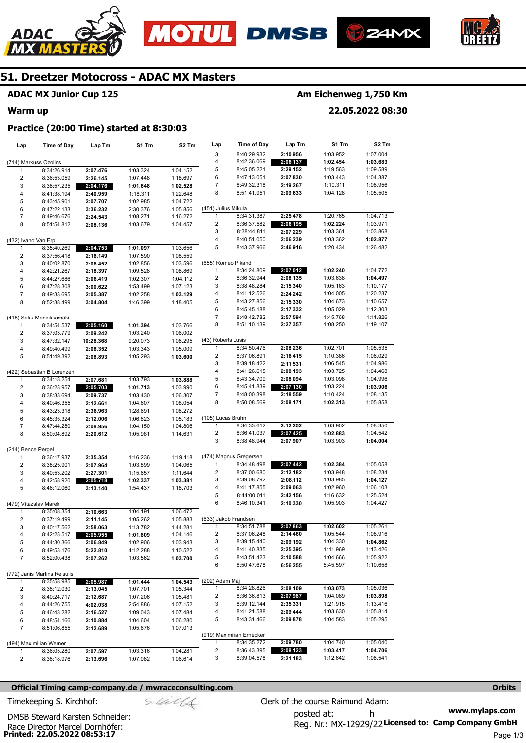







### **ADAC MX Junior Cup 125**

#### **Warm up**

## **Am Eichenweg 1,750 Km**

**22.05.2022 08:30** 

#### **Practice (20:00 Time) started at 8:30:03**

| Lap                     | <b>Time of Day</b>           | Lap Tm               | S1 Tm                | S2 Tm                | Lap                 | <b>Time of Day</b>                  | Lap Tm               | S1 Tm                | S <sub>2</sub> Tm    |
|-------------------------|------------------------------|----------------------|----------------------|----------------------|---------------------|-------------------------------------|----------------------|----------------------|----------------------|
|                         |                              |                      |                      |                      | 3                   | 8:40:29.932                         | 2:10.956             | 1:03.952             | 1:07.004             |
| (714) Markuss Ozolins   |                              |                      |                      |                      | 4                   | 8:42:36.069                         | 2:06.137             | 1:02.454             | 1:03.683             |
| 1                       | 8:34:26.914                  | 2:07.476             | 1:03.324             | 1:04.152             | 5                   | 8:45:05.221                         | 2:29.152             | 1:19.563             | 1:09.589             |
| $\overline{c}$          | 8:36:53.059                  | 2:26.145             | 1:07.448             | 1:18.697             | 6                   | 8:47:13.051                         | 2:07.830             | 1:03.443             | 1:04.387             |
| 3                       | 8:38:57.235                  | 2:04.176             | 1:01.648             | 1:02.528             | 7                   | 8:49:32.318                         | 2:19.267             | 1:10.311             | 1:08.956             |
| 4                       | 8:41:38.194                  | 2:40.959             | 1:18.311             | 1:22.648             | 8                   | 8:51:41.951                         | 2:09.633             | 1:04.128             | 1:05.505             |
| 5                       | 8:43:45.901                  | 2:07.707             | 1:02.985             | 1:04.722             |                     |                                     |                      |                      |                      |
| 6                       | 8:47:22.133                  | 3:36.232             | 2:30.376             | 1:05.856             | (451) Julius Mikula |                                     |                      |                      |                      |
| $\overline{7}$          | 8:49:46.676                  | 2:24.543             | 1:08.271             | 1:16.272             | 1                   | 8:34:31.387                         | 2:25.478             | 1:20.765             | 1:04.713             |
| 8                       | 8:51:54.812                  | 2:08.136             | 1:03.679             | 1:04.457             | 2                   | 8:36:37.582                         | 2:06.195             | 1:02.224             | 1:03.971             |
|                         |                              |                      |                      |                      | 3                   | 8:38:44.811                         | 2:07.229             | 1:03.361             | 1:03.868             |
| (432) Ivano Van Erp     |                              |                      |                      |                      | 4                   | 8:40:51.050                         | 2:06.239             | 1:03.362             | 1:02.877             |
| 1                       | 8:35:40.269                  | 2:04.753             | 1:01.097             | 1:03.656             | 5                   | 8:43:37.966                         | 2:46.916             | 1:20.434             | 1:26.482             |
| $\overline{\mathbf{c}}$ | 8:37:56.418                  | 2:16.149             | 1:07.590             | 1:08.559             |                     |                                     |                      |                      |                      |
| 3                       | 8:40:02.870                  | 2:06.452             | 1:02.856             | 1:03.596             | (655) Romeo Pikand  |                                     |                      |                      |                      |
| 4                       | 8:42:21.267                  | 2:18.397             | 1:09.528             | 1:08.869             | 1                   | 8:34:24.809                         | 2:07.012             | 1:02.240             | 1:04.772             |
| 5                       | 8:44:27.686                  | 2:06.419             | 1:02.307             | 1:04.112             | 2<br>3              | 8:36:32.944                         | 2:08.135             | 1:03.638             | 1:04.497             |
| 6                       | 8:47:28.308                  | 3:00.622             | 1:53.499             | 1:07.123             | 4                   | 8:38:48.284<br>8:41:12.526          | 2:15.340<br>2:24.242 | 1:05.163             | 1:10.177<br>1:20.237 |
| $\overline{7}$          | 8:49:33.695                  | 2:05.387             | 1:02.258             | 1:03.129             | 5                   | 8:43:27.856                         | 2:15.330             | 1:04.005<br>1:04.673 | 1:10.657             |
| 8                       | 8:52:38.499                  | 3:04.804             | 1:46.399             | 1:18.405             | 6                   | 8:45:45.188                         | 2:17.332             | 1:05.029             | 1:12.303             |
|                         | (418) Saku Mansikkamäki      |                      |                      |                      | 7                   | 8:48:42.782                         | 2:57.594             | 1:45.768             | 1:11.826             |
| 1                       | 8:34:54.537                  | 2:05.160             | 1:01.394             | 1:03.766             | 8                   | 8:51:10.139                         | 2:27.357             | 1:08.250             | 1:19.107             |
| $\boldsymbol{2}$        | 8:37:03.779                  | 2:09.242             | 1:03.240             | 1:06.002             |                     |                                     |                      |                      |                      |
| 3                       | 8:47:32.147                  | 10:28.368            | 9:20.073             | 1:08.295             | (43) Roberts Lusis  |                                     |                      |                      |                      |
| 4                       | 8:49:40.499                  | 2:08.352             | 1:03.343             | 1:05.009             | 1                   | 8:34:50.476                         | 2:08.236             | 1:02.701             | 1:05.535             |
| 5                       | 8:51:49.392                  | 2:08.893             | 1:05.293             | 1:03.600             | 2                   | 8:37:06.891                         | 2:16.415             | 1:10.386             | 1:06.029             |
|                         |                              |                      |                      |                      | 3                   | 8:39:18.422                         | 2:11.531             | 1:06.545             | 1:04.986             |
|                         | (422) Sebastian B Lorenzen   |                      |                      |                      | 4                   | 8:41:26.615                         | 2:08.193             | 1:03.725             | 1:04.468             |
| 1                       | 8:34:18.254                  | 2:07.681             | 1:03.793             | 1:03.888             | 5                   | 8:43:34.709                         | 2:08.094             | 1:03.098             | 1:04.996             |
| $\overline{2}$          | 8:36:23.957                  | 2:05.703             | 1:01.713             | 1:03.990             | 6                   | 8:45:41.839                         | 2:07.130             | 1:03.224             | 1:03.906             |
| 3                       | 8:38:33.694                  | 2:09.737             | 1:03.430             | 1:06.307             | 7                   | 8:48:00.398                         | 2:18.559             | 1:10.424             | 1:08.135             |
| 4                       | 8:40:46.355                  | 2:12.661             | 1:04.607             | 1:08.054             | 8                   | 8:50:08.569                         | 2:08.171             | 1:02.313             | 1:05.858             |
| 5                       | 8:43:23.318                  | 2:36.963             | 1:28.691             | 1:08.272             |                     |                                     |                      |                      |                      |
| 6                       | 8:45:35.324                  | 2:12.006             | 1:06.823             | 1:05.183             | (105) Lucas Bruhn   |                                     |                      |                      |                      |
| $\boldsymbol{7}$        | 8:47:44.280                  | 2:08.956             | 1:04.150             | 1:04.806             | 1                   | 8:34:33.612                         | 2:12.252             | 1:03.902             | 1:08.350             |
| 8                       | 8:50:04.892                  | 2:20.612             | 1:05.981             | 1:14.631             | 2                   | 8:36:41.037                         | 2:07.425             | 1:02.883             | 1:04.542             |
|                         |                              |                      |                      |                      | 3                   | 8:38:48.944                         | 2:07.907             | 1:03.903             | 1:04.004             |
| (214) Bence Pergel      |                              |                      |                      |                      |                     |                                     |                      |                      |                      |
| 1                       | 8:36:17.937                  | 2:35.354             | 1:16.236             | 1:19.118             |                     | (474) Magnus Gregersen              |                      |                      |                      |
| $\boldsymbol{2}$        | 8:38:25.901                  | 2:07.964             | 1:03.899             | 1:04.065             | 1                   | 8:34:48.498                         | 2:07.442             | 1:02.384             | 1:05.058             |
| 3                       | 8:40:53.202                  | 2:27.301             | 1:15.657             | 1:11.644             | 2                   | 8:37:00.680                         | 2:12.182             | 1:03.948             | 1:08.234             |
| 4                       | 8:42:58.920                  | 2:05.718             | 1:02.337             | 1:03.381             | 3                   | 8:39:08.792                         | 2:08.112             | 1:03.985             | 1:04.127             |
| 5                       | 8:46:12.060                  | 3:13.140             | 1:54.437             | 1:18.703             | 4                   | 8:41:17.855                         | 2:09.063             | 1:02.960             | 1:06.103             |
|                         |                              |                      |                      |                      | 5                   | 8:44:00.011                         | 2:42.156             | 1:16.632             | 1:25.524             |
| (479) Vítazslav Marek   |                              |                      |                      |                      | 6                   | 8:46:10.341                         | 2:10.330             | 1:05.903             | 1:04.427             |
| 1                       | 8:35:08.354                  | 2:10.663             | 1:04.191             | 1:06.472             |                     |                                     |                      |                      |                      |
| $\overline{c}$<br>3     | 8:37:19.499                  | 2:11.145<br>2:58.063 | 1:05.262             | 1:05.883             | 1                   | (633) Jakob Frandsen<br>8:34:51.788 | 2:07.863             | 1:02.602             | 1:05.261             |
| 4                       | 8:40:17.562<br>8:42:23.517   | 2:05.955             | 1:13.782<br>1:01.809 | 1:44.281<br>1:04.146 | 2                   | 8:37:06.248                         | 2:14.460             | 1:05.544             | 1:08.916             |
| 5                       | 8:44:30.366                  | 2:06.849             | 1:02.906             | 1:03.943             | 3                   | 8:39:15.440                         | 2:09.192             | 1:04.330             | 1:04.862             |
| 6                       | 8:49:53.176                  | 5:22.810             | 4:12.288             | 1:10.522             | 4                   | 8:41:40.835                         | 2:25.395             | 1:11.969             | 1:13.426             |
| $\overline{7}$          | 8:52:00.438                  | 2:07.262             | 1:03.562             | 1:03.700             | 5                   | 8:43:51.423                         | 2:10.588             | 1:04.666             | 1:05.922             |
|                         |                              |                      |                      |                      | 6                   | 8:50:47.678                         | 6:56.255             | 5:45.597             | 1:10.658             |
|                         | (772) Janis Martins Reisulis |                      |                      |                      |                     |                                     |                      |                      |                      |
| 1                       | 8:35:58.985                  | 2:05.987             | 1:01.444             | 1:04.543             | (202) Adam Máj      |                                     |                      |                      |                      |
| 2                       | 8:38:12.030                  | 2:13.045             | 1:07.701             | 1:05.344             | 1                   | 8:34:28.826                         | 2:08.109             | 1:03.073             | 1:05.036             |
| 3                       | 8:40:24.717                  | 2:12.687             | 1:07.206             | 1:05.481             | 2                   | 8:36:36.813                         | 2:07.987             | 1:04.089             | 1:03.898             |
| 4                       | 8:44:26.755                  | 4:02.038             | 2:54.886             | 1:07.152             | 3                   | 8:39:12.144                         | 2:35.331             | 1:21.915             | 1:13.416             |
| 5                       | 8:46:43.282                  | 2:16.527             | 1:09.043             | 1:07.484             | 4                   | 8:41:21.588                         | 2:09.444             | 1:03.630             | 1:05.814             |
| 6                       | 8:48:54.166                  | 2:10.884             | 1:04.604             | 1:06.280             | 5                   | 8:43:31.466                         | 2:09.878             | 1:04.583             | 1:05.295             |
| 7                       | 8:51:06.855                  | 2:12.689             | 1:05.676             | 1:07.013             |                     |                                     |                      |                      |                      |
|                         |                              |                      |                      |                      |                     | (919) Maximilian Ernecker           |                      |                      |                      |
|                         | (494) Maximilian Werner      |                      |                      |                      | 1                   | 8:34:35.272                         | 2:09.780             | 1:04.740             | 1:05.040             |
| 1                       | 8:36:05.280                  | 2:07.597             | 1:03.316             | 1:04.281             | 2                   | 8:36:43.395                         | 2:08.123             | 1:03.417             | 1:04.706             |
| 2                       | 8:38:18.976                  | 2:13.696             | 1:07.082             | 1:06.614             | 3                   | 8:39:04.578                         | 2:21.183             | 1:12.642             | 1:08.541             |
|                         |                              |                      |                      |                      |                     |                                     |                      |                      |                      |

#### **Official Timing camp-company.de / mwraceconsulting.com <b>Orbits Orbits Orbits Orbits**

**www.mylaps.com**  Reg. Nr.: MX-12929/22 Licensed to: Camp Company GmbH posted at: h Timekeeping S. Kirchhof:  $\le \neq \neq \text{C}$  Clerk of the course Raimund Adam: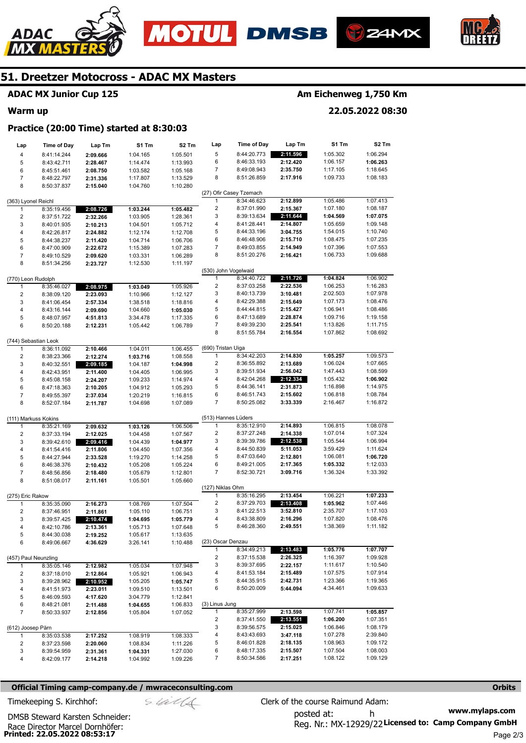







#### **ADAC MX Junior Cup 125**

#### **Warm up**

## **Am Eichenweg 1,750 Km**

**22.05.2022 08:30** 

#### **Practice (20:00 Time) started at 8:30:03**

| Lap                     | <b>Time of Day</b>         | Lap Tm               | S1 Tm    | S2 Tm    | Lap                     | <b>Time of Day</b>      | Lap Tm   | S1 Tm    | S2 Tm                |
|-------------------------|----------------------------|----------------------|----------|----------|-------------------------|-------------------------|----------|----------|----------------------|
| $\overline{\mathbf{4}}$ | 8:41:14.244                | 2:09.666             | 1:04.165 | 1:05.501 | 5                       | 8:44:20.773             | 2:11.596 | 1:05.302 | 1:06.294             |
| 5                       | 8:43:42.711                | 2:28.467             | 1:14.474 | 1:13.993 | 6                       | 8:46:33.193             | 2:12.420 | 1:06.157 | 1:06.263             |
| 6                       | 8:45:51.461                | 2:08.750             | 1:03.582 | 1:05.168 | 7                       | 8:49:08.943             | 2:35.750 | 1:17.105 | 1:18.645             |
| $\boldsymbol{7}$        | 8:48:22.797                | 2:31.336             | 1:17.807 | 1:13.529 | 8                       | 8:51:26.859             | 2:17.916 | 1:09.733 | 1:08.183             |
| 8                       | 8:50:37.837                | 2:15.040             | 1:04.760 | 1:10.280 |                         |                         |          |          |                      |
|                         |                            |                      |          |          |                         | (27) Ofir Casey Tzemach |          |          |                      |
| (363) Lyonel Reichl     |                            |                      |          |          | 1                       | 8:34:46.623             | 2:12.899 | 1:05.486 | 1:07.413             |
| $\mathbf{1}$            | 8:35:19.456                | 2:08.726             | 1:03.244 | 1:05.482 | $\overline{\mathbf{c}}$ | 8:37:01.990             | 2:15.367 | 1:07.180 | 1:08.187             |
| $\overline{2}$          | 8:37:51.722                | 2:32.266             | 1:03.905 | 1:28.361 | 3                       | 8:39:13.634             | 2:11.644 | 1:04.569 | 1:07.075             |
| 3                       | 8:40:01.935                | 2:10.213             | 1:04.501 | 1:05.712 | 4                       | 8:41:28.441             | 2:14.807 | 1:05.659 | 1:09.148             |
| $\overline{4}$          | 8:42:26.817                | 2:24.882             | 1:12.174 | 1:12.708 | 5                       | 8:44:33.196             | 3:04.755 | 1:54.015 | 1:10.740             |
| 5                       | 8:44:38.237                | 2:11.420             | 1:04.714 | 1:06.706 | 6                       | 8:46:48.906             | 2:15.710 | 1:08.475 | 1:07.235             |
| 6                       | 8:47:00.909                | 2:22.672             | 1:15.389 | 1:07.283 | 7                       | 8:49:03.855             | 2:14.949 | 1:07.396 | 1:07.553             |
| $\overline{7}$          | 8:49:10.529                | 2:09.620             | 1:03.331 | 1:06.289 | 8                       | 8:51:20.276             | 2:16.421 | 1:06.733 | 1:09.688             |
| 8                       | 8:51:34.256                | 2:23.727             | 1:12.530 | 1:11.197 |                         |                         |          |          |                      |
|                         |                            |                      |          |          | (530) John Vogelwaid    |                         |          |          |                      |
| (770) Leon Rudolph      |                            |                      |          |          | 1                       | 8:34:40.722             | 2:11.726 | 1:04.824 | 1:06.902             |
| 1                       | 8:35:46.027                | 2:08.975             | 1:03.049 | 1:05.926 | $\overline{\mathbf{c}}$ | 8:37:03.258             | 2:22.536 | 1:06.253 | 1:16.283             |
| $\overline{2}$          | 8:38:09.120                | 2:23.093             | 1:10.966 | 1:12.127 | 3                       | 8:40:13.739             | 3:10.481 | 2:02.503 | 1:07.978             |
| 3                       | 8:41:06.454                | 2:57.334             | 1:38.518 | 1:18.816 | 4                       | 8:42:29.388             | 2:15.649 | 1:07.173 | 1:08.476             |
| $\overline{4}$          | 8:43:16.144                | 2:09.690             | 1:04.660 | 1:05.030 | 5                       | 8:44:44.815             | 2:15.427 | 1:06.941 | 1:08.486             |
| 5                       | 8:48:07.957                | 4:51.813             | 3:34.478 | 1:17.335 | 6                       | 8:47:13.689             | 2:28.874 | 1:09.716 | 1:19.158             |
| 6                       | 8:50:20.188                | 2:12.231             | 1:05.442 | 1:06.789 | 7                       | 8:49:39.230             | 2:25.541 | 1:13.826 | 1:11.715             |
|                         |                            |                      |          |          | 8                       | 8:51:55.784             | 2:16.554 | 1:07.862 | 1:08.692             |
| (744) Sebastian Leok    |                            |                      |          |          |                         |                         |          |          |                      |
| 1                       | 8:36:11.092                | 2:10.466             | 1:04.011 | 1:06.455 | (690) Tristan Uiga      |                         |          |          |                      |
| $\overline{2}$          | 8:38:23.366                | 2:12.274             | 1:03.716 | 1:08.558 | 1                       | 8:34:42.203             | 2:14.830 | 1:05.257 | 1:09.573             |
| 3                       | 8:40:32.551                | 2:09.185             | 1:04.187 | 1:04.998 | $\overline{\mathbf{c}}$ | 8:36:55.892             | 2:13.689 | 1:06.024 | 1:07.665             |
| $\overline{\mathbf{4}}$ | 8:42:43.951                | 2:11.400             | 1:04.405 | 1:06.995 | 3                       | 8:39:51.934             | 2:56.042 | 1:47.443 | 1:08.599             |
| 5                       | 8:45:08.158                | 2:24.207             | 1:09.233 | 1:14.974 | 4                       | 8:42:04.268             | 2:12.334 | 1:05.432 | 1:06.902             |
| 6                       | 8:47:18.363                |                      | 1:04.912 | 1:05.293 | 5                       | 8:44:36.141             | 2:31.873 | 1:16.898 | 1:14.975             |
| $\overline{7}$          |                            | 2:10.205             |          |          | 6                       | 8:46:51.743             | 2:15.602 | 1:06.818 | 1:08.784             |
| 8                       | 8:49:55.397<br>8:52:07.184 | 2:37.034             | 1:20.219 | 1:16.815 | $\overline{7}$          | 8:50:25.082             | 3:33.339 | 2:16.467 | 1:16.872             |
|                         |                            | 2:11.787             | 1:04.698 | 1:07.089 |                         |                         |          |          |                      |
| (111) Markuss Kokins    |                            |                      |          |          | (513) Hannes Lüders     |                         |          |          |                      |
| $\mathbf{1}$            | 8:35:21.169                | 2:09.632             | 1:03.126 | 1:06.506 | 1                       | 8:35:12.910             | 2:14.893 | 1:06.815 | 1:08.078             |
| $\overline{\mathbf{c}}$ | 8:37:33.194                | 2:12.025             | 1:04.458 | 1:07.567 | $\overline{\mathbf{c}}$ | 8:37:27.248             | 2:14.338 | 1:07.014 | 1:07.324             |
| 3                       | 8:39:42.610                | 2:09.416             | 1:04.439 | 1:04.977 | 3                       | 8:39:39.786             | 2:12.538 | 1:05.544 | 1:06.994             |
| $\overline{4}$          | 8:41:54.416                |                      | 1:04.450 | 1:07.356 | 4                       | 8:44:50.839             | 5:11.053 | 3:59.429 | 1:11.624             |
| 5                       | 8:44:27.944                | 2:11.806<br>2:33.528 | 1:19.270 | 1:14.258 | 5                       | 8:47:03.640             | 2:12.801 | 1:06.081 | 1:06.720             |
| 6                       |                            |                      |          |          | 6                       | 8:49:21.005             | 2:17.365 | 1:05.332 | 1:12.033             |
| $\overline{7}$          | 8:46:38.376                | 2:10.432             | 1:05.208 | 1:05.224 | $\overline{7}$          | 8:52:30.721             | 3:09.716 | 1:36.324 | 1:33.392             |
| 8                       | 8:48:56.856                | 2:18.480             | 1:05.679 | 1:12.801 |                         |                         |          |          |                      |
|                         | 8:51:08.017                | 2:11.161             | 1:05.501 | 1:05.660 | (127) Niklas Ohm        |                         |          |          |                      |
| (275) Eric Rakow        |                            |                      |          |          | $\mathbf{1}$            | 8:35:16.295             | 2:13.454 | 1:06.221 | 1:07.233             |
| $\mathbf{1}$            | 8:35:35.090                | 2:16.273             | 1:08.769 | 1:07.504 | 2                       | 8:37:29.703             | 2:13.408 | 1:05.962 | 1:07.446             |
| $\overline{2}$          | 8:37:46.951                | 2:11.861             | 1:05.110 | 1:06.751 | 3                       | 8:41:22.513             | 3:52.810 | 2:35.707 | 1:17.103             |
| 3                       | 8:39:57.425                | 2:10.474             | 1:04.695 | 1:05.779 | 4                       | 8:43:38.809             | 2:16.296 | 1:07.820 | 1:08.476             |
| $\overline{4}$          | 8:42:10.786                | 2:13.361             | 1:05.713 | 1:07.648 | 5                       | 8:46:28.360             | 2:49.551 | 1:38.369 | 1:11.182             |
| 5                       |                            |                      |          |          |                         |                         |          |          |                      |
|                         | 8:44:30.038                | 2:19.252             | 1:05.617 | 1:13.635 | (23) Oscar Denzau       |                         |          |          |                      |
| 6                       | 8:49:06.667                | 4:36.629             | 3:26.141 | 1:10.488 | 1                       | 8:34:49.213             | 2:13.483 | 1:05.776 | 1:07.707             |
| (457) Paul Neunzling    |                            |                      |          |          | 2                       | 8:37:15.538             | 2:26.325 | 1:16.397 | 1:09.928             |
| 1                       |                            |                      |          |          | 3                       | 8:39:37.695             | 2:22.157 | 1:11.617 | 1:10.540             |
|                         | 8:35:05.146                | 2:12.982             | 1:05.034 | 1:07.948 | 4                       | 8:41:53.184             | 2:15.489 | 1:07.575 | 1:07.914             |
| 2                       | 8:37:18.010                | 2:12.864             | 1:05.921 | 1:06.943 | 5                       |                         |          |          |                      |
| 3                       | 8:39:28.962                | 2:10.952             | 1:05.205 | 1:05.747 | 6                       | 8:44:35.915             | 2:42.731 | 1:23.366 | 1:19.365             |
| 4                       | 8:41:51.973                | 2:23.011             | 1:09.510 | 1:13.501 |                         | 8:50:20.009             | 5:44.094 | 4:34.461 | 1:09.633             |
| 5                       | 8:46:09.593                | 4:17.620             | 3:04.779 | 1:12.841 |                         |                         |          |          |                      |
| 6                       | 8:48:21.081                | 2:11.488             | 1:04.655 | 1:06.833 | (3) Linus Jung          |                         |          |          |                      |
| $\overline{7}$          | 8:50:33.937                | 2:12.856             | 1:05.804 | 1:07.052 | $\mathbf{1}$            | 8:35:27.999             | 2:13.598 | 1:07.741 | 1:05.857             |
|                         |                            |                      |          |          | 2                       | 8:37:41.550             | 2:13.551 | 1:06.200 | 1:07.351<br>1:08.179 |
| (612) Joosep Pärn       |                            |                      |          |          | 3                       | 8:39:56.575             | 2:15.025 | 1:06.846 |                      |
| 1                       | 8:35:03.538                | 2:17.252             | 1:08.919 | 1:08.333 | 4                       | 8:43:43.693             | 3:47.118 | 1:07.278 | 2:39.840             |
| 2                       | 8:37:23.598                | 2:20.060             | 1:08.834 | 1:11.226 | 5                       | 8:46:01.828             | 2:18.135 | 1:08.963 | 1:09.172             |
| 3                       | 8:39:54.959                | 2:31.361             | 1:04.331 | 1:27.030 | 6                       | 8:48:17.335             | 2:15.507 | 1:07.504 | 1:08.003             |
| 4                       | 8:42:09.177                | 2:14.218             | 1:04.992 | 1:09.226 | 7                       | 8:50:34.586             | 2:17.251 | 1:08.122 | 1:09.129             |

#### **Official Timing camp-company.de / mwraceconsulting.com <b>Orbits and Company.de Company** orbits **Orbits Orbits**

Race Director Marcel Dornhöfer:<br>**Printed: 22.05.2022 08:53:17** 

DMSB Steward Karsten Schneider:

**www.mylaps.com**  Reg. Nr.: MX-12929/22 Licensed to: Camp Company GmbH posted at: h Timekeeping S. Kirchhof:  $\le \frac{1}{2}$  Clerk of the course Raimund Adam: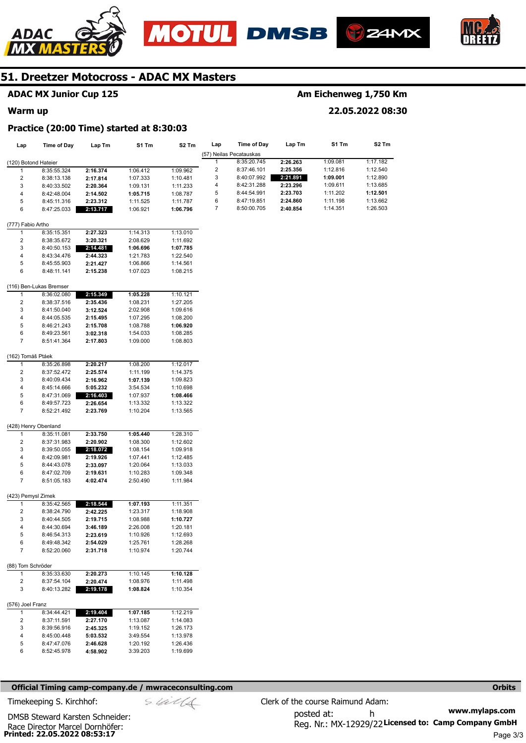





**22.05.2022 08:30** 



## **51. Dreetzer Motocross - ADAC MX Masters**

## **ADAC MX Junior Cup 125**

#### **Warm up**

#### **Practice (20:00 Time) started at 8:30:03**

| Lap                  | <b>Time of Day</b>         | Lap Tm               | S1 Tm                | S <sub>2</sub> Tm    | Lap            | <b>Time of Day</b>      | Lap Tm   | S1 Tm    | S <sub>2</sub> Tm |
|----------------------|----------------------------|----------------------|----------------------|----------------------|----------------|-------------------------|----------|----------|-------------------|
|                      |                            |                      |                      |                      |                | (57) Neilas Pecatauskas |          |          |                   |
| (120) Botond Hateier |                            |                      |                      |                      | 1              | 8:35:20.745             | 2:26.263 | 1:09.081 | 1:17.182          |
| 1                    | 8:35:55.324                | 2:16.374             | 1:06.412             | 1:09.962             | $\overline{2}$ | 8:37:46.101             | 2:25.356 | 1:12.816 | 1:12.540          |
| $\overline{2}$       | 8:38:13.138                | 2:17.814             | 1:07.333             | 1:10.481             | 3              | 8:40:07.992             | 2:21.891 | 1:09.001 | 1:12.890          |
| 3                    | 8:40:33.502                | 2:20.364             | 1:09.131             | 1:11.233             | 4              | 8:42:31.288             | 2:23.296 | 1:09.611 | 1:13.685          |
| 4                    | 8:42:48.004                | 2:14.502             | 1:05.715             | 1:08.787             | 5              | 8:44:54.991             | 2:23.703 | 1:11.202 | 1:12.501          |
| 5                    | 8:45:11.316                | 2:23.312             | 1:11.525             | 1:11.787             | 6              | 8:47:19.851             | 2:24.860 | 1:11.198 | 1:13.662          |
| 6                    | 8:47:25.033                | 2:13.717             | 1:06.921             | 1:06.796             | $\overline{7}$ | 8:50:00.705             | 2:40.854 | 1:14.351 | 1:26.503          |
| (777) Fabio Artho    |                            |                      |                      |                      |                |                         |          |          |                   |
| 1                    | 8:35:15.351                | 2:27.323             | 1:14.313             | 1:13.010             |                |                         |          |          |                   |
| 2                    | 8:38:35.672                | 3:20.321             | 2:08.629             | 1:11.692             |                |                         |          |          |                   |
| 3                    | 8:40:50.153                | 2:14.481             | 1:06.696             | 1:07.785             |                |                         |          |          |                   |
| 4                    | 8:43:34.476                | 2:44.323             | 1:21.783             | 1:22.540             |                |                         |          |          |                   |
| 5                    | 8:45:55.903                | 2:21.427             | 1:06.866             | 1:14.561             |                |                         |          |          |                   |
| 6                    | 8:48:11.141                | 2:15.238             | 1:07.023             | 1:08.215             |                |                         |          |          |                   |
|                      | (116) Ben-Lukas Bremser    |                      |                      |                      |                |                         |          |          |                   |
| 1                    | 8:36:02.080                | 2:15.349             | 1:05.228             | 1:10.121             |                |                         |          |          |                   |
| 2                    | 8:38:37.516                | 2:35.436             | 1:08.231             | 1:27.205             |                |                         |          |          |                   |
| 3                    | 8:41:50.040                | 3:12.524             | 2:02.908             | 1:09.616             |                |                         |          |          |                   |
| 4                    | 8:44:05.535                | 2:15.495             | 1:07.295             | 1:08.200             |                |                         |          |          |                   |
| 5                    | 8:46:21.243                | 2:15.708             | 1:08.788             | 1:06.920             |                |                         |          |          |                   |
| 6                    | 8:49:23.561                | 3:02.318             | 1:54.033             | 1:08.285             |                |                         |          |          |                   |
| 7                    | 8:51:41.364                | 2:17.803             | 1:09.000             | 1:08.803             |                |                         |          |          |                   |
|                      |                            |                      |                      |                      |                |                         |          |          |                   |
| (162) Tomáš Ptáek    |                            |                      |                      |                      |                |                         |          |          |                   |
| 1                    | 8:35:26.898                | 2:20.217             | 1:08.200             | 1:12.017             |                |                         |          |          |                   |
| 2                    | 8:37:52.472                | 2:25.574             | 1:11.199             | 1:14.375             |                |                         |          |          |                   |
| 3<br>4               | 8:40:09.434                | 2:16.962             | 1:07.139             | 1:09.823             |                |                         |          |          |                   |
| 5                    | 8:45:14.666                | 5:05.232             | 3:54.534             | 1:10.698             |                |                         |          |          |                   |
| 6                    | 8:47:31.069<br>8:49:57.723 | 2:16.403             | 1:07.937<br>1:13.332 | 1:08.466<br>1:13.322 |                |                         |          |          |                   |
| $\overline{7}$       | 8:52:21.492                | 2:26.654<br>2:23.769 | 1:10.204             | 1:13.565             |                |                         |          |          |                   |
|                      |                            |                      |                      |                      |                |                         |          |          |                   |
| (428) Henry Obenland |                            |                      |                      |                      |                |                         |          |          |                   |
| 1                    | 8:35:11.081                | 2:33.750             | 1:05.440             | 1:28.310             |                |                         |          |          |                   |
| 2                    | 8:37:31.983                | 2:20.902             | 1:08.300             | 1:12.602             |                |                         |          |          |                   |
| 3                    | 8:39:50.055                | 2:18.072             | 1:08.154             | 1:09.918             |                |                         |          |          |                   |
| 4                    | 8:42:09.981                | 2:19.926             | 1:07.441             | 1:12.485             |                |                         |          |          |                   |
| 5                    | 8:44:43.078                | 2:33.097             | 1:20.064             | 1:13.033             |                |                         |          |          |                   |
| 6                    | 8:47:02.709                | 2:19.631             | 1:10.283             | 1:09.348             |                |                         |          |          |                   |
| $\overline{7}$       | 8:51:05.183                | 4:02.474             | 2:50.490             | 1:11.984             |                |                         |          |          |                   |
| (423) Pemysl Zimek   |                            |                      |                      |                      |                |                         |          |          |                   |
| 1                    | 8:35:42.565                | 2:18.544             | 1:07.193             | 1:11.351             |                |                         |          |          |                   |
| $\overline{c}$       | 8:38:24.790                | 2:42.225             | 1:23.317             | 1:18.908             |                |                         |          |          |                   |
| 3                    | 8:40:44.505                | 2:19.715             | 1:08.988             | 1:10.727             |                |                         |          |          |                   |
| 4                    | 8:44:30.694                | 3:46.189             | 2:26.008             | 1:20.181             |                |                         |          |          |                   |
| 5                    | 8:46:54.313                | 2:23.619             | 1:10.926             | 1:12.693             |                |                         |          |          |                   |
| 6<br>$\overline{7}$  | 8:49:48.342<br>8:52:20.060 | 2:54.029<br>2:31.718 | 1:25.761<br>1:10.974 | 1:28.268<br>1:20.744 |                |                         |          |          |                   |
|                      |                            |                      |                      |                      |                |                         |          |          |                   |

| (88) Tom Schröder |             |          |          |
|-------------------|-------------|----------|----------|
|                   | 8:35:33.630 | 2:20.273 | 1:10.145 |
| $\mathcal{P}$     | 8:37:54.104 | 2:20.474 | 1:08.976 |
| 3                 | 8:40:13.282 | 2:19.178 | 1:08.824 |

|  | (576) Joel Franz |
|--|------------------|
|  |                  |

|   | 8:34:44.421 | 2:19.404 | 1:07.185 | 1:12.219 |
|---|-------------|----------|----------|----------|
| 2 | 8:37:11.591 | 2:27.170 | 1:13.087 | 1:14.083 |
| 3 | 8:39:56.916 | 2:45.325 | 1:19.152 | 1:26.173 |
| 4 | 8:45:00.448 | 5:03.532 | 3:49.554 | 1:13.978 |
| 5 | 8:47:47.076 | 2:46.628 | 1:20.192 | 1:26.436 |
| 6 | 8:52:45.978 | 4:58.902 | 3:39.203 | 1:19.699 |
|   |             |          |          |          |

#### **Official Timing camp-company.de / mwraceconsulting.com <b>Orbits and Company.de Company** orbits **Orbits Orbits**

**1:10.128**  1:11.498 1:10.354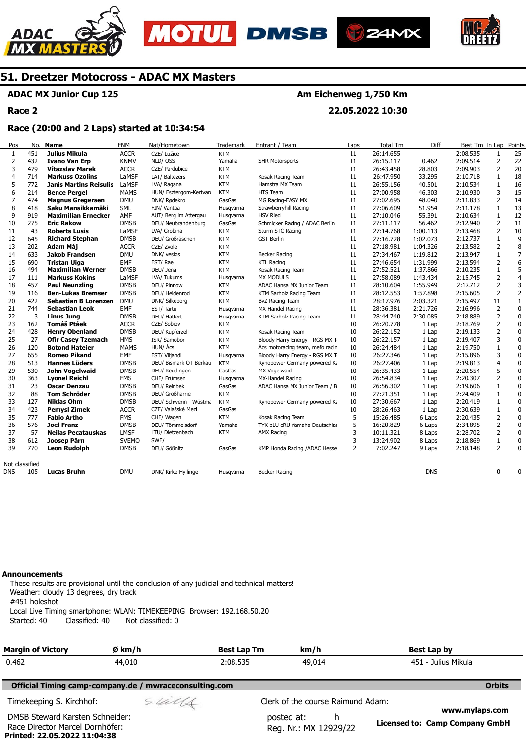







## **ADAC MX Junior Cup 125**

**Race 2** 

## **Am Eichenweg 1,750 Km**

**22.05.2022 10:30** 

#### **Race (20:00 and 2 Laps) started at 10:34:54**

| Pos            |     | No. Name                      | <b>FNM</b>   | Nat/Hometown            | Trademark  | Entrant / Team                   | Laps           | <b>Total Tm</b> | Diff       | Best Tm In Lap Points |                |                         |
|----------------|-----|-------------------------------|--------------|-------------------------|------------|----------------------------------|----------------|-----------------|------------|-----------------------|----------------|-------------------------|
| 1              | 451 | <b>Julius Mikula</b>          | <b>ACCR</b>  | CZE/ Lužice             | <b>KTM</b> |                                  | 11             | 26:14.655       |            | 2:08.535              | $\mathbf{1}$   | 25                      |
| $\overline{2}$ | 432 | <b>Ivano Van Erp</b>          | <b>KNMV</b>  | NLD/OSS                 | Yamaha     | <b>SHR Motorsports</b>           | 11             | 26:15.117       | 0.462      | 2:09.514              | 2              | 22                      |
| 3              | 479 | <b>Vítazslav Marek</b>        | <b>ACCR</b>  | CZE/ Pardubice          | <b>KTM</b> |                                  | 11             | 26:43.458       | 28.803     | 2:09.903              | 2              | 20                      |
| $\overline{4}$ | 714 | <b>Markuss Ozolins</b>        | LaMSF        | LAT/ Baltezers          | <b>KTM</b> | Kosak Racing Team                | 11             | 26:47.950       | 33.295     | 2:10.718              | 1              | 18                      |
| 5              | 772 | <b>Janis Martins Reisulis</b> | LaMSF        | LVA/ Ragana             | <b>KTM</b> | Hamstra MX Team                  | 11             | 26:55.156       | 40.501     | 2:10.534              | $\mathbf{1}$   | 16                      |
| 6              | 214 | <b>Bence Pergel</b>           | <b>MAMS</b>  | HUN/ Esztergom-Kertvard | <b>KTM</b> | <b>HTS Team</b>                  | 11             | 27:00.958       | 46.303     | 2:10.930              | 3              | 15                      |
| $\overline{7}$ | 474 | <b>Magnus Gregersen</b>       | <b>DMU</b>   | DNK/ Rødekro            | GasGas     | MG Racing-EASY MX                | 11             | 27:02.695       | 48.040     | 2:11.833              | $\overline{2}$ | 14                      |
| 8              | 418 | Saku Mansikkamäki             | SML          | FIN/ Vantaa             | Husqvarna  | Strawberryhill Racing            | 11             | 27:06.609       | 51.954     | 2:11.178              | $\mathbf{1}$   | 13                      |
| 9              | 919 | <b>Maximilian Ernecker</b>    | AMF          | AUT/ Berg im Attergau   | Husgvarna  | <b>HSV Ried</b>                  | 11             | 27:10.046       | 55.391     | 2:10.634              | $\mathbf{1}$   | 12                      |
| 10             | 275 | <b>Eric Rakow</b>             | <b>DMSB</b>  | DEU/ Neubrandenburg     | GasGas     | Schmicker Racing / ADAC Berlin I | 11             | 27:11.117       | 56.462     | 2:12.940              | $\overline{2}$ | 11                      |
| 11             | 43  | <b>Roberts Lusis</b>          | LaMSF        | LVA/ Grobina            | <b>KTM</b> | Sturm STC Racing                 | 11             | 27:14.768       | 1:00.113   | 2:13.468              | 2              | 10                      |
| 12             | 645 | <b>Richard Stephan</b>        | <b>DMSB</b>  | DEU/ Großräschen        | <b>KTM</b> | <b>GST Berlin</b>                | 11             | 27:16.728       | 1:02.073   | 2:12.737              | $\mathbf{1}$   | 9                       |
| 13             | 202 | Adam Máj                      | <b>ACCR</b>  | CZE/ Zvole              | <b>KTM</b> |                                  | 11             | 27:18.981       | 1:04.326   | 2:13.582              | 2              | 8                       |
| 14             | 633 | <b>Jakob Frandsen</b>         | <b>DMU</b>   | DNK/ vesløs             | <b>KTM</b> | Becker Racing                    | 11             | 27:34.467       | 1:19.812   | 2:13.947              | $\mathbf{1}$   | $\overline{7}$          |
| 15             | 690 | <b>Tristan Uiga</b>           | EMF          | EST/Rae                 | <b>KTM</b> | <b>KTL Racing</b>                | 11             | 27:46.654       | 1:31.999   | 2:13.594              | 2              | 6                       |
| 16             | 494 | <b>Maximilian Werner</b>      | <b>DMSB</b>  | DEU/ Jena               | <b>KTM</b> | Kosak Racing Team                | 11             | 27:52.521       | 1:37.866   | 2:10.235              | $\mathbf{1}$   | 5                       |
| 17             | 111 | <b>Markuss Kokins</b>         | LaMSF        | LVA/ Tukums             | Husqvarna  | <b>MX MODULS</b>                 | 11             | 27:58.089       | 1:43.434   | 2:15.745              | $\overline{2}$ | $\overline{\mathbf{4}}$ |
| 18             | 457 | <b>Paul Neunzling</b>         | <b>DMSB</b>  | DEU/ Pinnow             | <b>KTM</b> | ADAC Hansa MX Junior Team        | 11             | 28:10.604       | 1:55.949   | 2:17.712              | $\overline{2}$ | 3                       |
| 19             | 116 | <b>Ben-Lukas Bremser</b>      | <b>DMSB</b>  | DEU/ Heidenrod          | <b>KTM</b> | KTM Sarholz Racing Team          | 11             | 28:12.553       | 1:57.898   | 2:15.605              | $\overline{2}$ | $\overline{2}$          |
| 20             | 422 | <b>Sebastian B Lorenzen</b>   | DMU          | DNK/ Silkeborg          | <b>KTM</b> | BvZ Racing Team                  | 11             | 28:17.976       | 2:03.321   | 2:15.497              | 11             | $\mathbf{1}$            |
| 21             | 744 | <b>Sebastian Leok</b>         | <b>EMF</b>   | EST/Tartu               | Husgvarna  | MX-Handel Racing                 | 11             | 28:36.381       | 2:21.726   | 2:16.996              | $\overline{2}$ | $\pmb{0}$               |
| 22             | 3   | <b>Linus Jung</b>             | <b>DMSB</b>  | DEU/ Hattert            | Husqvarna  | KTM Sarholz Racing Team          | 11             | 28:44.740       | 2:30.085   | 2:18.889              | $\overline{2}$ | $\pmb{0}$               |
| 23             | 162 | <b>Tomáš Ptáek</b>            | <b>ACCR</b>  | CZE/ Sobiov             | <b>KTM</b> |                                  | 10             | 26:20.778       | 1 Lap      | 2:18.769              | $\overline{2}$ | $\mathbf 0$             |
| 24             | 428 | <b>Henry Obenland</b>         | <b>DMSB</b>  | DEU/ Kupferzell         | <b>KTM</b> | Kosak Racing Team                | 10             | 26:22.152       | 1 Lap      | 2:19.133              | $\overline{2}$ | $\pmb{0}$               |
| 25             | 27  | <b>Ofir Casey Tzemach</b>     | <b>HMS</b>   | ISR/ Samobor            | <b>KTM</b> | Bloody Harry Energy - RGS MX Ti  | 10             | 26:22.157       | 1 Lap      | 2:19.407              | 3              | $\pmb{0}$               |
| 26             | 120 | <b>Botond Hateier</b>         | <b>MAMS</b>  | HUN/ Ács                | <b>KTM</b> | Ács motoracing team, mefo racin  | 10             | 26:24.484       | 1 Lap      | 2:19.750              | $\mathbf{1}$   | $\pmb{0}$               |
| 27             | 655 | <b>Romeo Pikand</b>           | EMF          | EST/ Viljandi           | Husqvarna  | Bloody Harry Energy - RGS MX Ti  | 10             | 26:27.346       | 1 Lap      | 2:15.896              | 3              | 0                       |
| 28             | 513 | <b>Hannes Lüders</b>          | <b>DMSB</b>  | DEU/ Bismark OT Berkau  | <b>KTM</b> | Rynopower Germany powered Ka     | 10             | 26:27.406       | 1 Lap      | 2:19.813              | $\overline{4}$ | $\pmb{0}$               |
| 29             | 530 | John Vogelwaid                | <b>DMSB</b>  | DEU/ Reutlingen         | GasGas     | MX Vogelwaid                     | 10             | 26:35.433       | 1 Lap      | 2:20.554              | 5              | $\pmb{0}$               |
| 30             | 363 | <b>Lyonel Reichl</b>          | <b>FMS</b>   | CHE/ Frümsen            | Husqvarna  | MX-Handel Racing                 | 10             | 26:54.834       | 1 Lap      | 2:20.307              | $\overline{2}$ | $\pmb{0}$               |
| 31             | 23  | <b>Oscar Denzau</b>           | <b>DMSB</b>  | DEU/ Reinbek            | GasGas     | ADAC Hansa MX Junior Team / B    | 10             | 26:56.302       | 1 Lap      | 2:19.606              | $\mathbf{1}$   | $\pmb{0}$               |
| 32             | 88  | <b>Tom Schröder</b>           | <b>DMSB</b>  | DEU/ Großharrie         | <b>KTM</b> |                                  | 10             | 27:21.351       | 1 Lap      | 2:24.409              | $\mathbf{1}$   | $\pmb{0}$               |
| 33             | 127 | Niklas Ohm                    | <b>DMSB</b>  | DEU/ Schwerin - Wüstma  | <b>KTM</b> | Rynopower Germany powered Ka     | 10             | 27:30.667       | 1 Lap      | 2:20.419              | $\mathbf{1}$   | $\pmb{0}$               |
| 34             | 423 | <b>Pemysl Zimek</b>           | <b>ACCR</b>  | CZE/ Valašské Mezi      | GasGas     |                                  | 10             | 28:26.463       | 1 Lap      | 2:30.639              | $\mathbf{1}$   | $\mathbf 0$             |
| 35             | 777 | <b>Fabio Artho</b>            | <b>FMS</b>   | CHE/ Wagen              | <b>KTM</b> | Kosak Racing Team                | 5              | 15:26.485       | 6 Laps     | 2:20.435              | $\overline{2}$ | $\mathbf 0$             |
| 36             | 576 | <b>Joel Franz</b>             | <b>DMSB</b>  | DEU/ Tömmelsdorf        | Yamaha     | TYK bLU cRU Yamaha Deutschlar    | 5              | 16:20.829       | 6 Laps     | 2:34.895              | $\overline{2}$ | 0                       |
| 37             | 57  | <b>Neilas Pecatauskas</b>     | <b>LMSF</b>  | LTU/ Dietzenbach        | <b>KTM</b> | <b>AMX Racing</b>                | 3              | 10:11.321       | 8 Laps     | 2:28.702              | 2              | $\pmb{0}$               |
| 38             | 612 | Joosep Pärn                   | <b>SVEMO</b> | SWE/                    |            |                                  | 3              | 13:24.902       | 8 Laps     | 2:18.869              | 1              | 0                       |
| 39             | 770 | <b>Leon Rudolph</b>           | <b>DMSB</b>  | DEU/ Gößnitz            | GasGas     | KMP Honda Racing /ADAC Hesse     | $\overline{2}$ | 7:02.247        | 9 Laps     | 2:18.148              | $\overline{2}$ | 0                       |
| Not classified |     |                               |              |                         |            |                                  |                |                 |            |                       |                |                         |
| <b>DNS</b>     | 105 | <b>Lucas Bruhn</b>            | <b>DMU</b>   | DNK/ Kirke Hyllinge     | Husqvarna  | Becker Racing                    |                |                 | <b>DNS</b> |                       | 0              | 0                       |
|                |     |                               |              |                         |            |                                  |                |                 |            |                       |                |                         |

#### **Announcements**

**Printed: 22.05.2022 11:04:38** 

These results are provisional until the conclusion of any judicial and technical matters! Weather: cloudy 13 degrees, dry track #451 holeshot Local Live Timing smartphone: WLAN: TIMEKEEPING Browser: 192.168.50.20 Started: 40 Classified: 40 Not classified: 0

| <b>Margin of Victory</b>                                           | Ø km/h                                                 | <b>Best Lap Tm</b> | km/h                                      | Best Lap by                                             |
|--------------------------------------------------------------------|--------------------------------------------------------|--------------------|-------------------------------------------|---------------------------------------------------------|
| 0.462                                                              | 44,010                                                 | 2:08.535           | 49,014                                    | 451 - Julius Mikula                                     |
|                                                                    |                                                        |                    |                                           |                                                         |
|                                                                    | Official Timing camp-company.de / mwraceconsulting.com |                    |                                           | <b>Orbits</b>                                           |
| Timekeeping S. Kirchhof:                                           | sulls                                                  |                    | Clerk of the course Raimund Adam:         |                                                         |
| DMSB Steward Karsten Schneider:<br>Race Director Marcel Dornhöfer: |                                                        |                    | posted at:<br>h.<br>Reg. Nr.: MX 12929/22 | www.mylaps.com<br><b>Licensed to: Camp Company GmbH</b> |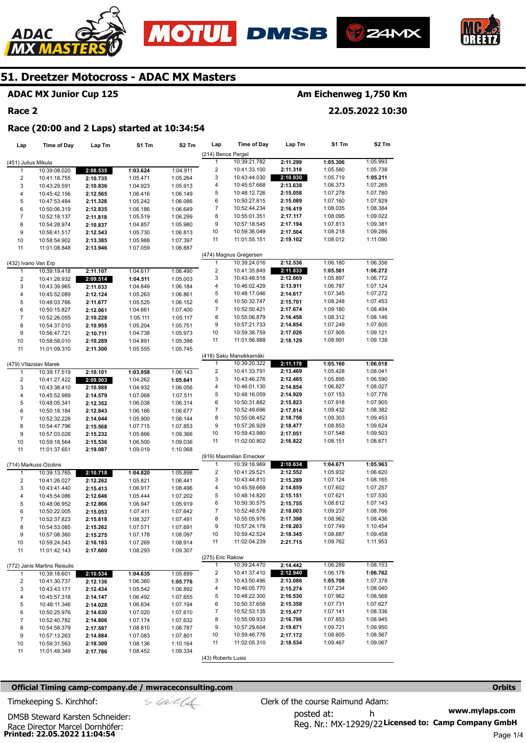







## **ADAC MX Junior Cup 125**

#### **Race 2**

## **Am Eichenweg 1,750 Km**

**22.05.2022 10:30** 

#### **Race (20:00 and 2 Laps) started at 10:34:54**

| Lap                     | <b>Time of Day</b>           | Lap Tm   | S1 Tm    | S2 Tm    | Lap                     | <b>Time of Day</b>        | Lap Tm   | S1 Tm    | S2 Tm    |
|-------------------------|------------------------------|----------|----------|----------|-------------------------|---------------------------|----------|----------|----------|
|                         |                              |          |          |          | (214) Bence Pergel      |                           |          |          |          |
| (451) Julius Mikula     |                              |          |          |          | $\mathbf{1}$            | 10:39:21.782              | 2:11.299 | 1:05.306 | 1:05.993 |
| 1                       | 10:39:08.020                 | 2:08.535 | 1:03.624 | 1:04.911 | $\overline{\mathbf{c}}$ | 10:41:33.100              | 2:11.318 | 1:05.580 | 1:05.738 |
| $\overline{\mathbf{c}}$ | 10:41:18.755                 | 2:10.735 | 1:05.471 | 1:05.264 | 3                       | 10:43:44.030              | 2:10.930 | 1:05.719 | 1:05.211 |
| 3                       | 10:43:29.591                 | 2:10.836 | 1:04.923 | 1:05.913 | 4                       | 10:45:57.668              | 2:13.638 | 1:06.373 | 1:07.265 |
| 4                       | 10:45:42.156                 | 2:12.565 | 1:06.416 | 1:06.149 | 5                       | 10:48:12.726              | 2:15.058 | 1:07.278 | 1:07.780 |
| 5                       | 10:47:53.484                 | 2:11.328 | 1:05.242 | 1:06.086 | 6                       | 10:50:27.815              | 2:15.089 | 1:07.160 | 1:07.929 |
| 6                       | 10:50:06.319                 | 2:12.835 | 1:06.186 | 1:06.649 | $\overline{7}$          | 10:52:44.234              | 2:16.419 | 1:08.035 | 1:08.384 |
| $\overline{7}$          | 10:52:18.137                 | 2:11.818 | 1:05.519 | 1:06.299 | 8                       | 10:55:01.351              | 2:17.117 | 1:08.095 | 1:09.022 |
| 8                       | 10:54:28.974                 | 2:10.837 | 1:04.857 | 1:05.980 | 9                       | 10:57:18.545              | 2:17.194 | 1:07.813 | 1:09.381 |
| 9                       | 10:56:41.517                 | 2:12.543 | 1:05.730 | 1:06.813 | 10                      | 10:59:36.049              | 2:17.504 | 1:08.218 | 1:09.286 |
| 10                      | 10:58:54.902                 | 2:13.385 | 1:05.988 | 1:07.397 | 11                      | 11:01:55.151              | 2:19.102 | 1:08.012 | 1:11.090 |
| 11                      | 11:01:08.848                 | 2:13.946 | 1:07.059 | 1:06.887 |                         |                           |          |          |          |
|                         |                              |          |          |          |                         | (474) Magnus Gregersen    |          |          |          |
| (432) Ivano Van Erp     |                              |          |          |          | $\mathbf{1}$            | 10:39:24.016              | 2:12.536 | 1:06.180 | 1:06.356 |
| $\mathbf{1}$            | 10:39:19.418                 | 2:11.107 | 1:04.617 | 1:06.490 | $\overline{\mathbf{c}}$ | 10:41:35.849              | 2:11.833 | 1:05.561 | 1:06.272 |
| $\overline{\mathbf{c}}$ | 10:41:28.932                 | 2:09.514 | 1:04.511 | 1:05.003 | 3                       | 10:43:48.518              | 2:12.669 | 1:05.897 | 1:06.772 |
| 3                       | 10:43:39.965                 | 2:11.033 | 1:04.849 | 1:06.184 | 4                       | 10:46:02.429              | 2:13.911 | 1:06.787 | 1:07.124 |
| 4                       | 10:45:52.089                 |          | 1:05.263 | 1:06.861 | 5                       | 10:48:17.046              | 2:14.617 | 1:07.345 | 1:07.272 |
|                         |                              | 2:12.124 |          |          | 6                       | 10:50:32.747              | 2:15.701 | 1:08.248 | 1:07.453 |
| 5                       | 10:48:03.766                 | 2:11.677 | 1:05.525 | 1:06.152 | 7                       |                           | 2:17.674 | 1:09.180 | 1:08.494 |
| 6                       | 10:50:15.827                 | 2:12.061 | 1:04.661 | 1:07.400 |                         | 10:52:50.421              |          |          |          |
| $\overline{7}$          | 10:52:26.055                 | 2:10.228 | 1:05.111 | 1:05.117 | 8                       | 10:55:06.879              | 2:16.458 | 1:08.312 | 1:08.146 |
| 8                       | 10:54:37.010                 | 2:10.955 | 1:05.204 | 1:05.751 | 9                       | 10:57:21.733              | 2:14.854 | 1:07.249 | 1:07.605 |
| 9                       | 10:56:47.721                 | 2:10.711 | 1:04.738 | 1:05.973 | 10                      | 10:59:38.759              | 2:17.026 | 1:07.905 | 1:09.121 |
| 10                      | 10:58:58.010                 | 2:10.289 | 1:04.891 | 1:05.398 | 11                      | 11:01:56.888              | 2:18.129 | 1:08.991 | 1:09.138 |
| 11                      | 11:01:09.310                 | 2:11.300 | 1:05.555 | 1:05.745 |                         |                           |          |          |          |
|                         |                              |          |          |          |                         | (418) Saku Mansikkamäki   |          |          |          |
|                         | (479) Vítazslav Marek        |          |          |          | 1                       | 10:39:20.322              | 2:11.178 | 1:05.160 | 1:06.018 |
| $\mathbf{1}$            | 10:39:17.519                 | 2:10.101 | 1:03.958 | 1:06.143 | $\overline{\mathbf{c}}$ | 10:41:33.791              | 2:13.469 | 1:05.428 | 1:08.041 |
| $\overline{\mathbf{c}}$ | 10:41:27.422                 | 2:09.903 | 1:04.262 | 1:05.641 | 3                       | 10:43:46.276              | 2:12.485 | 1:05.895 | 1:06.590 |
| 3                       | 10:43:38.410                 | 2:10.988 | 1:04.932 | 1:06.056 | 4                       | 10:46:01.130              | 2:14.854 | 1:06.827 | 1:08.027 |
| $\overline{\mathbf{4}}$ | 10:45:52.989                 | 2:14.579 | 1:07.068 | 1:07.511 | 5                       | 10:48:16.059              | 2:14.929 | 1:07.153 | 1:07.776 |
| 5                       | 10:48:05.341                 | 2:12.352 | 1:06.038 | 1:06.314 | 6                       | 10:50:31.882              | 2:15.823 | 1:07.918 | 1:07.905 |
| 6                       | 10:50:18.184                 | 2:12.843 | 1:06.166 | 1:06.677 | 7                       | 10:52:49.696              | 2:17.814 | 1:09.432 | 1:08.382 |
| $\overline{7}$          | 10:52:32.228                 | 2:14.044 | 1:05.900 | 1:08.144 | 8                       | 10:55:08.452              | 2:18.756 | 1:09.303 | 1:09.453 |
| 8                       | 10:54:47.796                 | 2:15.568 | 1:07.715 | 1:07.853 | 9                       | 10:57:26.929              | 2:18.477 | 1:08.853 | 1:09.624 |
| 9                       | 10:57:03.028                 | 2:15.232 | 1:05.866 | 1:09.366 | 10                      | 10:59:43.980              | 2:17.051 | 1:07.548 | 1:09.503 |
| 10                      | 10:59:18.564                 | 2:15.536 | 1:06.500 | 1:09.036 | 11                      | 11:02:00.802              | 2:16.822 | 1:08.151 | 1:08.671 |
| 11                      | 11:01:37.651                 | 2:19.087 | 1:09.019 | 1:10.068 |                         |                           |          |          |          |
|                         |                              |          |          |          |                         | (919) Maximilian Ernecker |          |          |          |
|                         | (714) Markuss Ozolins        |          |          |          | $\mathbf{1}$            | 10:39:16.969              | 2:10.634 | 1:04.671 | 1:05.963 |
| $\mathbf{1}$            | 10:39:13.765                 | 2:10.718 | 1:04.820 | 1:05.898 | $\overline{\mathbf{c}}$ | 10:41:29.521              | 2:12.552 | 1:05.932 | 1:06.620 |
| $\overline{\mathbf{c}}$ | 10:41:26.027                 | 2:12.262 | 1:05.821 | 1:06.441 | 3                       | 10:43:44.810              | 2:15.289 | 1:07.124 | 1:08.165 |
| 3                       | 10:43:41.440                 |          | 1:06.917 |          | 4                       | 10:45:59.669              | 2:14.859 | 1:07.602 | 1:07.257 |
|                         |                              | 2:15.413 |          | 1:08.496 | 5                       | 10:48:14.820              | 2:15.151 | 1:07.621 | 1:07.530 |
| $\overline{\mathbf{4}}$ | 10:45:54.086                 | 2:12.646 | 1:05.444 | 1:07.202 |                         |                           |          |          |          |
| 5                       | 10:48:06.952                 | 2:12.866 | 1:06.947 | 1:05.919 | 6                       | 10:50:30.575              | 2:15.755 | 1:08.612 | 1:07.143 |
| 6                       | 10:50:22.005                 | 2:15.053 | 1:07.411 | 1:07.642 | 7                       | 10:52:48.578              | 2:18.003 | 1:09.237 | 1:08.766 |
| $\boldsymbol{7}$        | 10:52:37.823                 | 2:15.818 | 1:08.327 | 1:07.491 | 8                       | 10:55:05.976              | 2:17.398 | 1:08.962 | 1:08.436 |
| 8                       | 10:54:53.085                 | 2:15.262 | 1:07.571 | 1:07.691 | 9                       | 10:57:24.179              | 2:18.203 | 1:07.749 | 1:10.454 |
| 9                       | 10:57:08.360                 | 2:15.275 | 1:07.178 | 1:08.097 | 10                      | 10:59:42.524              | 2:18.345 | 1:08.887 | 1:09.458 |
| 10                      | 10:59:24.543                 | 2:16.183 | 1:07.269 | 1:08.914 | 11                      | 11:02:04.239              | 2:21.715 | 1:09.762 | 1:11.953 |
| 11                      | 11:01:42.143                 | 2:17.600 | 1:08.293 | 1:09.307 |                         |                           |          |          |          |
|                         |                              |          |          |          | (275) Eric Rakow        |                           |          |          |          |
|                         | (772) Janis Martins Reisulis |          |          |          | $\mathbf{1}$            | 10:39:24.470              | 2:14.442 | 1:06.289 | 1:08.153 |
| $\mathbf{1}$            | 10:39:18.601                 | 2:10.534 | 1:04.635 | 1:05.899 | 2                       | 10:41:37.410              | 2:12.940 | 1:06.178 | 1:06.762 |
| 2                       | 10:41:30.737                 | 2:12.136 | 1:06.360 | 1:05.776 | 3                       | 10:43:50.496              | 2:13.086 | 1:05.708 | 1:07.378 |
| 3                       | 10:43:43.171                 | 2:12.434 | 1:05.542 | 1:06.892 | 4                       | 10:46:05.770              | 2:15.274 | 1:07.234 | 1:08.040 |
| 4                       | 10:45:57.318                 | 2:14.147 | 1:06.492 | 1:07.655 | 5                       | 10:48:22.300              | 2:16.530 | 1:07.962 | 1:08.568 |
| 5                       | 10:48:11.346                 | 2:14.028 | 1:06.834 | 1:07.194 | 6                       | 10:50:37.658              | 2:15.358 | 1:07.731 | 1:07.627 |
| 6                       | 10:50:25.976                 | 2:14.630 | 1:07.020 | 1:07.610 | 7                       | 10:52:53.135              | 2:15.477 | 1:07.141 | 1:08.336 |
| $\overline{7}$          | 10:52:40.782                 | 2:14.806 | 1:07.174 | 1:07.632 | 8                       | 10:55:09.933              | 2:16.798 | 1:07.853 | 1:08.945 |
| 8                       | 10:54:58.379                 | 2:17.597 | 1:08.810 | 1:08.787 | 9                       | 10:57:29.604              | 2:19.671 | 1:09.721 | 1:09.950 |
| 9                       |                              | 2:14.884 | 1:07.083 |          | 10                      | 10:59:46.776              | 2:17.172 | 1:08.605 | 1:08.567 |
|                         | 10:57:13.263                 |          |          | 1:07.801 | 11                      | 11:02:05.310              | 2:18.534 | 1:09.467 | 1:09.067 |
| 10                      | 10:59:31.563                 | 2:18.300 | 1:08.136 | 1:10.164 |                         |                           |          |          |          |
| 11                      | 11:01:49.349                 | 2:17.786 | 1:08.452 | 1:09.334 |                         |                           |          |          |          |
|                         |                              |          |          |          | (43) Roberts Lusis      |                           |          |          |          |

#### **Official Timing camp-company.de / mwraceconsulting.com <b>Orbits and Company.de Company** orbits **Orbits Orbits**

**www.mylaps.com**  Reg. Nr.: MX-12929/22 Licensed to: Camp Company GmbH posted at: h Timekeeping S. Kirchhof:  $\frac{1}{2}$  Clerk of the course Raimund Adam: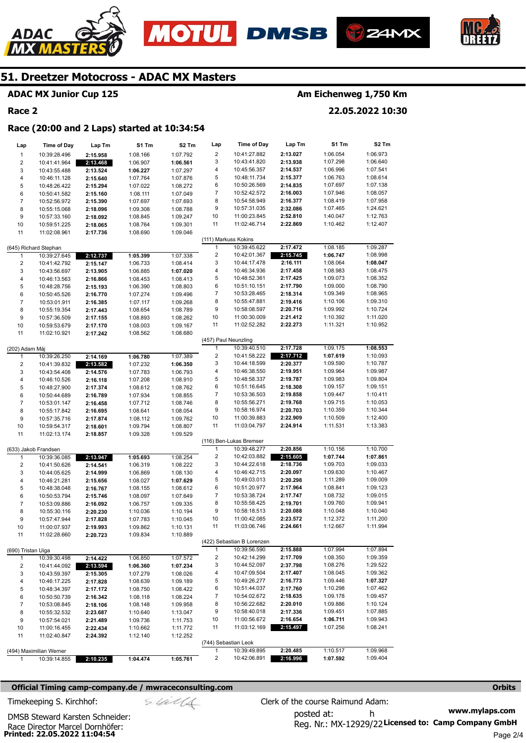





#### **ADAC MX Junior Cup 125**

#### **Race 2**

ADAC

#### **Am Eichenweg 1,750 Km**

**22.05.2022 10:30** 

#### **Race (20:00 and 2 Laps) started at 10:34:54**

| Lap                     | <b>Time of Day</b>           | Lap Tm               | S1 Tm                | S <sub>2</sub> Tm    | Lap                     | <b>Time of Day</b>                   | Lap Tm               | S1 Tm                | S2 Tm                |
|-------------------------|------------------------------|----------------------|----------------------|----------------------|-------------------------|--------------------------------------|----------------------|----------------------|----------------------|
| $\mathbf{1}$            | 10:39:28.496                 | 2:15.958             | 1:08.166             | 1:07.792             | $\overline{2}$          | 10:41:27.882                         | 2:13.027             | 1:06.054             | 1:06.973             |
| $\overline{\mathbf{c}}$ | 10:41:41.964                 | 2:13.468             | 1:06.907             | 1:06.561             | 3                       | 10:43:41.820                         | 2:13.938             | 1:07.298             | 1:06.640             |
| 3                       | 10:43:55.488                 | 2:13.524             | 1:06.227             | 1:07.297             | 4                       | 10:45:56.357                         | 2:14.537             | 1:06.996             | 1:07.541             |
| 4                       | 10:46:11.128                 | 2:15.640             | 1:07.764             | 1:07.876             | 5                       | 10:48:11.734                         | 2:15.377             | 1:06.763             | 1:08.614             |
| 5                       | 10:48:26.422                 | 2:15.294             | 1:07.022             | 1:08.272             | 6                       | 10:50:26.569                         | 2:14.835             | 1:07.697             | 1:07.138             |
| 6                       | 10:50:41.582                 | 2:15.160             | 1:08.111             | 1:07.049             | $\boldsymbol{7}$        | 10:52:42.572                         | 2:16.003             | 1:07.946             | 1:08.057             |
| $\overline{7}$          | 10:52:56.972                 | 2:15.390             | 1:07.697             | 1:07.693             | 8                       | 10:54:58.949                         | 2:16.377             | 1:08.419             | 1:07.958             |
| 8                       | 10:55:15.068                 | 2:18.096             | 1:09.308             | 1:08.788             | 9                       | 10:57:31.035                         | 2:32.086             | 1:07.465             | 1:24.621             |
| 9                       | 10:57:33.160                 | 2:18.092             | 1:08.845             | 1:09.247             | 10                      | 11:00:23.845                         | 2:52.810             | 1:40.047             | 1:12.763             |
| 10                      | 10:59:51.225                 | 2:18.065             | 1:08.764             | 1:09.301             | 11                      | 11:02:46.714                         | 2:22.869             | 1:10.462             | 1:12.407             |
| 11                      | 11:02:08.961                 | 2:17.736             | 1:08.690             | 1:09.046             |                         |                                      |                      |                      |                      |
|                         |                              |                      |                      |                      | 1                       | (111) Markuss Kokins<br>10:39:45.622 |                      | 1:08.185             | 1:09.287             |
|                         | (645) Richard Stephan        |                      |                      |                      | $\overline{\mathbf{c}}$ | 10:42:01.367                         | 2:17.472<br>2:15.745 | 1:06.747             | 1:08.998             |
| 1                       | 10:39:27.645<br>10:41:42.792 | 2:12.737             | 1:05.399             | 1:07.338             | 3                       | 10:44:17.478                         | 2:16.111             | 1:08.064             | 1:08.047             |
| $\overline{\mathbf{c}}$ |                              | 2:15.147             | 1:06.733             | 1:08.414             | 4                       | 10:46:34.936                         | 2:17.458             | 1:08.983             | 1:08.475             |
| 3<br>4                  | 10:43:56.697<br>10:46:13.563 | 2:13.905             | 1:06.885             | 1:07.020<br>1:08.413 | 5                       | 10:48:52.361                         | 2:17.425             | 1:09.073             | 1:08.352             |
| 5                       | 10:48:28.756                 | 2:16.866<br>2:15.193 | 1:08.453<br>1:06.390 | 1:08.803             | 6                       | 10:51:10.151                         | 2:17.790             | 1:09.000             | 1:08.790             |
| 6                       | 10:50:45.526                 | 2:16.770             | 1:07.274             | 1:09.496             | $\overline{7}$          | 10:53:28.465                         | 2:18.314             | 1:09.349             | 1:08.965             |
| $\overline{7}$          | 10:53:01.911                 | 2:16.385             | 1:07.117             | 1:09.268             | 8                       | 10:55:47.881                         | 2:19.416             | 1:10.106             | 1:09.310             |
| 8                       | 10:55:19.354                 | 2:17.443             | 1:08.654             | 1:08.789             | 9                       | 10:58:08.597                         | 2:20.716             | 1:09.992             | 1:10.724             |
| 9                       | 10:57:36.509                 | 2:17.155             | 1:08.893             | 1:08.262             | 10                      | 11:00:30.009                         | 2:21.412             | 1:10.392             | 1:11.020             |
| 10                      | 10:59:53.679                 | 2:17.170             | 1:08.003             | 1:09.167             | 11                      | 11:02:52.282                         | 2:22.273             | 1:11.321             | 1:10.952             |
| 11                      | 11:02:10.921                 | 2:17.242             | 1:08.562             | 1:08.680             |                         |                                      |                      |                      |                      |
|                         |                              |                      |                      |                      | (457) Paul Neunzling    |                                      |                      |                      |                      |
| (202) Adam Máj          |                              |                      |                      |                      | 1                       | 10:39:40.510                         | 2:17.728             | 1:09.175             | 1:08.553             |
| 1                       | 10:39:26.250                 | 2:14.169             | 1:06.780             | 1:07.389             | $\overline{\mathbf{c}}$ | 10:41:58.222                         | 2:17.712             | 1:07.619             | 1:10.093             |
| $\overline{\mathbf{c}}$ | 10:41:39.832                 | 2:13.582             | 1:07.232             | 1:06.350             | 3                       | 10:44:18.599                         | 2:20.377             | 1:09.590             | 1:10.787             |
| 3                       | 10:43:54.408                 | 2:14.576             | 1:07.783             | 1:06.793             | 4                       | 10:46:38.550                         | 2:19.951             | 1:09.964             | 1:09.987             |
| 4                       | 10:46:10.526                 | 2:16.118             | 1:07.208             | 1:08.910             | 5                       | 10:48:58.337                         | 2:19.787             | 1:09.983             | 1:09.804             |
| 5                       | 10:48:27.900                 | 2:17.374             | 1:08.612             | 1:08.762             | 6                       | 10:51:16.645                         | 2:18.308             | 1:09.157             | 1:09.151             |
| 6                       | 10:50:44.689                 | 2:16.789             | 1:07.934             | 1:08.855             | $\overline{7}$          | 10:53:36.503                         | 2:19.858             | 1:09.447             | 1:10.411             |
| $\overline{7}$          | 10:53:01.147                 | 2:16.458             | 1:07.712             | 1:08.746             | 8                       | 10:55:56.271                         | 2:19.768             | 1:09.715             | 1:10.053             |
| 8                       | 10:55:17.842                 | 2:16.695             | 1:08.641             | 1:08.054             | 9                       | 10:58:16.974                         | 2:20.703             | 1:10.359             | 1:10.344             |
| 9                       | 10:57:35.716                 | 2:17.874             | 1:08.112             | 1:09.762             | 10                      | 11:00:39.883                         | 2:22.909             | 1:10.509             | 1:12.400             |
| 10                      | 10:59:54.317                 | 2:18.601             | 1:09.794             | 1:08.807             | 11                      | 11:03:04.797                         | 2:24.914             | 1:11.531             | 1:13.383             |
| 11                      | 11:02:13.174                 | 2:18.857             | 1:09.328             | 1:09.529             |                         |                                      |                      |                      |                      |
|                         |                              |                      |                      |                      |                         | (116) Ben-Lukas Bremser              |                      |                      |                      |
|                         | (633) Jakob Frandsen         |                      |                      |                      | 1                       | 10:39:48.277                         | 2:20.856             | 1:10.156             | 1:10.700             |
| 1                       | 10:39:36.085                 | 2:13.947             | 1:05.693             | 1:08.254             | $\overline{\mathbf{c}}$ | 10:42:03.882                         | 2:15.605             | 1:07.744             | 1:07.861             |
| $\overline{\mathbf{c}}$ | 10:41:50.626                 | 2:14.541             | 1:06.319             | 1:08.222             | 3<br>4                  | 10:44:22.618<br>10:46:42.715         | 2:18.736<br>2:20.097 | 1:09.703<br>1:09.630 | 1:09.033<br>1:10.467 |
| 3                       | 10:44:05.625                 | 2:14.999             | 1:06.869             | 1:08.130             | 5                       | 10:49:03.013                         | 2:20.298             | 1:11.289             | 1:09.009             |
| 4<br>5                  | 10:46:21.281<br>10:48:38.048 | 2:15.656             | 1:08.027<br>1:08.155 | 1:07.629             | 6                       | 10:51:20.977                         | 2:17.964             | 1:08.841             | 1:09.123             |
| 6                       | 10:50:53.794                 | 2:16.767<br>2:15.746 | 1:08.097             | 1:08.612<br>1:07.649 | $\overline{7}$          | 10:53:38.724                         | 2:17.747             | 1:08.732             | 1:09.015             |
| $\boldsymbol{7}$        | 10:53:09.886                 | 2:16.092             | 1:06.757             | 1:09.335             | 8                       | 10:55:58.425                         | 2:19.701             | 1:09.760             | 1:09.941             |
| 8                       | 10:55:30.116                 | 2:20.230             | 1:10.036             | 1:10.194             | 9                       | 10:58:18.513                         | 2:20.088             | 1:10.048             | 1:10.040             |
| 9                       | 10:57:47.944                 | 2:17.828             | 1:07.783             | 1:10.045             | 10                      | 11:00:42.085                         | 2:23.572             | 1:12.372             | 1:11.200             |
| 10                      | 11:00:07.937                 | 2:19.993             | 1:09.862             | 1:10.131             | 11                      | 11:03:06.746                         | 2:24.661             | 1:12.667             | 1:11.994             |
| 11                      | 11:02:28.660                 | 2:20.723             | 1:09.834             | 1:10.889             |                         |                                      |                      |                      |                      |
|                         |                              |                      |                      |                      |                         | (422) Sebastian B Lorenzen           |                      |                      |                      |
| (690) Tristan Uiga      |                              |                      |                      |                      | 1                       | 10:39:56.590                         | 2:15.888             | 1:07.994             | 1:07.894             |
| 1                       | 10:39:30.498                 | 2:14.422             | 1:06.850             | 1:07.572             | $\overline{\mathbf{c}}$ | 10:42:14.299                         | 2:17.709             | 1:08.350             | 1:09.359             |
| 2                       | 10:41:44.092                 | 2:13.594             | 1:06.360             | 1:07.234             | 3                       | 10:44:52.097                         | 2:37.798             | 1:08.276             | 1:29.522             |
| 3                       | 10:43:59.397                 | 2:15.305             | 1:07.279             | 1:08.026             | 4                       | 10:47:09.504                         | 2:17.407             | 1:08.045             | 1:09.362             |
| 4                       | 10:46:17.225                 | 2:17.828             | 1:08.639             | 1:09.189             | 5                       | 10:49:26.277                         | 2:16.773             | 1:09.446             | 1:07.327             |
| 5                       | 10:48:34.397                 | 2:17.172             | 1:08.750             | 1:08.422             | 6                       | 10:51:44.037                         | 2:17.760             | 1:10.298             | 1:07.462             |
| 6                       | 10:50:50.739                 | 2:16.342             | 1:08.118             | 1:08.224             | 7                       | 10:54:02.672                         | 2:18.635             | 1:09.178             | 1:09.457             |
| 7                       | 10:53:08.845                 | 2:18.106             | 1:08.148             | 1:09.958             | 8                       | 10:56:22.682                         | 2:20.010             | 1:09.886             | 1:10.124             |
| 8                       | 10:55:32.532                 | 2:23.687             | 1:10.640             | 1:13.047             | 9                       | 10:58:40.018                         | 2:17.336             | 1:09.451             | 1:07.885             |
| 9                       | 10:57:54.021                 | 2:21.489             | 1:09.736             | 1:11.753             | 10                      | 11:00:56.672                         | 2:16.654             | 1:06.711             | 1:09.943             |
| 10                      | 11:00:16.455                 | 2:22.434             | 1:10.662             | 1:11.772             | 11                      | 11:03:12.169                         | 2:15.497             | 1:07.256             | 1:08.241             |
| 11                      | 11:02:40.847                 | 2:24.392             | 1:12.140             | 1:12.252             |                         |                                      |                      |                      |                      |
|                         |                              |                      |                      |                      |                         | (744) Sebastian Leok                 |                      |                      |                      |
|                         | (494) Maximilian Werner      |                      |                      |                      | $\mathbf{1}$            | 10:39:49.895                         | 2:20.485             | 1:10.517             | 1:09.968             |
| 1                       | 10:39:14.855                 | 2:10.235             | 1:04.474             | 1:05.761             | $\overline{\mathbf{c}}$ | 10:42:06.891                         | 2:16.996             | 1:07.592             | 1:09.404             |

#### **Official Timing camp-company.de / mwraceconsulting.com <b>Orbits and Company.de Company** orbits **Orbits Orbits**

$$
\mathcal{S}\mathcal{U}\mathcal{U}
$$

**www.mylaps.com**  Reg. Nr.: MX-12929/22 Licensed to: Camp Company GmbH posted at: h Timekeeping S. Kirchhof:  $\le \frac{1}{2}$  Clerk of the course Raimund Adam:

**Printed: 22.05.2022 11:04:54**  Race Director Marcel Dornhöfer: DMSB Steward Karsten Schneider:

Page 2/4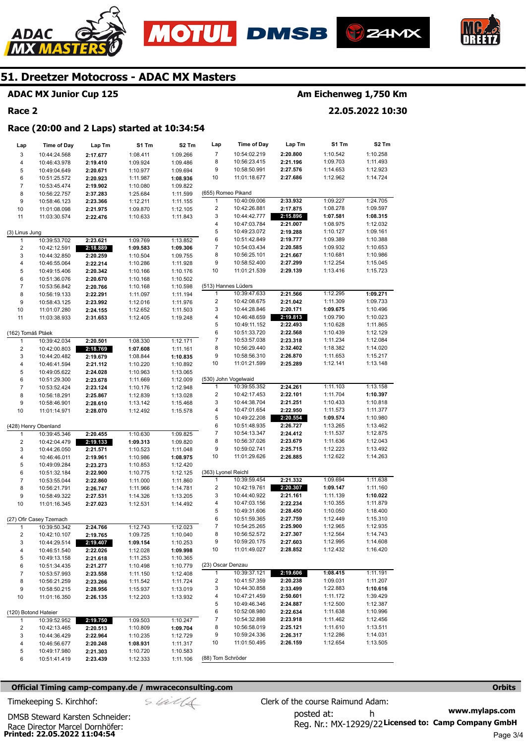





#### **ADAC MX Junior Cup 125**

#### **Race 2**

ADAC

## **Am Eichenweg 1,750 Km**

**22.05.2022 10:30** 

#### **Race (20:00 and 2 Laps) started at 10:34:54**

| Lap                                     | <b>Time of Day</b>           | Lap Tm               | S1 Tm                | S <sub>2</sub> Tm    | Lap                     | <b>Time of Day</b>           | Lap Tm               | S1 Tm                | S2 Tm                |
|-----------------------------------------|------------------------------|----------------------|----------------------|----------------------|-------------------------|------------------------------|----------------------|----------------------|----------------------|
| 3                                       | 10:44:24.568                 | 2:17.677             | 1:08.411             | 1:09.266             | $\overline{7}$          | 10:54:02.219                 | 2:20.800             | 1:10.542             | 1:10.258             |
| $\overline{\mathbf{4}}$                 | 10:46:43.978                 | 2:19.410             | 1:09.924             | 1:09.486             | 8                       | 10:56:23.415                 | 2:21.196             | 1:09.703             | 1:11.493             |
| 5                                       | 10:49:04.649                 | 2:20.671             | 1:10.977             | 1:09.694             | 9                       | 10:58:50.991                 | 2:27.576             | 1:14.653             | 1:12.923             |
| 6                                       | 10:51:25.572                 | 2:20.923             | 1:11.987             | 1:08.936             | 10                      | 11:01:18.677                 | 2:27.686             | 1:12.962             | 1:14.724             |
| $\overline{7}$                          | 10:53:45.474                 | 2:19.902             | 1:10.080             | 1:09.822             |                         |                              |                      |                      |                      |
| 8                                       | 10:56:22.757                 | 2:37.283             | 1:25.684             | 1:11.599             | (655) Romeo Pikand      |                              |                      |                      |                      |
| 9                                       | 10:58:46.123                 | 2:23.366             | 1:12.211             | 1:11.155             | $\mathbf{1}$            | 10:40:09.006                 | 2:33.932             | 1:09.227             | 1:24.705             |
| 10                                      | 11:01:08.098                 | 2:21.975             | 1:09.870             | 1:12.105             | $\overline{\mathbf{c}}$ | 10:42:26.881                 | 2:17.875             | 1:08.278             | 1:09.597             |
| 11                                      | 11:03:30.574                 | 2:22.476             | 1:10.633             | 1:11.843             | 3                       | 10:44:42.777                 | 2:15.896             | 1:07.581             | 1:08.315             |
|                                         |                              |                      |                      |                      | 4                       | 10:47:03.784                 | 2:21.007             | 1:08.975             | 1:12.032             |
| (3) Linus Jung                          |                              |                      |                      |                      | 5                       | 10:49:23.072                 | 2:19.288             | 1:10.127             | 1:09.161             |
| 1                                       | 10:39:53.702                 | 2:23.621             | 1:09.769             | 1:13.852             | 6                       | 10:51:42.849                 | 2:19.777             | 1:09.389             | 1:10.388             |
| $\overline{\mathbf{c}}$                 | 10:42:12.591                 | 2:18.889             | 1:09.583             | 1:09.306             | 7                       | 10:54:03.434                 | 2:20.585             | 1:09.932             | 1:10.653             |
| 3                                       | 10:44:32.850                 | 2:20.259             | 1:10.504             | 1:09.755             | 8                       | 10:56:25.101                 | 2:21.667             | 1:10.681             | 1:10.986             |
| $\overline{\mathbf{4}}$                 | 10:46:55.064                 | 2:22.214             | 1:10.286             | 1:11.928             | 9                       | 10:58:52.400                 | 2:27.299             | 1:12.254             | 1:15.045             |
| 5                                       | 10:49:15.406                 | 2:20.342             | 1:10.166             | 1:10.176             | 10                      | 11:01:21.539                 | 2:29.139             | 1:13.416             | 1:15.723             |
| 6                                       | 10:51:36.076                 | 2:20.670             | 1:10.168             | 1:10.502             |                         |                              |                      |                      |                      |
| $\overline{7}$                          | 10:53:56.842                 | 2:20.766             | 1:10.168             | 1:10.598             | (513) Hannes Lüders     |                              |                      |                      |                      |
| 8                                       | 10:56:19.133                 | 2:22.291             | 1:11.097             | 1:11.194             | 1                       | 10:39:47.633                 | 2:21.566             | 1:12.295             | 1:09.271             |
| 9                                       | 10:58:43.125                 | 2:23.992             | 1:12.016             | 1:11.976             | $\overline{2}$          | 10:42:08.675                 | 2:21.042<br>2:20.171 | 1:11.309             | 1:09.733<br>1:10.496 |
| 10                                      | 11:01:07.280                 | 2:24.155             | 1:12.652             | 1:11.503             | 3                       | 10:44:28.846                 |                      | 1:09.675<br>1:09.790 | 1:10.023             |
| 11                                      | 11:03:38.933                 | 2:31.653             | 1:12.405             | 1:19.248             | 4<br>5                  | 10:46:48.659<br>10:49:11.152 | 2:19.813<br>2:22.493 | 1:10.628             | 1:11.865             |
|                                         |                              |                      |                      |                      | 6                       | 10:51:33.720                 | 2:22.568             | 1:10.439             | 1:12.129             |
| (162) Tomáš Ptáek                       | 10:39:42.034                 | 2:20.501             | 1:08.330             | 1:12.171             | $\overline{7}$          | 10:53:57.038                 | 2:23.318             | 1:11.234             | 1:12.084             |
| $\mathbf{1}$<br>$\overline{\mathbf{c}}$ |                              |                      | 1:07.608             | 1:11.161             | 8                       | 10:56:29.440                 | 2:32.402             | 1:18.382             | 1:14.020             |
| 3                                       | 10:42:00.803<br>10:44:20.482 | 2:18.769             | 1:08.844             |                      | 9                       | 10:58:56.310                 | 2:26.870             | 1:11.653             | 1:15.217             |
| $\overline{\mathbf{4}}$                 | 10:46:41.594                 | 2:19.679<br>2:21.112 | 1:10.220             | 1:10.835<br>1:10.892 | 10                      | 11:01:21.599                 | 2:25.289             | 1:12.141             | 1:13.148             |
| 5                                       | 10:49:05.622                 | 2:24.028             | 1:10.963             | 1:13.065             |                         |                              |                      |                      |                      |
| 6                                       | 10:51:29.300                 | 2:23.678             | 1:11.669             | 1:12.009             |                         | (530) John Vogelwaid         |                      |                      |                      |
| 7                                       | 10:53:52.424                 | 2:23.124             | 1:10.176             | 1:12.948             | 1                       | 10:39:55.352                 | 2:24.261             | 1:11.103             | 1:13.158             |
| 8                                       | 10:56:18.291                 | 2:25.867             | 1:12.839             | 1:13.028             | $\overline{\mathbf{c}}$ | 10:42:17.453                 | 2:22.101             | 1:11.704             | 1:10.397             |
| 9                                       | 10:58:46.901                 | 2:28.610             | 1:13.142             | 1:15.468             | 3                       | 10:44:38.704                 | 2:21.251             | 1:10.433             | 1:10.818             |
| 10                                      | 11:01:14.971                 | 2:28.070             | 1:12.492             | 1:15.578             | 4                       | 10:47:01.654                 | 2:22.950             | 1:11.573             | 1:11.377             |
|                                         |                              |                      |                      |                      | 5                       | 10:49:22.208                 | 2:20.554             | 1:09.574             | 1:10.980             |
|                                         | (428) Henry Obenland         |                      |                      |                      | 6                       | 10:51:48.935                 | 2:26.727             | 1:13.265             | 1:13.462             |
| 1                                       | 10:39:45.346                 | 2:20.455             | 1:10.630             | 1:09.825             | $\overline{7}$          | 10:54:13.347                 | 2:24.412             | 1:11.537             | 1:12.875             |
| 2                                       | 10:42:04.479                 | 2:19.133             | 1:09.313             | 1:09.820             | 8                       | 10:56:37.026                 | 2:23.679             | 1:11.636             | 1:12.043             |
| 3                                       | 10:44:26.050                 | 2:21.571             | 1:10.523             | 1:11.048             | 9                       | 10:59:02.741                 | 2:25.715             | 1:12.223             | 1:13.492             |
| 4                                       | 10:46:46.011                 | 2:19.961             | 1:10.986             | 1:08.975             | 10                      | 11:01:29.626                 | 2:26.885             | 1:12.622             | 1:14.263             |
| 5                                       | 10:49:09.284                 | 2:23.273             | 1:10.853             | 1:12.420             |                         |                              |                      |                      |                      |
| 6                                       | 10:51:32.184                 | 2:22.900             | 1:10.775             | 1:12.125             | (363) Lyonel Reichl     |                              |                      |                      |                      |
| $\overline{7}$                          | 10:53:55.044                 | 2:22.860             | 1:11.000             | 1:11.860             | $\mathbf{1}$            | 10:39:59.454                 | 2:21.332             | 1:09.694             | 1:11.638             |
| 8                                       | 10:56:21.791                 | 2:26.747             | 1:11.966             | 1:14.781             | $\overline{\mathbf{c}}$ | 10:42:19.761                 | 2:20.307             | 1:09.147             | 1:11.160             |
| 9                                       | 10:58:49.322                 | 2:27.531             | 1:14.326             | 1:13.205             | 3                       | 10:44:40.922                 | 2:21.161             | 1:11.139             | 1:10.022             |
| 10                                      | 11:01:16.345                 | 2:27.023             | 1:12.531             | 1:14.492             | 4                       | 10:47:03.156                 | 2:22.234             | 1:10.355             | 1:11.879             |
|                                         |                              |                      |                      |                      | 5                       | 10:49:31.606                 | 2:28.450             | 1:10.050             | 1:18.400             |
|                                         | (27) Ofir Casey Tzemach      |                      |                      |                      | 6                       | 10:51:59.365                 | 2:27.759             | 1:12.449             | 1:15.310             |
| 1                                       | 10:39:50.342                 | 2:24.766             | 1:12.743             | 1:12.023             | 7                       | 10:54:25.265                 | 2:25.900             | 1:12.965             | 1:12.935             |
| 2                                       | 10:42:10.107                 | 2:19.765             | 1:09.725             | 1:10.040             |                         | 10:56:52.572<br>10:59:20.175 | 2:27.307<br>2:27.603 | 1:12.564<br>1:12.995 | 1:14.743<br>1:14.608 |
| 3                                       | 10:44:29.514                 | 2:19.407             | 1:09.154             | 1:10.253             | 9<br>10                 | 11:01:49.027                 |                      | 1:12.432             | 1:16.420             |
| 4<br>5                                  | 10:46:51.540                 | 2:22.026             | 1:12.028<br>1:11.253 | 1:09.998<br>1:10.365 |                         |                              | 2:28.852             |                      |                      |
|                                         | 10:49:13.158                 | 2:21.618             |                      |                      | (23) Oscar Denzau       |                              |                      |                      |                      |
| 6<br>$\overline{7}$                     | 10:51:34.435                 | 2:21.277             | 1:10.498<br>1:11.150 | 1:10.779<br>1:12.408 | $\mathbf{1}$            | 10:39:37.121                 | 2:19.606             | 1:08.415             | 1:11.191             |
| 8                                       | 10:53:57.993                 | 2:23.558<br>2:23.266 | 1:11.542             | 1:11.724             | $\overline{c}$          | 10:41:57.359                 | 2:20.238             | 1:09.031             | 1:11.207             |
| 9                                       | 10:56:21.259<br>10:58:50.215 | 2:28.956             | 1:15.937             | 1:13.019             | 3                       | 10:44:30.858                 | 2:33.499             | 1:22.883             | 1:10.616             |
| 10                                      | 11:01:16.350                 | 2:26.135             | 1:12.203             | 1:13.932             | 4                       | 10:47:21.459                 | 2:50.601             | 1:11.172             | 1:39.429             |
|                                         |                              |                      |                      |                      | 5                       | 10:49:46.346                 | 2:24.887             | 1:12.500             | 1:12.387             |
| (120) Botond Hateier                    |                              |                      |                      |                      | 6                       | 10:52:08.980                 | 2:22.634             | 1:11.638             | 1:10.996             |
| 1                                       | 10:39:52.952                 | 2:19.750             | 1:09.503             | 1:10.247             | 7                       | 10:54:32.898                 | 2:23.918             | 1:11.462             | 1:12.456             |
| 2                                       | 10:42:13.465                 | 2:20.513             | 1:10.809             | 1:09.704             | 8                       | 10:56:58.019                 | 2:25.121             | 1:11.610             | 1:13.511             |
| 3                                       | 10:44:36.429                 | 2:22.964             | 1:10.235             | 1:12.729             | 9                       | 10:59:24.336                 | 2:26.317             | 1:12.286             | 1:14.031             |
| 4                                       | 10:46:56.677                 | 2:20.248             | 1:08.931             | 1:11.317             | 10                      | 11:01:50.495                 | 2:26.159             | 1:12.654             | 1:13.505             |
| 5                                       | 10:49:17.980                 | 2:21.303             | 1:10.720             | 1:10.583             |                         |                              |                      |                      |                      |
| 6                                       | 10:51:41.419                 | 2:23.439             | 1:12.333             | 1:11.106             | (88) Tom Schröder       |                              |                      |                      |                      |

#### **Official Timing camp-company.de / mwraceconsulting.com <b>Orbits and Company.de Company** orbits **Orbits Orbits**

$$
= 4i\ell/4
$$

**www.mylaps.com**  Reg. Nr.: MX-12929/22 Licensed to: Camp Company GmbH posted at: h Timekeeping S. Kirchhof:  $\frac{1}{2}$  Clerk of the course Raimund Adam:

**Printed: 22.05.2022 11:04:54**  Race Director Marcel Dornhöfer: DMSB Steward Karsten Schneider: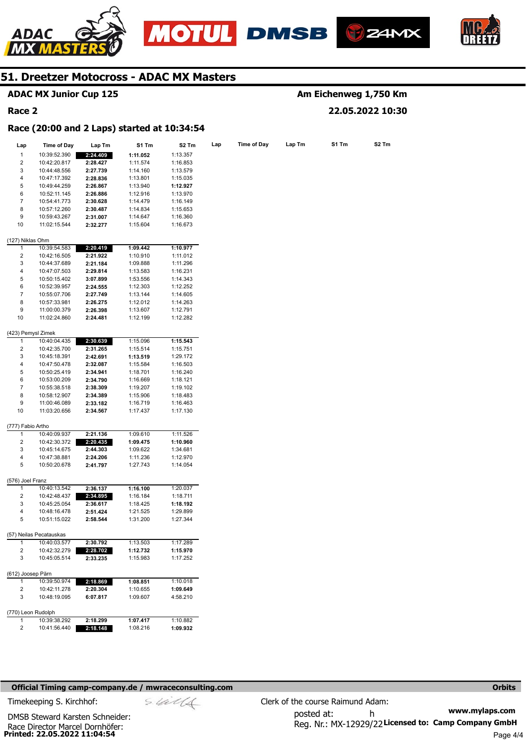







## **51. Dreetzer Motocross - ADAC MX Masters**

|                         | <b>ADAC MX Junior Cup 125</b>               |                      |                      |                      |     |                    |        |       | Am Eichenweg 1,750 Km |
|-------------------------|---------------------------------------------|----------------------|----------------------|----------------------|-----|--------------------|--------|-------|-----------------------|
| Race 2                  |                                             |                      |                      |                      |     |                    |        |       | 22.05.2022 10:30      |
|                         | Race (20:00 and 2 Laps) started at 10:34:54 |                      |                      |                      |     |                    |        |       |                       |
| Lap                     | <b>Time of Day</b>                          | Lap Tm               | S1 Tm                | S2 Tm                | Lap | <b>Time of Day</b> | Lap Tm | S1 Tm | S2 Tm                 |
| $\mathbf{1}$            | 10:39:52.390                                | 2:24.409             | 1:11.052             | 1:13.357             |     |                    |        |       |                       |
| 2                       | 10:42:20.817                                | 2:28.427             | 1:11.574             | 1:16.853             |     |                    |        |       |                       |
| 3                       | 10:44:48.556                                | 2:27.739             | 1:14.160             | 1:13.579             |     |                    |        |       |                       |
| 4                       | 10:47:17.392                                | 2:28.836             | 1:13.801             | 1:15.035             |     |                    |        |       |                       |
| 5                       | 10:49:44.259                                | 2:26.867             | 1:13.940             | 1:12.927             |     |                    |        |       |                       |
| 6                       | 10:52:11.145                                | 2:26.886             | 1:12.916             | 1:13.970             |     |                    |        |       |                       |
| 7                       | 10:54:41.773                                | 2:30.628             | 1:14.479             | 1:16.149             |     |                    |        |       |                       |
| 8                       | 10:57:12.260                                |                      |                      |                      |     |                    |        |       |                       |
|                         |                                             | 2:30.487             | 1:14.834             | 1:15.653             |     |                    |        |       |                       |
| 9<br>10                 | 10:59:43.267<br>11:02:15.544                | 2:31.007<br>2:32.277 | 1:14.647<br>1:15.604 | 1:16.360<br>1:16.673 |     |                    |        |       |                       |
| (127) Niklas Ohm        |                                             |                      |                      |                      |     |                    |        |       |                       |
| 1                       | 10:39:54.583                                | 2:20.419             | 1:09.442             | 1:10.977             |     |                    |        |       |                       |
| 2                       | 10:42:16.505                                | 2:21.922             | 1:10.910             | 1:11.012             |     |                    |        |       |                       |
| 3                       | 10:44:37.689                                |                      | 1:09.888             | 1:11.296             |     |                    |        |       |                       |
| 4                       | 10:47:07.503                                | 2:21.184             |                      |                      |     |                    |        |       |                       |
|                         |                                             | 2:29.814             | 1:13.583             | 1:16.231             |     |                    |        |       |                       |
| 5                       | 10:50:15.402                                | 3:07.899             | 1:53.556             | 1:14.343             |     |                    |        |       |                       |
| 6                       | 10:52:39.957                                | 2:24.555             | 1:12.303             | 1:12.252             |     |                    |        |       |                       |
| $\boldsymbol{7}$        | 10:55:07.706                                | 2:27.749             | 1:13.144             | 1:14.605             |     |                    |        |       |                       |
| 8                       | 10:57:33.981                                | 2:26.275             | 1:12.012             | 1:14.263             |     |                    |        |       |                       |
| 9                       | 11:00:00.379                                | 2:26.398             | 1:13.607             | 1:12.791             |     |                    |        |       |                       |
| 10                      | 11:02:24.860                                | 2:24.481             | 1:12.199             | 1:12.282             |     |                    |        |       |                       |
| (423) Pemysl Zimek      |                                             |                      |                      |                      |     |                    |        |       |                       |
| 1                       | 10:40:04.435                                | 2:30.639             | 1:15.096             | 1:15.543             |     |                    |        |       |                       |
| 2                       | 10:42:35.700                                | 2:31.265             | 1:15.514             | 1:15.751             |     |                    |        |       |                       |
| 3                       | 10:45:18.391                                | 2:42.691             | 1:13.519             | 1:29.172             |     |                    |        |       |                       |
| 4                       | 10:47:50.478                                | 2:32.087             | 1:15.584             | 1:16.503             |     |                    |        |       |                       |
| 5                       | 10:50:25.419                                |                      |                      |                      |     |                    |        |       |                       |
| 6                       |                                             | 2:34.941             | 1:18.701             | 1:16.240             |     |                    |        |       |                       |
| 7                       | 10:53:00.209<br>10:55:38.518                | 2:34.790             | 1:16.669             | 1:18.121<br>1:19.102 |     |                    |        |       |                       |
| 8                       |                                             | 2:38.309             | 1:19.207             |                      |     |                    |        |       |                       |
|                         | 10:58:12.907                                | 2:34.389             | 1:15.906             | 1:18.483             |     |                    |        |       |                       |
| 9<br>10                 | 11:00:46.089<br>11:03:20.656                | 2:33.182<br>2:34.567 | 1:16.719<br>1:17.437 | 1:16.463<br>1:17.130 |     |                    |        |       |                       |
|                         |                                             |                      |                      |                      |     |                    |        |       |                       |
| (777) Fabio Artho       |                                             |                      |                      |                      |     |                    |        |       |                       |
| 1                       | 10:40:09.937                                | 2:21.136             | 1:09.610             | 1:11.526             |     |                    |        |       |                       |
| 2                       | 10:42:30.372                                | 2:20.435             | 1:09.475             | 1:10.960             |     |                    |        |       |                       |
| 3                       | 10:45:14.675                                | 2:44.303             | 1:09.622             | 1:34.681             |     |                    |        |       |                       |
| 4                       | 10:47:38.881                                | 2:24.206             | 1:11.236             | 1:12.970             |     |                    |        |       |                       |
| 5                       | 10:50:20.678                                | 2:41.797             | 1:27.743             | 1:14.054             |     |                    |        |       |                       |
| (576) Joel Franz        |                                             |                      |                      |                      |     |                    |        |       |                       |
| 1                       | 10:40:13.542                                | 2:36.137             | 1:16.100             | 1:20.037             |     |                    |        |       |                       |
| $\overline{\mathbf{c}}$ | 10:42:48.437                                | 2:34.895             | 1:16.184             | 1:18.711             |     |                    |        |       |                       |
| 3                       | 10:45:25.054                                | 2:36.617             | 1:18.425             | 1:18.192             |     |                    |        |       |                       |
| 4                       | 10:48:16.478                                | 2:51.424             | 1:21.525             | 1:29.899             |     |                    |        |       |                       |
| 5                       | 10:51:15.022                                | 2:58.544             | 1:31.200             | 1:27.344             |     |                    |        |       |                       |
|                         | (57) Neilas Pecatauskas                     |                      |                      |                      |     |                    |        |       |                       |
| 1                       | 10:40:03.577                                | 2:30.792             | 1:13.503             | 1:17.289             |     |                    |        |       |                       |
| 2                       | 10:42:32.279                                | 2:28.702             | 1:12.732             | 1:15.970             |     |                    |        |       |                       |
| 3                       | 10:45:05.514                                | 2:33.235             | 1:15.983             | 1:17.252             |     |                    |        |       |                       |
| (612) Joosep Pärn       |                                             |                      |                      |                      |     |                    |        |       |                       |
| $\mathbf{1}$            | 10:39:50.974                                | 2:18.869             | 1:08.851             | 1:10.018             |     |                    |        |       |                       |
| 2                       | 10:42:11.278                                | 2:20.304             | 1:10.655             | 1:09.649             |     |                    |        |       |                       |
| 3                       | 10:48:19.095                                | 6:07.817             | 1:09.607             | 4:58.210             |     |                    |        |       |                       |
| (770) Leon Rudolph      |                                             |                      |                      |                      |     |                    |        |       |                       |
| 1                       | 10:39:38.292                                | 2:18.299             | 1:07.417             | 1:10.882             |     |                    |        |       |                       |
| 2                       | 10:41:56.440                                | 2:18.148             | 1:08.216             | 1:09.932             |     |                    |        |       |                       |

#### **Official Timing camp-company.de / mwraceconsulting.com <b>Orbits Orbits Orbits Orbits**

Timekeeping S. Kirchhof:  $\le \frac{1}{2}$  Clerk of the course Raimund Adam:

**Printed: 22.05.2022 11:04:54**  Race Director Marcel Dornhöfer: DMSB Steward Karsten Schneider: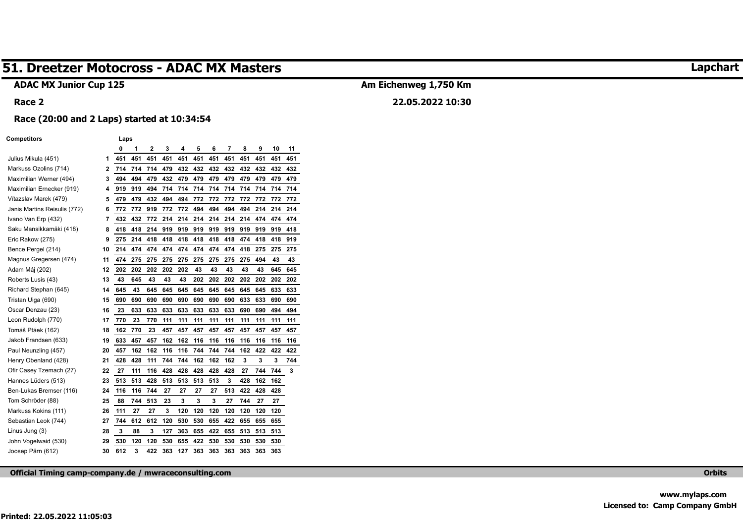#### **ADAC MX Junior Cup 125**

#### **Race 2**

## **Am Eichenweg 1,750 Km 22.05.2022 10:30**

#### **Race (20:00 and 2 Laps) started at 10:34:54**

#### **Competitors Laps**

|                              |    | 0   | 1   | 2   | 3   | 4   | 5   | 6   | 7   | 8   | 9   | 10  | 11  |
|------------------------------|----|-----|-----|-----|-----|-----|-----|-----|-----|-----|-----|-----|-----|
| Julius Mikula (451)          | 1  | 451 | 451 | 451 | 451 | 451 | 451 | 451 | 451 | 451 | 451 | 451 | 451 |
| Markuss Ozolins (714)        | 2  | 714 | 714 | 714 | 479 | 432 | 432 | 432 | 432 | 432 | 432 | 432 | 432 |
| Maximilian Werner (494)      | 3  | 494 | 494 | 479 | 432 | 479 | 479 | 479 | 479 | 479 | 479 | 479 | 479 |
| Maximilian Ernecker (919)    | 4  | 919 | 919 | 494 | 714 | 714 | 714 | 714 | 714 | 714 | 714 | 714 | 714 |
| Vítazslav Marek (479)        | 5  | 479 | 479 | 432 | 494 | 494 | 772 | 772 | 772 | 772 | 772 | 772 | 772 |
| Janis Martins Reisulis (772) | 6  | 772 | 772 | 919 | 772 | 772 | 494 | 494 | 494 | 494 | 214 | 214 | 214 |
| Ivano Van Erp (432)          | 7  | 432 | 432 | 772 | 214 | 214 | 214 | 214 | 214 | 214 | 474 | 474 | 474 |
| Saku Mansikkamäki (418)      | 8  | 418 | 418 | 214 | 919 | 919 | 919 | 919 | 919 | 919 | 919 | 919 | 418 |
| Eric Rakow (275)             | 9  | 275 | 214 | 418 | 418 | 418 | 418 | 418 | 418 | 474 | 418 | 418 | 919 |
| Bence Pergel (214)           | 10 | 214 | 474 | 474 | 474 | 474 | 474 | 474 | 474 | 418 | 275 | 275 | 275 |
| Magnus Gregersen (474)       | 11 | 474 | 275 | 275 | 275 | 275 | 275 | 275 | 275 | 275 | 494 | 43  | 43  |
| Adam Máj (202)               | 12 | 202 | 202 | 202 | 202 | 202 | 43  | 43  | 43  | 43  | 43  | 645 | 645 |
| Roberts Lusis (43)           | 13 | 43  | 645 | 43  | 43  | 43  | 202 | 202 | 202 | 202 | 202 | 202 | 202 |
| Richard Stephan (645)        | 14 | 645 | 43  | 645 | 645 | 645 | 645 | 645 | 645 | 645 | 645 | 633 | 633 |
| Tristan Uiga (690)           | 15 | 690 | 690 | 690 | 690 | 690 | 690 | 690 | 690 | 633 | 633 | 690 | 690 |
| Oscar Denzau (23)            | 16 | 23  | 633 | 633 | 633 | 633 | 633 | 633 | 633 | 690 | 690 | 494 | 494 |
| Leon Rudolph (770)           | 17 | 770 | 23  | 770 | 111 | 111 | 111 | 111 | 111 | 111 | 111 | 111 | 111 |
| Tomáš Ptáek (162)            | 18 | 162 | 770 | 23  | 457 | 457 | 457 | 457 | 457 | 457 | 457 | 457 | 457 |
| Jakob Frandsen (633)         | 19 | 633 | 457 | 457 | 162 | 162 | 116 | 116 | 116 | 116 | 116 | 116 | 116 |
| Paul Neunzling (457)         | 20 | 457 | 162 | 162 | 116 | 116 | 744 | 744 | 744 | 162 | 422 | 422 | 422 |
| Henry Obenland (428)         | 21 | 428 | 428 | 111 | 744 | 744 | 162 | 162 | 162 | 3   | 3   | 3   | 744 |
| Ofir Casey Tzemach (27)      | 22 | 27  | 111 | 116 | 428 | 428 | 428 | 428 | 428 | 27  | 744 | 744 | 3   |
| Hannes Lüders (513)          | 23 | 513 | 513 | 428 | 513 | 513 | 513 | 513 | 3   | 428 | 162 | 162 |     |
| Ben-Lukas Bremser (116)      | 24 | 116 | 116 | 744 | 27  | 27  | 27  | 27  | 513 | 422 | 428 | 428 |     |
| Tom Schröder (88)            | 25 | 88  | 744 | 513 | 23  | 3   | 3   | 3   | 27  | 744 | 27  | 27  |     |
| Markuss Kokins (111)         | 26 | 111 | 27  | 27  | 3   | 120 | 120 | 120 | 120 | 120 | 120 | 120 |     |
| Sebastian Leok (744)         | 27 | 744 | 612 | 612 | 120 | 530 | 530 | 655 | 422 | 655 | 655 | 655 |     |
| Linus Jung (3)               | 28 | 3   | 88  | 3   | 127 | 363 | 655 | 422 | 655 | 513 | 513 | 513 |     |
| John Vogelwaid (530)         | 29 | 530 | 120 | 120 | 530 | 655 | 422 | 530 | 530 | 530 | 530 | 530 |     |
| Joosep Pärn (612)            | 30 | 612 | 3   | 422 | 363 | 127 | 363 | 363 | 363 | 363 | 363 | 363 |     |

**Official Timing camp-company.de / mwraceconsulting.com Orbits** 

**Lapchart**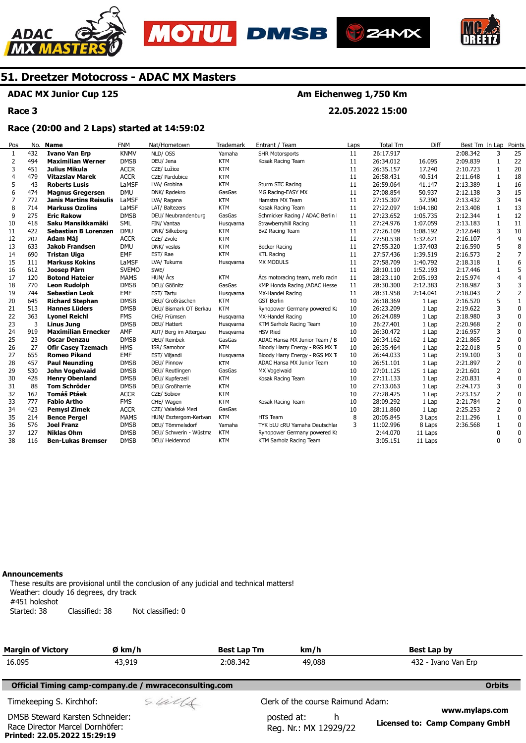







### **ADAC MX Junior Cup 125**

**Race 3** 

## **Am Eichenweg 1,750 Km**

**22.05.2022 15:00** 

#### **Race (20:00 and 2 Laps) started at 14:59:02**

| Pos | No. | <b>Name</b>                   | <b>FNM</b>   | Nat/Hometown            | Trademark  | Entrant / Team                   | Laps | Total Tm  | Diff     | Best Tm In Lap |                | Points         |
|-----|-----|-------------------------------|--------------|-------------------------|------------|----------------------------------|------|-----------|----------|----------------|----------------|----------------|
| 1   | 432 | <b>Ivano Van Erp</b>          | <b>KNMV</b>  | NLD/OSS                 | Yamaha     | <b>SHR Motorsports</b>           | 11   | 26:17.917 |          | 2:08.342       | 3              | 25             |
| 2   | 494 | <b>Maximilian Werner</b>      | <b>DMSB</b>  | DEU/ Jena               | <b>KTM</b> | Kosak Racing Team                | 11   | 26:34.012 | 16.095   | 2:09.839       | 1              | 22             |
| 3   | 451 | Julius Mikula                 | <b>ACCR</b>  | CZE/ Lužice             | <b>KTM</b> |                                  | 11   | 26:35.157 | 17.240   | 2:10.723       | $\mathbf{1}$   | 20             |
| 4   | 479 | Vítazslav Marek               | <b>ACCR</b>  | CZE/ Pardubice          | <b>KTM</b> |                                  | 11   | 26:58.431 | 40.514   | 2:11.648       | 1              | 18             |
| 5   | 43  | <b>Roberts Lusis</b>          | LaMSF        | LVA/ Grobina            | <b>KTM</b> | Sturm STC Racing                 | 11   | 26:59.064 | 41.147   | 2:13.389       | $\mathbf{1}$   | 16             |
| 6   | 474 | <b>Magnus Gregersen</b>       | <b>DMU</b>   | DNK/ Rødekro            | GasGas     | MG Racing-EASY MX                | 11   | 27:08.854 | 50.937   | 2:12.138       | 3              | 15             |
| 7   | 772 | <b>Janis Martins Reisulis</b> | LaMSF        | LVA/ Ragana             | <b>KTM</b> | Hamstra MX Team                  | 11   | 27:15.307 | 57,390   | 2:13.432       | 3              | 14             |
| 8   | 714 | <b>Markuss Ozolins</b>        | LaMSF        | LAT/ Baltezers          | <b>KTM</b> | Kosak Racing Team                | 11   | 27:22.097 | 1:04.180 | 2:13.408       | $\mathbf{1}$   | 13             |
| 9   | 275 | <b>Eric Rakow</b>             | <b>DMSB</b>  | DEU/ Neubrandenburg     | GasGas     | Schmicker Racing / ADAC Berlin I | 11   | 27:23.652 | 1:05.735 | 2:12.344       | 1              | 12             |
| 10  | 418 | Saku Mansikkamäki             | <b>SML</b>   | FIN/ Vantaa             | Husqvarna  | Strawberryhill Racing            | 11   | 27:24.976 | 1:07.059 | 2:13.183       | $\mathbf{1}$   | 11             |
| 11  | 422 | <b>Sebastian B Lorenzen</b>   | <b>DMU</b>   | DNK/ Silkeborg          | <b>KTM</b> | BvZ Racing Team                  | 11   | 27:26.109 | 1:08.192 | 2:12.648       | 3              | 10             |
| 12  | 202 | Adam Máj                      | <b>ACCR</b>  | CZE/ Zvole              | <b>KTM</b> |                                  | 11   | 27:50.538 | 1:32.621 | 2:16.107       | $\overline{4}$ | 9              |
| 13  | 633 | <b>Jakob Frandsen</b>         | <b>DMU</b>   | DNK/ vesløs             | <b>KTM</b> | <b>Becker Racing</b>             | 11   | 27:55.320 | 1:37.403 | 2:16.590       | 5              | 8              |
| 14  | 690 | Tristan Uiga                  | EMF          | EST/Rae                 | <b>KTM</b> | <b>KTL Racing</b>                | 11   | 27:57.436 | 1:39.519 | 2:16.573       | $\overline{2}$ | $\overline{7}$ |
| 15  | 111 | <b>Markuss Kokins</b>         | LaMSF        | LVA/ Tukums             | Husqvarna  | <b>MX MODULS</b>                 | 11   | 27:58.709 | 1:40.792 | 2:18.318       | $\mathbf{1}$   | 6              |
| 16  | 612 | Joosep Pärn                   | <b>SVEMO</b> | SWE/                    |            |                                  | 11   | 28:10.110 | 1:52.193 | 2:17.446       | 1              | 5              |
| 17  | 120 | <b>Botond Hateier</b>         | <b>MAMS</b>  | HUN/ Ács                | KTM        | Ács motoracing team, mefo racin  | 11   | 28:23.110 | 2:05.193 | 2:15.974       | $\overline{4}$ | $\overline{4}$ |
| 18  | 770 | <b>Leon Rudolph</b>           | <b>DMSB</b>  | DEU/ Gößnitz            | GasGas     | KMP Honda Racing / ADAC Hesse    | 11   | 28:30.300 | 2:12.383 | 2:18.987       | 3              | 3              |
| 19  | 744 | <b>Sebastian Leok</b>         | EMF          | EST/Tartu               | Husqvarna  | MX-Handel Racing                 | 11   | 28:31.958 | 2:14.041 | 2:18.043       | $\overline{2}$ | $\overline{2}$ |
| 20  | 645 | <b>Richard Stephan</b>        | <b>DMSB</b>  | DEU/ Großräschen        | <b>KTM</b> | <b>GST Berlin</b>                | 10   | 26:18.369 | 1 Lap    | 2:16.520       | 5              | $\mathbf{1}$   |
| 21  | 513 | <b>Hannes Lüders</b>          | <b>DMSB</b>  | DEU/ Bismark OT Berkau  | <b>KTM</b> | Rynopower Germany powered Ka     | 10   | 26:23.209 | 1 Lap    | 2:19.622       | 3              | $\pmb{0}$      |
| 22  | 363 | <b>Lyonel Reichl</b>          | <b>FMS</b>   | CHE/ Frümsen            | Husgvarna  | MX-Handel Racing                 | 10   | 26:24.089 | 1 Lap    | 2:18.980       | 3              | $\mathbf 0$    |
| 23  | 3   | <b>Linus Jung</b>             | <b>DMSB</b>  | DEU/ Hattert            | Husqvarna  | KTM Sarholz Racing Team          | 10   | 26:27.401 | 1 Lap    | 2:20.968       | $\overline{2}$ | $\mathbf 0$    |
| 24  | 919 | <b>Maximilian Ernecker</b>    | AMF          | AUT/ Berg im Attergau   | Husqvarna  | <b>HSV Ried</b>                  | 10   | 26:30.472 | 1 Lap    | 2:16.957       | 3              | $\mathbf 0$    |
| 25  | 23  | <b>Oscar Denzau</b>           | <b>DMSB</b>  | DEU/ Reinbek            | GasGas     | ADAC Hansa MX Junior Team / B    | 10   | 26:34.162 | 1 Lap    | 2:21.865       | $\overline{2}$ | 0              |
| 26  | 27  | <b>Ofir Casey Tzemach</b>     | <b>HMS</b>   | ISR/ Samobor            | <b>KTM</b> | Bloody Harry Energy - RGS MX Ti  | 10   | 26:35.464 | 1 Lap    | 2:22.018       | 5              | 0              |
| 27  | 655 | <b>Romeo Pikand</b>           | EMF          | EST/ Viljandi           | Husqvarna  | Bloody Harry Energy - RGS MX Ti  | 10   | 26:44.033 | 1 Lap    | 2:19.100       | 3              | $\mathbf 0$    |
| 28  | 457 | <b>Paul Neunzling</b>         | <b>DMSB</b>  | DEU/ Pinnow             | <b>KTM</b> | ADAC Hansa MX Junior Team        | 10   | 26:51.101 | 1 Lap    | 2:21.897       | $\overline{2}$ | $\pmb{0}$      |
| 29  | 530 | John Vogelwaid                | <b>DMSB</b>  | DEU/ Reutlingen         | GasGas     | MX Vogelwaid                     | 10   | 27:01.125 | 1 Lap    | 2:21.601       | $\overline{2}$ | 0              |
| 30  | 428 | <b>Henry Obenland</b>         | <b>DMSB</b>  | DEU/ Kupferzell         | <b>KTM</b> | Kosak Racing Team                | 10   | 27:11.133 | 1 Lap    | 2:20.831       | $\overline{4}$ | $\mathbf 0$    |
| 31  | 88  | <b>Tom Schröder</b>           | <b>DMSB</b>  | DEU/ Großharrie         | <b>KTM</b> |                                  | 10   | 27:13.063 | 1 Lap    | 2:24.173       | 3              | 0              |
| 32  | 162 | <b>Tomáš Ptáek</b>            | <b>ACCR</b>  | CZE/ Sobiov             | <b>KTM</b> |                                  | 10   | 27:28.425 | 1 Lap    | 2:23.157       | $\overline{2}$ | $\mathbf 0$    |
| 33  | 777 | <b>Fabio Artho</b>            | <b>FMS</b>   | CHE/ Wagen              | <b>KTM</b> | Kosak Racing Team                | 10   | 28:09.292 | 1 Lap    | 2:21.784       | 2              | $\mathbf 0$    |
| 34  | 423 | <b>Pemysl Zimek</b>           | <b>ACCR</b>  | CZE/ Valašské Mezi      | GasGas     |                                  | 10   | 28:11.860 | 1 Lap    | 2:25.253       | 2              | 0              |
| 35  | 214 | <b>Bence Pergel</b>           | <b>MAMS</b>  | HUN/ Esztergom-Kertvaro | <b>KTM</b> | HTS Team                         | 8    | 20:05.845 | 3 Laps   | 2:11.296       | 1              | $\pmb{0}$      |
| 36  | 576 | <b>Joel Franz</b>             | <b>DMSB</b>  | DEU/ Tömmelsdorf        | Yamaha     | TYK bLU cRU Yamaha Deutschlar    | 3    | 11:02.996 | 8 Laps   | 2:36.568       | 1              | 0              |
| 37  | 127 | <b>Niklas Ohm</b>             | <b>DMSB</b>  | DEU/ Schwerin - Wüstma  | <b>KTM</b> | Rynopower Germany powered Ka     |      | 2:44.070  | 11 Laps  |                | 0              | 0              |
| 38  | 116 | <b>Ben-Lukas Bremser</b>      | <b>DMSB</b>  | DEU/ Heidenrod          | <b>KTM</b> | KTM Sarholz Racing Team          |      | 3:05.151  | 11 Laps  |                | $\Omega$       | 0              |
|     |     |                               |              |                         |            |                                  |      |           |          |                |                |                |

#### **Announcements**

**Printed: 22.05.2022 15:29:19** 

These results are provisional until the conclusion of any judicial and technical matters! Weather: cloudy 16 degrees, dry track #451 holeshot Started: 38 Classified: 38 Not classified: 0

| <b>Margin of Victory</b>                                           | Ø km/h                                                 | <b>Best Lap Tm</b> | km/h                                     | Best Lap by                                      |
|--------------------------------------------------------------------|--------------------------------------------------------|--------------------|------------------------------------------|--------------------------------------------------|
| 16.095                                                             | 43,919                                                 | 2:08.342           | 49,088                                   | 432 - Ivano Van Erp                              |
|                                                                    | Official Timing camp-company.de / mwraceconsulting.com |                    |                                          | <b>Orbits</b>                                    |
| Timekeeping S. Kirchhof:                                           | sulls                                                  |                    | Clerk of the course Raimund Adam:        |                                                  |
| DMSB Steward Karsten Schneider:<br>Race Director Marcel Dornhöfer: |                                                        |                    | posted at:<br>h<br>Reg. Nr.: MX 12929/22 | www.mylaps.com<br>Licensed to: Camp Company GmbH |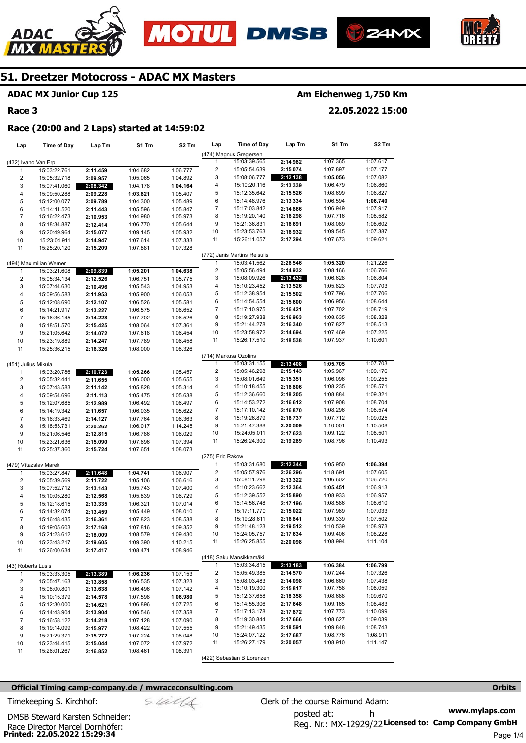







### **ADAC MX Junior Cup 125**

#### **Race 3**

## **Am Eichenweg 1,750 Km**

**22.05.2022 15:00** 

#### **Race (20:00 and 2 Laps) started at 14:59:02**

| Lap                     | <b>Time of Day</b>           | Lap Tm               | S1 Tm                | S2 Tm                | Lap                     | <b>Time of Day</b>           | Lap Tm               | S1 Tm                | S <sub>2</sub> Tm    |
|-------------------------|------------------------------|----------------------|----------------------|----------------------|-------------------------|------------------------------|----------------------|----------------------|----------------------|
|                         |                              |                      |                      |                      |                         | (474) Magnus Gregersen       |                      |                      |                      |
| (432) Ivano Van Erp     |                              |                      |                      |                      | 1                       | 15:03:39.565                 | 2:14.982             | 1:07.365             | 1:07.617             |
| 1                       | 15:03:22.761                 | 2:11.459             | 1:04.682             | 1:06.777             | 2                       | 15:05:54.639                 | 2:15.074             | 1:07.897             | 1:07.177             |
| $\overline{\mathbf{c}}$ | 15:05:32.718                 | 2:09.957             | 1:05.065             | 1:04.892             | 3                       | 15:08:06.777                 | 2:12.138             | 1:05.056             | 1:07.082             |
| 3                       | 15:07:41.060                 | 2:08.342             | 1:04.178             | 1:04.164             | 4                       | 15:10:20.116                 | 2:13.339             | 1:06.479             | 1:06.860             |
| $\overline{\mathbf{4}}$ | 15:09:50.288                 | 2:09.228             | 1:03.821             | 1:05.407             | 5                       | 15:12:35.642                 | 2:15.526             | 1:08.699             | 1:06.827             |
| 5                       | 15:12:00.077                 | 2:09.789             | 1:04.300             | 1:05.489             | 6                       | 15:14:48.976                 | 2:13.334             | 1:06.594             | 1:06.740             |
| 6                       | 15:14:11.520                 | 2:11.443             | 1:05.596             | 1:05.847             | 7                       | 15:17:03.842                 | 2:14.866             | 1:06.949             | 1:07.917             |
| $\boldsymbol{7}$        | 15:16:22.473                 | 2:10.953             | 1:04.980             | 1:05.973             | 8                       | 15:19:20.140                 | 2:16.298             | 1:07.716             | 1:08.582             |
| 8                       | 15:18:34.887                 | 2:12.414             | 1:06.770             | 1:05.644             | 9                       | 15:21:36.831                 | 2:16.691             | 1:08.089             | 1:08.602             |
| 9                       | 15:20:49.964                 | 2:15.077             | 1:09.145             | 1:05.932             | 10                      | 15:23:53.763                 | 2:16.932             | 1:09.545             | 1:07.387             |
| 10                      | 15:23:04.911                 | 2:14.947             | 1:07.614             | 1:07.333             | 11                      | 15:26:11.057                 | 2:17.294             | 1:07.673             | 1:09.621             |
| 11                      | 15:25:20.120                 | 2:15.209             | 1:07.881             | 1:07.328             |                         |                              |                      |                      |                      |
|                         |                              |                      |                      |                      |                         | (772) Janis Martins Reisulis |                      |                      |                      |
|                         | (494) Maximilian Werner      |                      |                      |                      | 1                       | 15:03:41.562                 | 2:26.546             | 1:05.320             | 1:21.226             |
| 1                       | 15:03:21.608                 | 2:09.839             | 1:05.201             | 1:04.638             | $\overline{\mathbf{c}}$ | 15:05:56.494                 | 2:14.932             | 1:08.166             | 1:06.766             |
| $\overline{\mathbf{c}}$ | 15:05:34.134                 | 2:12.526             | 1:06.751             | 1:05.775             | 3                       | 15:08:09.926                 | 2:13.432             | 1:06.628             | 1:06.804             |
| 3                       | 15:07:44.630                 | 2:10.496             | 1:05.543             | 1:04.953             | 4                       | 15:10:23.452                 | 2:13.526             | 1:05.823             | 1:07.703             |
| 4                       | 15:09:56.583                 | 2:11.953             | 1:05.900             | 1:06.053             | 5                       | 15:12:38.954                 | 2:15.502             | 1:07.796             | 1:07.706             |
| 5                       | 15:12:08.690                 | 2:12.107             | 1:06.526             | 1:05.581             | 6                       | 15:14:54.554                 | 2:15.600             | 1:06.956             | 1:08.644             |
| 6                       | 15:14:21.917                 | 2:13.227             | 1:06.575             | 1:06.652             | 7                       | 15:17:10.975                 | 2:16.421             | 1:07.702             | 1:08.719             |
| $\overline{7}$          | 15:16:36.145                 | 2:14.228             | 1:07.702             | 1:06.526             | 8                       | 15:19:27.938                 | 2:16.963             | 1:08.635             | 1:08.328             |
| 8                       | 15:18:51.570                 | 2:15.425             | 1:08.064             | 1:07.361             | 9                       | 15:21:44.278                 | 2:16.340             | 1:07.827             | 1:08.513             |
| 9                       | 15:21:05.642                 | 2:14.072             | 1:07.618             | 1:06.454             | 10                      | 15:23:58.972                 | 2:14.694             | 1:07.469             | 1:07.225             |
| 10                      | 15:23:19.889                 | 2:14.247             | 1:07.789             | 1:06.458             | 11                      | 15:26:17.510                 | 2:18.538             | 1:07.937             | 1:10.601             |
| 11                      | 15:25:36.215                 | 2:16.326             | 1:08.000             | 1:08.326             |                         |                              |                      |                      |                      |
|                         |                              |                      |                      |                      |                         | (714) Markuss Ozolins        |                      |                      |                      |
| (451) Julius Mikula     |                              |                      |                      |                      | 1                       | 15:03:31.155                 | 2:13.408             | 1:05.705             | 1:07.703             |
| $\mathbf{1}$            | 15:03:20.786                 | 2:10.723             | 1:05.266             | 1:05.457             | $\overline{\mathbf{c}}$ | 15:05:46.298                 | 2:15.143             | 1:05.967             | 1:09.176             |
| $\overline{\mathbf{c}}$ | 15:05:32.441                 | 2:11.655             | 1:06.000             | 1:05.655             | 3<br>4                  | 15:08:01.649                 | 2:15.351             | 1:06.096<br>1:08.235 | 1:09.255<br>1:08.571 |
| 3                       | 15:07:43.583                 | 2:11.142             | 1:05.828             | 1:05.314             |                         | 15:10:18.455                 | 2:16.806             | 1:08.884             |                      |
| 4                       | 15:09:54.696                 | 2:11.113             | 1:05.475             | 1:05.638             | 5                       | 15:12:36.660<br>15:14:53.272 | 2:18.205             | 1:07.908             | 1:09.321<br>1:08.704 |
| 5                       | 15:12:07.685                 | 2:12.989             | 1:06.492             | 1:06.497             | 6<br>7                  | 15:17:10.142                 | 2:16.612<br>2:16.870 | 1:08.296             | 1:08.574             |
| 6                       | 15:14:19.342                 | 2:11.657             | 1:06.035             | 1:05.622             | 8                       | 15:19:26.879                 | 2:16.737             | 1:07.712             | 1:09.025             |
| $\overline{7}$          | 15:16:33.469                 | 2:14.127             | 1:07.764             | 1:06.363             | 9                       | 15:21:47.388                 | 2:20.509             | 1:10.001             | 1:10.508             |
| 8<br>9                  | 15:18:53.731                 | 2:20.262             | 1:06.017             | 1:14.245             | 10                      | 15:24:05.011                 | 2:17.623             | 1:09.122             | 1:08.501             |
| 10                      | 15:21:06.546<br>15:23:21.636 | 2:12.815             | 1:06.786<br>1:07.696 | 1:06.029<br>1:07.394 | 11                      | 15:26:24.300                 | 2:19.289             | 1:08.796             | 1:10.493             |
| 11                      | 15:25:37.360                 | 2:15.090<br>2:15.724 | 1:07.651             | 1:08.073             |                         |                              |                      |                      |                      |
|                         |                              |                      |                      |                      | (275) Eric Rakow        |                              |                      |                      |                      |
|                         | (479) Vítazslav Marek        |                      |                      |                      | 1                       | 15:03:31.680                 | 2:12.344             | 1:05.950             | 1:06.394             |
| $\mathbf{1}$            | 15:03:27.847                 | 2:11.648             | 1:04.741             | 1:06.907             | $\overline{\mathbf{c}}$ | 15:05:57.976                 | 2:26.296             | 1:18.691             | 1:07.605             |
| $\overline{\mathbf{c}}$ | 15:05:39.569                 | 2:11.722             | 1:05.106             | 1:06.616             | 3                       | 15:08:11.298                 | 2:13.322             | 1:06.602             | 1:06.720             |
| 3                       | 15:07:52.712                 | 2:13.143             | 1:05.743             | 1:07.400             | 4                       | 15:10:23.662                 | 2:12.364             | 1:05.451             | 1:06.913             |
| 4                       | 15:10:05.280                 | 2:12.568             | 1:05.839             | 1:06.729             | 5                       | 15:12:39.552                 | 2:15.890             | 1:08.933             | 1:06.957             |
| 5                       | 15:12:18.615                 | 2:13.335             | 1:06.321             | 1:07.014             | 6                       | 15:14:56.748                 | 2:17.196             | 1:08.586             | 1:08.610             |
| 6                       | 15:14:32.074                 | 2:13.459             | 1:05.449             | 1:08.010             | 7                       | 15:17:11.770                 | 2:15.022             | 1:07.989             | 1:07.033             |
| $\overline{7}$          | 15:16:48.435                 | 2:16.361             | 1:07.823             | 1:08.538             | 8                       | 15:19:28.611                 | 2:16.841             | 1:09.339             | 1:07.502             |
| 8                       | 15:19:05.603                 | 2:17.168             | 1:07.816             | 1:09.352             | 9                       | 15:21:48.123                 | 2:19.512             | 1:10.539             | 1:08.973             |
| 9                       | 15:21:23.612                 | 2:18.009             | 1:08.579             | 1:09.430             | 10                      | 15:24:05.757                 | 2:17.634             | 1:09.406             | 1:08.228             |
| 10                      | 15:23:43.217                 | 2:19.605             | 1:09.390             | 1:10.215             | 11                      | 15:26:25.855                 | 2:20.098             | 1:08.994             | 1:11.104             |
| 11                      | 15:26:00.634                 | 2:17.417             | 1:08.471             | 1:08.946             |                         |                              |                      |                      |                      |
|                         |                              |                      |                      |                      |                         | (418) Saku Mansikkamäki      |                      |                      |                      |
| (43) Roberts Lusis      |                              |                      |                      |                      | 1                       | 15:03:34.815                 | 2:13.183             | 1:06.384             | 1:06.799             |
| $\mathbf{1}$            | 15:03:33.305                 | 2:13.389             | 1:06.236             | 1:07.153             | $\overline{2}$          | 15:05:49.385                 | 2:14.570             | 1:07.244             | 1:07.326             |
| 2                       | 15:05:47.163                 | 2:13.858             | 1:06.535             | 1:07.323             | 3                       | 15:08:03.483                 | 2:14.098             | 1:06.660             | 1:07.438             |
| 3                       | 15:08:00.801                 | 2:13.638             | 1:06.496             | 1:07.142             | 4                       | 15:10:19.300                 | 2:15.817             | 1:07.758             | 1:08.059             |
| 4                       | 15:10:15.379                 | 2:14.578             | 1:07.598             | 1:06.980             | 5                       | 15:12:37.658                 | 2:18.358             | 1:08.688             | 1:09.670             |
| 5                       | 15:12:30.000                 | 2:14.621             | 1:06.896             | 1:07.725             | 6                       | 15:14:55.306                 | 2:17.648             | 1:09.165             | 1:08.483             |
| 6                       | 15:14:43.904                 | 2:13.904             | 1:06.546             | 1:07.358             | 7                       | 15:17:13.178                 | 2:17.872             | 1:07.773             | 1:10.099             |
| $\overline{7}$          | 15:16:58.122                 | 2:14.218             | 1:07.128             | 1:07.090             | 8                       | 15:19:30.844                 | 2:17.666             | 1:08.627             | 1:09.039             |
| 8                       | 15:19:14.099                 | 2:15.977             | 1:08.422             | 1:07.555             | 9                       | 15:21:49.435                 | 2:18.591             | 1:09.848             | 1:08.743             |
| 9                       | 15:21:29.371                 | 2:15.272             | 1:07.224             | 1:08.048             | 10                      | 15:24:07.122                 | 2:17.687             | 1:08.776             | 1:08.911             |
| 10                      | 15:23:44.415                 | 2:15.044             | 1:07.072             | 1:07.972             | 11                      | 15:26:27.179                 | 2:20.057             | 1:08.910             | 1:11.147             |
| 11                      | 15:26:01.267                 | 2:16.852             | 1:08.461             | 1:08.391             |                         |                              |                      |                      |                      |
|                         |                              |                      |                      |                      |                         | (422) Sebastian B Lorenzen   |                      |                      |                      |

#### **Official Timing camp-company.de / mwraceconsulting.com <b>Orbits and Company.de Company** orbits **Orbits Orbits**

**www.mylaps.com**  Reg. Nr.: MX-12929/22 Licensed to: Camp Company GmbH posted at: h Timekeeping S. Kirchhof:  $\le \frac{1}{2}$  Clerk of the course Raimund Adam:

**Printed: 22.05.2022 15:29:34**  Race Director Marcel Dornhöfer: DMSB Steward Karsten Schneider: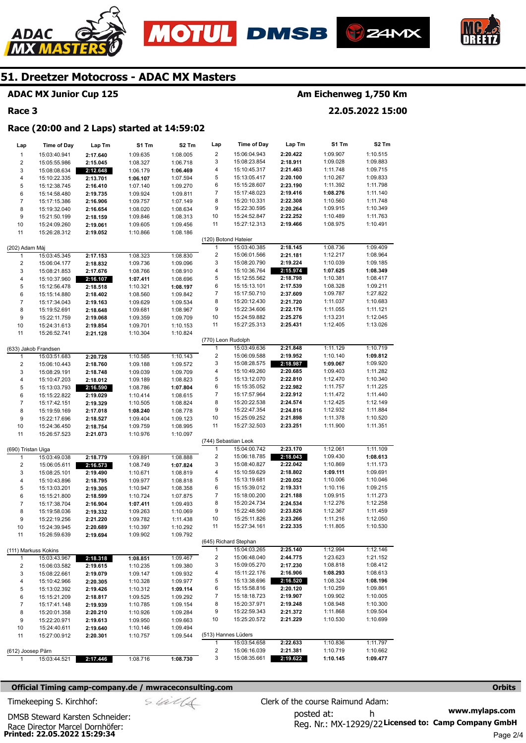





#### **ADAC MX Junior Cup 125**

#### **Race 3**

ADAC

#### **Am Eichenweg 1,750 Km**

**22.05.2022 15:00** 

#### **Race (20:00 and 2 Laps) started at 14:59:02**

| Lap                 | <b>Time of Day</b>           | Lap Tm               | S1 Tm                | S2 Tm                | Lap                     | <b>Time of Day</b>           | Lap Tm               | S1 Tm                | S2 Tm                |
|---------------------|------------------------------|----------------------|----------------------|----------------------|-------------------------|------------------------------|----------------------|----------------------|----------------------|
| $\mathbf{1}$        | 15:03:40.941                 | 2:17.640             | 1:09.635             | 1:08.005             | $\overline{\mathbf{c}}$ | 15:06:04.943                 | 2:20.422             | 1:09.907             | 1:10.515             |
| 2                   | 15:05:55.986                 | 2:15.045             | 1:08.327             | 1:06.718             | 3                       | 15:08:23.854                 | 2:18.911             | 1:09.028             | 1:09.883             |
| 3                   | 15:08:08.634                 | 2:12.648             | 1:06.179             | 1:06.469             | 4                       | 15:10:45.317                 | 2:21.463             | 1:11.748             | 1:09.715             |
| 4                   | 15:10:22.335                 | 2:13.701             | 1:06.107             | 1:07.594             | 5                       | 15:13:05.417                 | 2:20.100             | 1:10.267             | 1:09.833             |
| 5                   | 15:12:38.745                 | 2:16.410             | 1:07.140             | 1:09.270             | 6                       | 15:15:28.607                 | 2:23.190             | 1:11.392             | 1:11.798             |
| 6                   | 15:14:58.480                 | 2:19.735             | 1:09.924             | 1:09.811             | 7                       | 15:17:48.023                 | 2:19.416             | 1:08.276             | 1:11.140             |
| 7                   | 15:17:15.386                 | 2:16.906             | 1:09.757             | 1:07.149             | 8                       | 15:20:10.331                 | 2:22.308             | 1:10.560             | 1:11.748             |
| 8                   | 15:19:32.040                 | 2:16.654             | 1:08.020             | 1:08.634             | 9                       | 15:22:30.595                 | 2:20.264             | 1:09.915             | 1:10.349             |
| 9                   | 15:21:50.199                 | 2:18.159             | 1:09.846             | 1:08.313             | 10                      | 15:24:52.847                 | 2:22.252             | 1:10.489             | 1:11.763             |
| 10                  | 15:24:09.260                 | 2:19.061             | 1:09.605             | 1:09.456             | 11                      | 15:27:12.313                 | 2:19.466             | 1:08.975             | 1:10.491             |
| 11                  | 15:26:28.312                 | 2:19.052             | 1:10.866             | 1:08.186             |                         |                              |                      |                      |                      |
|                     |                              |                      |                      |                      | (120) Botond Hateier    |                              |                      |                      |                      |
| (202) Adam Máj      |                              |                      |                      |                      | $\mathbf{1}$            | 15:03:40.385                 | 2:18.145             | 1:08.736             | 1:09.409             |
| 1                   | 15:03:45.345                 | 2:17.153             | 1:08.323             | 1:08.830             | $\overline{\mathbf{c}}$ | 15:06:01.566                 | 2:21.181             | 1:12.217             | 1:08.964             |
| 2                   | 15:06:04.177                 | 2:18.832             | 1:09.736             | 1:09.096             | 3                       | 15:08:20.790                 | 2:19.224             | 1:10.039             | 1:09.185             |
| 3                   | 15:08:21.853                 | 2:17.676             | 1:08.766             | 1:08.910             | 4                       | 15:10:36.764                 | 2:15.974             | 1:07.625             | 1:08.349             |
| 4                   | 15:10:37.960                 | 2:16.107             | 1:07.411             | 1:08.696             | 5                       | 15:12:55.562                 | 2:18.798             | 1:10.381             | 1:08.417             |
| 5                   | 15:12:56.478                 | 2:18.518             | 1:10.321             | 1:08.197             | 6                       | 15:15:13.101                 | 2:17.539             | 1:08.328             | 1:09.211             |
| 6                   | 15:15:14.880                 | 2:18.402             | 1:08.560             | 1:09.842             | 7                       | 15:17:50.710                 | 2:37.609             | 1:09.787             | 1:27.822             |
| $\overline{7}$      | 15:17:34.043                 | 2:19.163             | 1:09.629             | 1:09.534             | 8                       | 15:20:12.430                 | 2:21.720             | 1:11.037             | 1:10.683             |
| 8                   | 15:19:52.691                 | 2:18.648             | 1:09.681             | 1:08.967             | 9                       | 15:22:34.606                 | 2:22.176             | 1:11.055             | 1:11.121             |
| 9                   | 15:22:11.759                 | 2:19.068             | 1:09.359             | 1:09.709             | 10                      | 15:24:59.882                 | 2:25.276             | 1:13.231             | 1:12.045             |
| 10                  | 15:24:31.613                 | 2:19.854             | 1:09.701             | 1:10.153             | 11                      | 15:27:25.313                 | 2:25.431             | 1:12.405             | 1:13.026             |
| 11                  | 15:26:52.741                 | 2:21.128             | 1:10.304             | 1:10.824             |                         |                              |                      |                      |                      |
|                     |                              |                      |                      |                      | (770) Leon Rudolph      | 15:03:49.636                 | 2:21.848             |                      |                      |
|                     | (633) Jakob Frandsen         |                      |                      |                      | 1<br>$\mathbf 2$        | 15:06:09.588                 |                      | 1:11.129             | 1:10.719             |
| $\mathbf{1}$        | 15:03:51.683                 | 2:20.728             | 1:10.585             | 1:10.143             |                         |                              | 2:19.952             | 1:10.140             | 1:09.812             |
| 2                   | 15:06:10.443                 | 2:18.760             | 1:09.188             | 1:09.572             | 3<br>4                  | 15:08:28.575<br>15:10:49.260 | 2:18.987<br>2:20.685 | 1:09.067<br>1:09.403 | 1:09.920<br>1:11.282 |
| 3                   | 15:08:29.191                 | 2:18.748             | 1:09.039             | 1:09.709             | 5                       | 15:13:12.070                 | 2:22.810             | 1:12.470             | 1:10.340             |
| 4                   | 15:10:47.203                 | 2:18.012             | 1:09.189             | 1:08.823             | 6                       | 15:15:35.052                 | 2:22.982             | 1:11.757             | 1:11.225             |
| 5                   | 15:13:03.793                 | 2:16.590             | 1:08.786             | 1:07.804             | 7                       | 15:17:57.964                 | 2:22.912             | 1:11.472             | 1:11.440             |
| 6<br>$\overline{7}$ | 15:15:22.822                 | 2:19.029             | 1:10.414             | 1:08.615             | 8                       | 15:20:22.538                 | 2:24.574             | 1:12.425             | 1:12.149             |
| 8                   | 15:17:42.151<br>15:19:59.169 | 2:19.329             | 1:10.505<br>1:08.240 | 1:08.824<br>1:08.778 | 9                       | 15:22:47.354                 | 2:24.816             | 1:12.932             | 1:11.884             |
| 9                   | 15:22:17.696                 | 2:17.018<br>2:18.527 | 1:09.404             | 1:09.123             | 10                      | 15:25:09.252                 | 2:21.898             | 1:11.378             | 1:10.520             |
| 10                  | 15:24:36.450                 | 2:18.754             | 1:09.759             | 1:08.995             | 11                      | 15:27:32.503                 | 2:23.251             | 1:11.900             | 1:11.351             |
| 11                  | 15:26:57.523                 | 2:21.073             | 1:10.976             | 1:10.097             |                         |                              |                      |                      |                      |
|                     |                              |                      |                      |                      |                         | (744) Sebastian Leok         |                      |                      |                      |
| (690) Tristan Uiga  |                              |                      |                      |                      | 1                       | 15:04:00.742                 | 2:23.170             | 1:12.061             | 1:11.109             |
| 1                   | 15:03:49.038                 | 2:18.779             | 1:09.891             | 1:08.888             | $\overline{\mathbf{c}}$ | 15:06:18.785                 | 2:18.043             | 1:09.430             | 1:08.613             |
| 2                   | 15:06:05.611                 | 2:16.573             | 1:08.749             | 1:07.824             | 3                       | 15:08:40.827                 | 2:22.042             | 1:10.869             | 1:11.173             |
| 3                   | 15:08:25.101                 | 2:19.490             | 1:10.671             | 1:08.819             | 4                       | 15:10:59.629                 | 2:18.802             | 1:09.111             | 1:09.691             |
| 4                   | 15:10:43.896                 | 2:18.795             | 1:09.977             | 1:08.818             | 5                       | 15:13:19.681                 | 2:20.052             | 1:10.006             | 1:10.046             |
| 5                   | 15:13:03.201                 | 2:19.305             | 1:10.947             | 1:08.358             | 6                       | 15:15:39.012                 | 2:19.331             | 1:10.116             | 1:09.215             |
| 6                   | 15:15:21.800                 | 2:18.599             | 1:10.724             | 1:07.875             | 7                       | 15:18:00.200                 | 2:21.188             | 1:09.915             | 1:11.273             |
| $\overline{7}$      | 15:17:38.704                 | 2:16.904             | 1:07.411             | 1:09.493             | 8                       | 15:20:24.734                 | 2:24.534             | 1:12.276             | 1:12.258             |
| 8                   | 15:19:58.036                 | 2:19.332             | 1:09.263             | 1:10.069             | 9                       | 15:22:48.560                 | 2:23.826             | 1:12.367             | 1:11.459             |
| 9                   | 15:22:19.256                 | 2:21.220             | 1:09.782             | 1:11.438             | 10                      | 15:25:11.826                 | 2:23.266             | 1:11.216             | 1:12.050             |
| 10                  | 15:24:39.945                 | 2:20.689             | 1:10.397             | 1:10.292             | 11                      | 15:27:34.161                 | 2:22.335             | 1:11.805             | 1:10.530             |
| 11                  | 15:26:59.639                 | 2:19.694             | 1:09.902             | 1:09.792             |                         |                              |                      |                      |                      |
|                     |                              |                      |                      |                      |                         | (645) Richard Stephan        |                      |                      |                      |
|                     | (111) Markuss Kokins         |                      |                      |                      | 1                       | 15:04:03.265                 | 2:25.140             | 1:12.994             | 1:12.146             |
| 1                   | 15:03:43.967                 | 2:18.318             | 1:08.851             | 1:09.467             | $\overline{\mathbf{c}}$ | 15:06:48.040                 | 2:44.775             | 1:23.623             | 1:21.152             |
| 2                   | 15:06:03.582                 | 2:19.615             | 1:10.235             | 1:09.380             | 3                       | 15:09:05.270                 | 2:17.230             | 1:08.818             | 1:08.412             |
| 3                   | 15:08:22.661                 | 2:19.079             | 1:09.147             | 1:09.932             | 4                       | 15:11:22.176                 | 2:16.906             | 1:08.293             | 1:08.613             |
| 4                   | 15:10:42.966                 | 2:20.305             | 1:10.328             | 1:09.977             | 5                       | 15:13:38.696                 | 2:16.520             | 1:08.324             | 1:08.196             |
| 5                   | 15:13:02.392                 | 2:19.426             | 1:10.312             | 1:09.114             | 6                       | 15:15:58.816                 | 2:20.120             | 1:10.259             | 1:09.861             |
| 6                   | 15:15:21.209                 | 2:18.817             | 1:09.525             | 1:09.292             | 7                       | 15:18:18.723                 | 2:19.907             | 1:09.902             | 1:10.005             |
| 7                   | 15:17:41.148                 | 2:19.939             | 1:10.785             | 1:09.154             | 8                       | 15:20:37.971                 | 2:19.248             | 1:08.948             | 1:10.300             |
| 8                   | 15:20:01.358                 | 2:20.210             | 1:10.926             | 1:09.284             | 9                       | 15:22:59.343                 | 2:21.372             | 1:11.868             | 1:09.504             |
| 9                   | 15:22:20.971                 | 2:19.613             | 1:09.950             | 1:09.663             | 10                      | 15:25:20.572                 | 2:21.229             | 1:10.530             | 1:10.699             |
| 10                  | 15:24:40.611                 | 2:19.640             | 1:10.146             | 1:09.494             |                         |                              |                      |                      |                      |
| 11                  | 15:27:00.912                 | 2:20.301             | 1:10.757             | 1:09.544             |                         | (513) Hannes Lüders          |                      |                      |                      |
|                     |                              |                      |                      |                      | $\mathbf{1}$            | 15:03:54.658                 | 2:22.633             | 1:10.836             | 1:11.797             |
|                     | (612) Joosep Pärn            |                      |                      |                      | 2                       | 15:06:16.039                 | 2:21.381             | 1:10.719             | 1:10.662             |
| $\mathbf{1}$        | 15:03:44.521                 | 2:17.446             | 1:08.716             | 1:08.730             | 3                       | 15:08:35.661                 | 2:19.622             | 1:10.145             | 1:09.477             |

#### **Official Timing camp-company.de / mwraceconsulting.com <b>Orbits and Company.de Company** orbits **Orbits Orbits**

**Printed: 22.05.2022 15:29:34**  Race Director Marcel Dornhöfer:

DMSB Steward Karsten Schneider:

$$
\mathcal{S}\mathcal{U}\mathcal{U}
$$

**www.mylaps.com**  Reg. Nr.: MX-12929/22 Licensed to: Camp Company GmbH posted at: h Timekeeping S. Kirchhof:  $\le \& \& \& \& \& \& \& \& \qquad$  Clerk of the course Raimund Adam: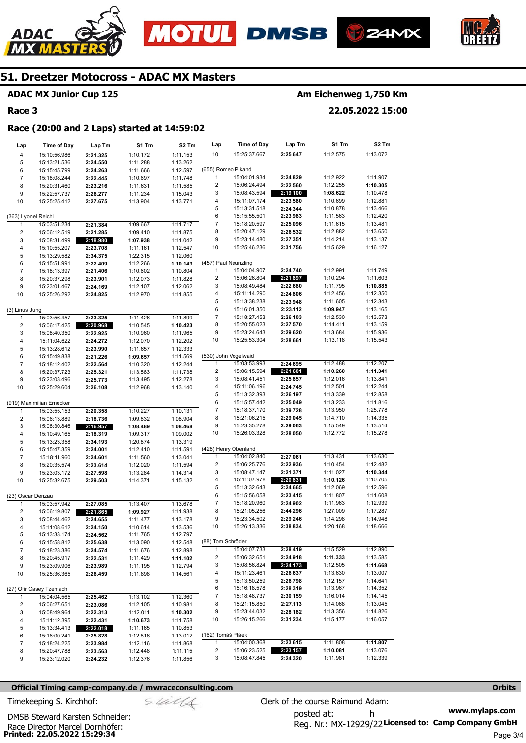







#### **ADAC MX Junior Cup 125**

#### **Race 3**

## **Am Eichenweg 1,750 Km**

**22.05.2022 15:00** 

#### **Race (20:00 and 2 Laps) started at 14:59:02**

| Lap                     | <b>Time of Day</b>           | Lap Tm               | S1 Tm                | S2 Tm                | Lap                    | <b>Time of Day</b>           | Lap Tm               | S1 Tm                | S2 Tm                |
|-------------------------|------------------------------|----------------------|----------------------|----------------------|------------------------|------------------------------|----------------------|----------------------|----------------------|
| 4                       | 15:10:56.986                 | 2:21.325             | 1:10.172             | 1:11.153             | 10                     | 15:25:37.667                 | 2:25.647             | 1:12.575             | 1:13.072             |
| 5                       | 15:13:21.536                 | 2:24.550             | 1:11.288             | 1:13.262             |                        |                              |                      |                      |                      |
| 6                       | 15:15:45.799                 | 2:24.263             | 1:11.666             | 1:12.597             | (655) Romeo Pikand     |                              |                      |                      |                      |
| $\overline{7}$          | 15:18:08.244                 | 2:22.445             | 1:10.697             | 1:11.748             | 1                      | 15:04:01.934                 | 2:24.829             | 1:12.922             | 1:11.907             |
| 8                       | 15:20:31.460                 | 2:23.216             | 1:11.631             | 1:11.585             | 2                      | 15:06:24.494                 | 2:22.560             | 1:12.255             | 1:10.305             |
| 9                       | 15:22:57.737                 | 2:26.277             | 1:11.234             | 1:15.043             | 3                      | 15:08:43.594                 | 2:19.100             | 1:08.622             | 1:10.478             |
| 10                      | 15:25:25.412                 | 2:27.675             | 1:13.904             | 1:13.771             | 4                      | 15:11:07.174                 | 2:23.580             | 1:10.699             | 1:12.881             |
|                         |                              |                      |                      |                      | 5                      | 15:13:31.518                 | 2:24.344             | 1:10.878             | 1:13.466             |
| (363) Lyonel Reichl     |                              |                      |                      |                      | 6                      | 15:15:55.501                 | 2:23.983             | 1:11.563             | 1:12.420             |
| 1                       | 15:03:51.234                 | 2:21.384             | 1:09.667             | 1:11.717             | 7                      | 15:18:20.597                 | 2:25.096             | 1:11.615             | 1:13.481             |
| 2                       | 15:06:12.519                 | 2:21.285             | 1:09.410             | 1:11.875             | 8                      | 15:20:47.129                 | 2:26.532             | 1:12.882             | 1:13.650             |
| 3                       | 15:08:31.499                 | 2:18.980             | 1:07.938             | 1:11.042             | 9                      | 15:23:14.480                 | 2:27.351             | 1:14.214             | 1:13.137             |
| 4                       | 15:10:55.207                 | 2:23.708             | 1:11.161             | 1:12.547             | 10                     | 15:25:46.236                 | 2:31.756             | 1:15.629             | 1:16.127             |
| 5                       | 15:13:29.582                 | 2:34.375             | 1:22.315             | 1:12.060             |                        |                              |                      |                      |                      |
| 6                       | 15:15:51.991                 | 2:22.409             | 1:12.266             | 1:10.143             | (457) Paul Neunzling   |                              |                      |                      |                      |
| $\boldsymbol{7}$        | 15:18:13.397                 | 2:21.406             | 1:10.602             | 1:10.804             | 1                      | 15:04:04.907                 | 2:24.740             | 1:12.991             | 1:11.749             |
| 8                       | 15:20:37.298                 | 2:23.901             | 1:12.073             | 1:11.828             | 2<br>3                 | 15:06:26.804<br>15:08:49.484 | 2:21.897<br>2:22.680 | 1:10.294<br>1:11.795 | 1:11.603             |
| 9<br>10                 | 15:23:01.467                 | 2:24.169             | 1:12.107             | 1:12.062             | 4                      | 15:11:14.290                 | 2:24.806             | 1:12.456             | 1:10.885<br>1:12.350 |
|                         | 15:25:26.292                 | 2:24.825             | 1:12.970             | 1:11.855             | 5                      | 15:13:38.238                 | 2:23.948             | 1:11.605             | 1:12.343             |
| (3) Linus Jung          |                              |                      |                      |                      | 6                      | 15:16:01.350                 | 2:23.112             | 1:09.947             | 1:13.165             |
| $\mathbf{1}$            | 15:03:56.457                 | 2:23.325             | 1:11.426             | 1:11.899             | 7                      | 15:18:27.453                 | 2:26.103             | 1:12.530             | 1:13.573             |
| $\overline{\mathbf{c}}$ | 15:06:17.425                 | 2:20.968             | 1:10.545             | 1:10.423             | 8                      | 15:20:55.023                 | 2:27.570             | 1:14.411             | 1:13.159             |
| 3                       | 15:08:40.350                 | 2:22.925             | 1:10.960             | 1:11.965             | 9                      | 15:23:24.643                 | 2:29.620             | 1:13.684             | 1:15.936             |
| 4                       | 15:11:04.622                 | 2:24.272             | 1:12.070             | 1:12.202             | 10                     | 15:25:53.304                 | 2:28.661             | 1:13.118             | 1:15.543             |
| 5                       | 15:13:28.612                 | 2:23.990             | 1:11.657             | 1:12.333             |                        |                              |                      |                      |                      |
| 6                       | 15:15:49.838                 | 2:21.226             | 1:09.657             | 1:11.569             |                        | (530) John Vogelwaid         |                      |                      |                      |
| 7                       | 15:18:12.402                 | 2:22.564             | 1:10.320             | 1:12.244             | 1                      | 15:03:53.993                 | 2:24.695             | 1:12.488             | 1:12.207             |
| 8                       | 15:20:37.723                 | 2:25.321             | 1:13.583             | 1:11.738             | 2                      | 15:06:15.594                 | 2:21.601             | 1:10.260             | 1:11.341             |
| 9                       | 15:23:03.496                 | 2:25.773             | 1:13.495             | 1:12.278             | 3                      | 15:08:41.451                 | 2:25.857             | 1:12.016             | 1:13.841             |
| 10                      | 15:25:29.604                 | 2:26.108             | 1:12.968             | 1:13.140             | 4                      | 15:11:06.196                 | 2:24.745             | 1:12.501             | 1:12.244             |
|                         |                              |                      |                      |                      | 5                      | 15:13:32.393                 | 2:26.197             | 1:13.339             | 1:12.858             |
|                         | (919) Maximilian Ernecker    |                      |                      |                      | 6                      | 15:15:57.442                 | 2:25.049             | 1:13.233             | 1:11.816             |
| 1                       | 15:03:55.153                 | 2:20.358             | 1:10.227             | 1:10.131             | 7                      | 15:18:37.170                 | 2:39.728             | 1:13.950             | 1:25.778             |
| $\overline{\mathbf{c}}$ | 15:06:13.889                 | 2:18.736             | 1:09.832             | 1:08.904             | 8                      | 15:21:06.215                 | 2:29.045             | 1:14.710             | 1:14.335             |
| 3                       | 15:08:30.846                 | 2:16.957             | 1:08.489             | 1:08.468             | 9                      | 15:23:35.278                 | 2:29.063             | 1:15.549             | 1:13.514             |
| 4                       | 15:10:49.165                 | 2:18.319             | 1:09.317             | 1:09.002             | 10                     | 15:26:03.328                 | 2:28.050             | 1:12.772             | 1:15.278             |
| 5                       | 15:13:23.358                 | 2:34.193             | 1:20.874             | 1:13.319             |                        |                              |                      |                      |                      |
| 6                       | 15:15:47.359                 | 2:24.001             | 1:12.410             | 1:11.591             |                        | (428) Henry Obenland         |                      |                      |                      |
| $\overline{7}$          | 15:18:11.960                 | 2:24.601             | 1:11.560             | 1:13.041             | 1                      | 15:04:02.840                 | 2:27.061             | 1:13.431             | 1:13.630             |
| 8                       | 15:20:35.574                 | 2:23.614             | 1:12.020             | 1:11.594             | 2<br>3                 | 15:06:25.776<br>15:08:47.147 | 2:22.936<br>2:21.371 | 1:10.454<br>1:11.027 | 1:12.482<br>1:10.344 |
| 9<br>10                 | 15:23:03.172                 | 2:27.598             | 1:13.284             | 1:14.314             | 4                      | 15:11:07.978                 | 2:20.831             | 1:10.126             | 1:10.705             |
|                         | 15:25:32.675                 | 2:29.503             | 1:14.371             | 1:15.132             | 5                      | 15:13:32.643                 | 2:24.665             | 1:12.069             | 1:12.596             |
| (23) Oscar Denzau       |                              |                      |                      |                      | 6                      | 15:15:56.058                 | 2:23.415             | 1:11.807             | 1:11.608             |
| 1                       | 15:03:57.942                 | 2:27.085             | 1:13.407             | 1:13.678             | 7                      | 15:18:20.960                 | 2:24.902             | 1:11.963             | 1:12.939             |
| $\overline{\mathbf{c}}$ | 15:06:19.807                 | 2:21.865             | 1:09.927             | 1:11.938             | 8                      | 15:21:05.256                 | 2:44.296             | 1:27.009             | 1:17.287             |
| 3                       | 15:08:44.462                 | 2:24.655             | 1:11.477             | 1:13.178             | 9                      | 15:23:34.502                 | 2:29.246             | 1:14.298             | 1:14.948             |
| 4                       | 15:11:08.612                 | 2:24.150             | 1:10.614             | 1:13.536             | 10                     | 15:26:13.336                 | 2:38.834             | 1:20.168             | 1:18.666             |
| 5                       | 15:13:33.174                 | 2:24.562             | 1:11.765             | 1:12.797             |                        |                              |                      |                      |                      |
| 6                       | 15:15:58.812                 | 2:25.638             | 1:13.090             | 1:12.548             | (88) Tom Schröder      |                              |                      |                      |                      |
| $\overline{7}$          | 15:18:23.386                 | 2:24.574             | 1:11.676             | 1:12.898             | 1                      | 15:04:07.733                 | 2:28.419             | 1:15.529             | 1:12.890             |
| 8                       | 15:20:45.917                 | 2:22.531             | 1:11.429             | 1:11.102             | 2                      | 15:06:32.651                 | 2:24.918             | 1:11.333             | 1:13.585             |
| 9                       | 15:23:09.906                 | 2:23.989             | 1:11.195             | 1:12.794             | 3                      | 15:08:56.824                 | 2:24.173             | 1:12.505             | 1:11.668             |
| 10                      | 15:25:36.365                 | 2:26.459             | 1:11.898             | 1:14.561             | 4                      | 15:11:23.461                 | 2:26.637             | 1:13.630             | 1:13.007             |
|                         |                              |                      |                      |                      | 5                      | 15:13:50.259                 | 2:26.798             | 1:12.157             | 1:14.641             |
|                         | (27) Ofir Casey Tzemach      |                      |                      |                      | 6                      | 15:16:18.578                 | 2:28.319             | 1:13.967             | 1:14.352             |
| 1                       | 15:04:04.565                 | 2:25.462             | 1:13.102             | 1:12.360             | 7                      | 15:18:48.737                 | 2:30.159             | 1:16.014             | 1:14.145             |
| 2                       | 15:06:27.651                 | 2:23.086             | 1:12.105             | 1:10.981             | 8                      | 15:21:15.850                 | 2:27.113             | 1:14.068             | 1:13.045             |
| 3                       | 15:08:49.964                 | 2:22.313             | 1:12.011             | 1:10.302             | 9                      | 15:23:44.032                 | 2:28.182             | 1:13.356             | 1:14.826             |
| 4                       | 15:11:12.395                 | 2:22.431             | 1:10.673             | 1:11.758             | 10                     | 15:26:15.266                 | 2:31.234             | 1:15.177             | 1:16.057             |
| 5                       | 15:13:34.413                 | 2:22.018             | 1:11.165             | 1:10.853             |                        |                              |                      |                      |                      |
| 6                       | 15:16:00.241                 | 2:25.828             | 1:12.816             | 1:13.012             | (162) Tomáš Ptáek<br>1 | 15:04:00.368                 | 2:23.615             | 1:11.808             | 1:11.807             |
| 7                       | 15:18:24.225                 | 2:23.984             | 1:12.116             | 1:11.868             | 2                      | 15:06:23.525                 | 2:23.157             | 1:10.081             | 1:13.076             |
| 8<br>9                  | 15:20:47.788<br>15:23:12.020 | 2:23.563<br>2:24.232 | 1:12.448<br>1:12.376 | 1:11.115<br>1:11.856 | 3                      | 15:08:47.845                 | 2:24.320             | 1:11.981             | 1:12.339             |
|                         |                              |                      |                      |                      |                        |                              |                      |                      |                      |

#### **Official Timing camp-company.de / mwraceconsulting.com <b>Orbits and Company.de Company** orbits **Orbits Orbits**

$$
\mathcal{S} \mathcal{U} \mathcal{U} \mathcal{U}
$$

**www.mylaps.com**  Reg. Nr.: MX-12929/22 Licensed to: Camp Company GmbH posted at: h Timekeeping S. Kirchhof:  $\le \frac{1}{2}$  Clerk of the course Raimund Adam:

**Printed: 22.05.2022 15:29:34**  Race Director Marcel Dornhöfer: DMSB Steward Karsten Schneider: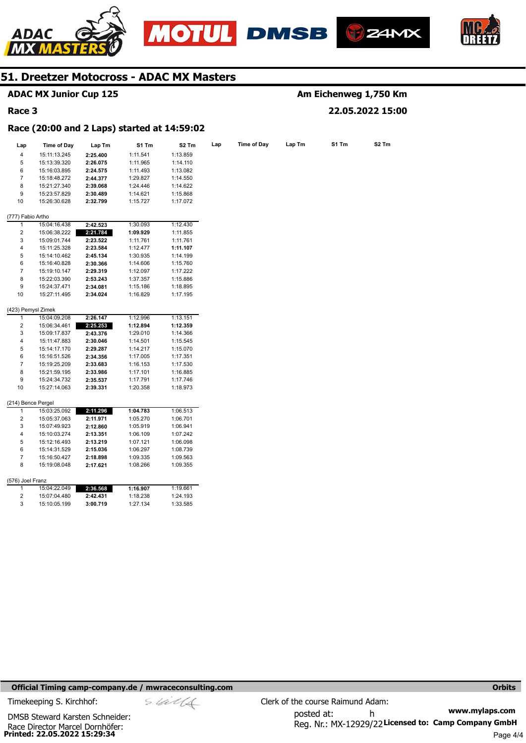

**ADAC MX Junior Cup 125** 





**Am Eichenweg 1,750 Km** 



## **51. Dreetzer Motocross - ADAC MX Masters**

| Race 3            |                                             |          |          |                   |     |                    |        |       | 22.05.2022 15:00 |
|-------------------|---------------------------------------------|----------|----------|-------------------|-----|--------------------|--------|-------|------------------|
|                   | Race (20:00 and 2 Laps) started at 14:59:02 |          |          |                   |     |                    |        |       |                  |
| Lap               | <b>Time of Day</b>                          | Lap Tm   | S1 Tm    | S <sub>2</sub> Tm | Lap | <b>Time of Day</b> | Lap Tm | S1 Tm | S2 Tm            |
| 4                 | 15:11:13.245                                | 2:25.400 | 1:11.541 | 1:13.859          |     |                    |        |       |                  |
| 5                 | 15:13:39.320                                | 2:26.075 | 1:11.965 | 1:14.110          |     |                    |        |       |                  |
| 6                 | 15:16:03.895                                | 2:24.575 | 1:11.493 | 1:13.082          |     |                    |        |       |                  |
| $\overline{7}$    | 15:18:48.272                                | 2:44.377 | 1:29.827 | 1:14.550          |     |                    |        |       |                  |
| 8                 | 15:21:27.340                                | 2:39.068 | 1:24.446 | 1:14.622          |     |                    |        |       |                  |
| 9                 | 15:23:57.829                                | 2:30.489 | 1:14.621 | 1:15.868          |     |                    |        |       |                  |
| 10                | 15:26:30.628                                | 2:32.799 | 1:15.727 | 1:17.072          |     |                    |        |       |                  |
| (777) Fabio Artho |                                             |          |          |                   |     |                    |        |       |                  |
| 1                 | 15:04:16.438                                | 2:42.523 | 1:30.093 | 1:12.430          |     |                    |        |       |                  |
| 2                 | 15:06:38.222                                | 2:21.784 | 1:09.929 | 1:11.855          |     |                    |        |       |                  |
| 3                 | 15:09:01.744                                | 2:23.522 | 1:11.761 | 1:11.761          |     |                    |        |       |                  |
| 4                 | 15:11:25.328                                | 2:23.584 | 1:12.477 | 1:11.107          |     |                    |        |       |                  |
| 5                 | 15:14:10.462                                | 2:45.134 | 1:30.935 | 1:14.199          |     |                    |        |       |                  |
| 6                 | 15:16:40.828                                | 2:30.366 | 1:14.606 | 1:15.760          |     |                    |        |       |                  |
| $\overline{7}$    | 15:19:10.147                                | 2:29.319 | 1:12.097 | 1:17.222          |     |                    |        |       |                  |
| 8                 | 15:22:03.390                                | 2:53.243 | 1:37.357 | 1:15.886          |     |                    |        |       |                  |
| 9                 | 15:24:37.471                                | 2:34.081 | 1:15.186 | 1:18.895          |     |                    |        |       |                  |
| 10                | 15:27:11.495                                | 2:34.024 | 1:16.829 | 1:17.195          |     |                    |        |       |                  |
|                   | (423) Pemysl Zimek                          |          |          |                   |     |                    |        |       |                  |
| 1                 | 15:04:09.208                                | 2:26.147 | 1:12.996 | 1:13.151          |     |                    |        |       |                  |
| 2                 | 15:06:34.461                                | 2:25.253 | 1:12.894 | 1:12.359          |     |                    |        |       |                  |
| 3                 | 15:09:17.837                                | 2:43.376 | 1:29.010 | 1:14.366          |     |                    |        |       |                  |
| 4                 | 15:11:47.883                                | 2:30.046 | 1:14.501 | 1:15.545          |     |                    |        |       |                  |
| 5                 | 15:14:17.170                                | 2:29.287 | 1:14.217 | 1:15.070          |     |                    |        |       |                  |
| 6                 | 15:16:51.526                                | 2:34.356 | 1:17.005 | 1:17.351          |     |                    |        |       |                  |
| 7                 | 15:19:25.209                                | 2:33.683 | 1:16.153 | 1:17.530          |     |                    |        |       |                  |
| 8                 | 15:21:59.195                                | 2:33.986 | 1:17.101 | 1:16.885          |     |                    |        |       |                  |
| 9                 | 15:24:34.732                                | 2:35.537 | 1:17.791 | 1:17.746          |     |                    |        |       |                  |
| 10                | 15:27:14.063                                | 2:39.331 | 1:20.358 | 1:18.973          |     |                    |        |       |                  |
| 1                 | (214) Bence Pergel<br>15:03:25.092          | 2:11.296 | 1:04.783 | 1:06.513          |     |                    |        |       |                  |
| 2                 | 15:05:37.063                                | 2:11.971 | 1:05.270 | 1:06.701          |     |                    |        |       |                  |
| 3                 | 15:07:49.923                                | 2:12.860 | 1:05.919 | 1:06.941          |     |                    |        |       |                  |
| 4                 | 15:10:03.274                                | 2:13.351 | 1:06.109 | 1:07.242          |     |                    |        |       |                  |
| 5                 | 15:12:16.493                                | 2:13.219 | 1:07.121 | 1:06.098          |     |                    |        |       |                  |
| 6                 | 15:14:31.529                                | 2:15.036 | 1:06.297 | 1:08.739          |     |                    |        |       |                  |
| $\overline{7}$    | 15:16:50.427                                | 2:18.898 | 1:09.335 | 1:09.563          |     |                    |        |       |                  |
| 8                 | 15:19:08.048                                | 2:17.621 | 1:08.266 | 1:09.355          |     |                    |        |       |                  |
| (576) Joel Franz  |                                             |          |          |                   |     |                    |        |       |                  |
| 1                 | 15:04:22.049                                | 2:36.568 | 1:16.907 | 1:19.661          |     |                    |        |       |                  |
| 2                 | 15:07:04.480                                | 2:42.431 | 1:18.238 | 1:24.193          |     |                    |        |       |                  |
| 3                 | 15:10:05.199                                | 3:00.719 | 1:27.134 | 1:33.585          |     |                    |        |       |                  |

#### **Official Timing camp-company.de / mwraceconsulting.com <b>Orbits Orbits Orbits Orbits**

**Printed: 22.05.2022 15:29:34**  Race Director Marcel Dornhöfer: DMSB Steward Karsten Schneider: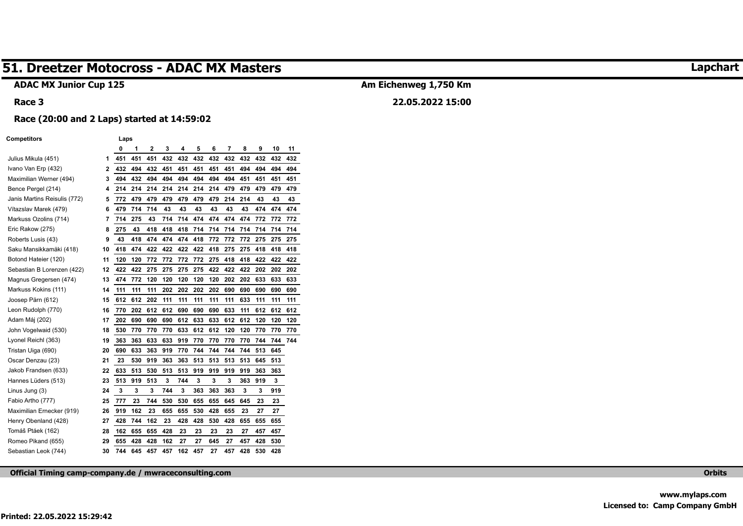#### **ADAC MX Junior Cup 125**

#### **Race 3**

## **Am Eichenweg 1,750 Km**

## **22.05.2022 15:00**

#### **Race (20:00 and 2 Laps) started at 14:59:02**

#### **Competitors Laps**

|                              |    | 0   | 1   | 2   | 3   | 4   | 5   | 6   | 7   | 8   | 9   | 10  | 11  |
|------------------------------|----|-----|-----|-----|-----|-----|-----|-----|-----|-----|-----|-----|-----|
| Julius Mikula (451)          | 1  | 451 | 451 | 451 | 432 | 432 | 432 | 432 | 432 | 432 | 432 | 432 | 432 |
| Ivano Van Erp (432)          | 2  | 432 | 494 | 432 | 451 | 451 | 451 | 451 | 451 | 494 | 494 | 494 | 494 |
| Maximilian Werner (494)      | 3  | 494 | 432 | 494 | 494 | 494 | 494 | 494 | 494 | 451 | 451 | 451 | 451 |
| Bence Pergel (214)           | 4  | 214 | 214 | 214 | 214 | 214 | 214 | 214 | 479 | 479 | 479 | 479 | 479 |
| Janis Martins Reisulis (772) | 5  | 772 | 479 | 479 | 479 | 479 | 479 | 479 | 214 | 214 | 43  | 43  | 43  |
| Vítazslav Marek (479)        | 6  | 479 | 714 | 714 | 43  | 43  | 43  | 43  | 43  | 43  | 474 | 474 | 474 |
| Markuss Ozolins (714)        | 7  | 714 | 275 | 43  | 714 | 714 | 474 | 474 | 474 | 474 | 772 | 772 | 772 |
| Eric Rakow (275)             | 8  | 275 | 43  | 418 | 418 | 418 | 714 | 714 | 714 | 714 | 714 | 714 | 714 |
| Roberts Lusis (43)           | 9  | 43  | 418 | 474 | 474 | 474 | 418 | 772 | 772 | 772 | 275 | 275 | 275 |
| Saku Mansikkamäki (418)      | 10 | 418 | 474 | 422 | 422 | 422 | 422 | 418 | 275 | 275 | 418 | 418 | 418 |
| Botond Hateier (120)         | 11 | 120 | 120 | 772 | 772 | 772 | 772 | 275 | 418 | 418 | 422 | 422 | 422 |
| Sebastian B Lorenzen (422)   | 12 | 422 | 422 | 275 | 275 | 275 | 275 | 422 | 422 | 422 | 202 | 202 | 202 |
| Magnus Gregersen (474)       | 13 | 474 | 772 | 120 | 120 | 120 | 120 | 120 | 202 | 202 | 633 | 633 | 633 |
| Markuss Kokins (111)         | 14 | 111 | 111 | 111 | 202 | 202 | 202 | 202 | 690 | 690 | 690 | 690 | 690 |
| Joosep Pärn (612)            | 15 | 612 | 612 | 202 | 111 | 111 | 111 | 111 | 111 | 633 | 111 | 111 | 111 |
| Leon Rudolph (770)           | 16 | 770 | 202 | 612 | 612 | 690 | 690 | 690 | 633 | 111 | 612 | 612 | 612 |
| Adam Máj (202)               | 17 | 202 | 690 | 690 | 690 | 612 | 633 | 633 | 612 | 612 | 120 | 120 | 120 |
| John Vogelwaid (530)         | 18 | 530 | 770 | 770 | 770 | 633 | 612 | 612 | 120 | 120 | 770 | 770 | 770 |
| Lyonel Reichl (363)          | 19 | 363 | 363 | 633 | 633 | 919 | 770 | 770 | 770 | 770 | 744 | 744 | 744 |
| Tristan Uiga (690)           | 20 | 690 | 633 | 363 | 919 | 770 | 744 | 744 | 744 | 744 | 513 | 645 |     |
| Oscar Denzau (23)            | 21 | 23  | 530 | 919 | 363 | 363 | 513 | 513 | 513 | 513 | 645 | 513 |     |
| Jakob Frandsen (633)         | 22 | 633 | 513 | 530 | 513 | 513 | 919 | 919 | 919 | 919 | 363 | 363 |     |
| Hannes Lüders (513)          | 23 | 513 | 919 | 513 | 3   | 744 | 3   | 3   | 3   | 363 | 919 | 3   |     |
| Linus Jung (3)               | 24 | 3   | 3   | 3   | 744 | 3   | 363 | 363 | 363 | 3   | 3   | 919 |     |
| Fabio Artho (777)            | 25 | 777 | 23  | 744 | 530 | 530 | 655 | 655 | 645 | 645 | 23  | 23  |     |
| Maximilian Ernecker (919)    | 26 | 919 | 162 | 23  | 655 | 655 | 530 | 428 | 655 | 23  | 27  | 27  |     |
| Henry Obenland (428)         | 27 | 428 | 744 | 162 | 23  | 428 | 428 | 530 | 428 | 655 | 655 | 655 |     |
| Tomáš Ptáek (162)            | 28 | 162 | 655 | 655 | 428 | 23  | 23  | 23  | 23  | 27  | 457 | 457 |     |
| Romeo Pikand (655)           | 29 | 655 | 428 | 428 | 162 | 27  | 27  | 645 | 27  | 457 | 428 | 530 |     |
| Sebastian Leok (744)         | 30 | 744 | 645 | 457 | 457 | 162 | 457 | 27  | 457 | 428 | 530 | 428 |     |

**Official Timing camp-company.de / mwraceconsulting.com Orbits** 

**Printed: 22.05.2022 15:29:42** 

**Lapchart**